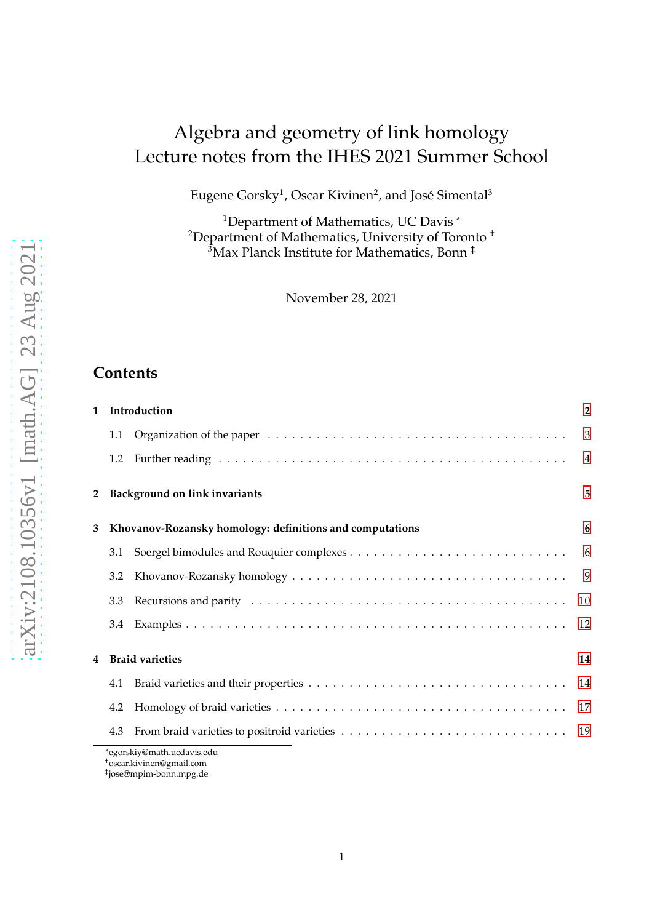# Algebra and geometry of link homology Lecture notes from the IHES 2021 Summer School

Eugene Gorsky $^1$ , Oscar Kivinen $^2$ , and José Simental $^3$ 

<sup>1</sup>Department of Mathematics, UC Davis<sup>\*</sup> <sup>2</sup>Department of Mathematics, University of Toronto<sup>+</sup> <sup>3</sup>Max Planck Institute for Mathematics, Bonn ‡

November 28, 2021

# **Contents**

| 1  |     | Introduction                                             | $\overline{2}$ |
|----|-----|----------------------------------------------------------|----------------|
|    |     |                                                          |                |
|    | 1.2 |                                                          |                |
|    |     | 2 Background on link invariants                          | 5              |
| 3. |     | Khovanov-Rozansky homology: definitions and computations | 6              |
|    |     |                                                          |                |
|    | 3.2 |                                                          | $\overline{9}$ |
|    | 3.3 |                                                          | 10             |
|    |     |                                                          |                |
| 4  |     | <b>Braid varieties</b>                                   | 14             |
|    |     |                                                          |                |
|    | 4.2 |                                                          |                |
|    | 4.3 |                                                          |                |
|    |     | *egorskiv@math ucdavis edu                               |                |

\*egorskiy@math.ucdavis.edu

<sup>†</sup>oscar.kivinen@gmail.com

<sup>‡</sup> jose@mpim-bonn.mpg.de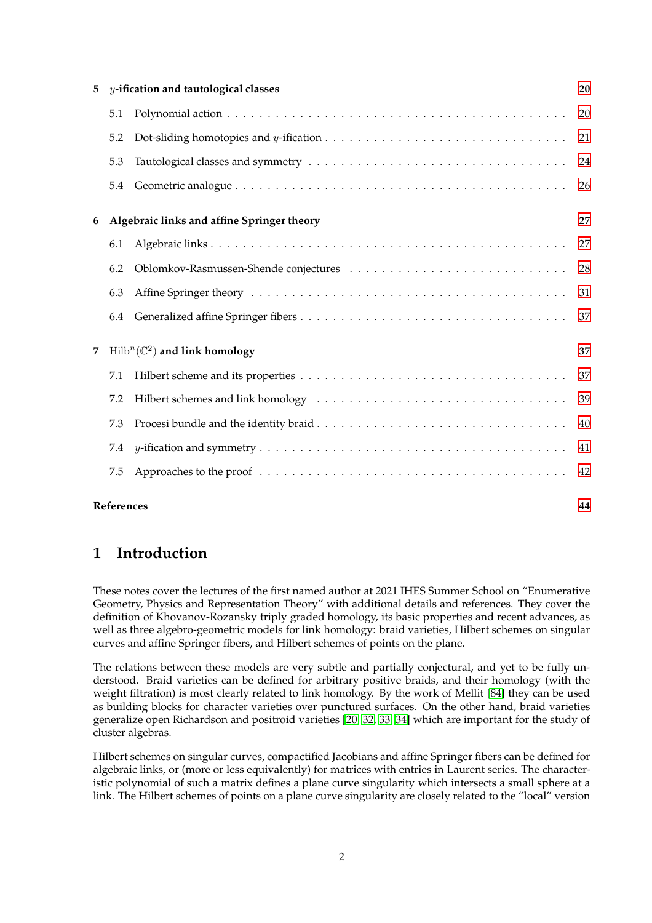| 5 |            | y-ification and tautological classes         | 20 |
|---|------------|----------------------------------------------|----|
|   | 5.1        |                                              | 20 |
|   | 5.2        |                                              | 21 |
|   | 5.3        |                                              | 24 |
|   | 5.4        |                                              | 26 |
| 6 |            | Algebraic links and affine Springer theory   | 27 |
|   | 6.1        |                                              | 27 |
|   | 6.2        |                                              | 28 |
|   | 6.3        |                                              | 31 |
|   | 6.4        |                                              | 37 |
| 7 |            | $Hilb^{n}(\mathbb{C}^{2})$ and link homology | 37 |
|   | 7.1        |                                              | 37 |
|   | 7.2        |                                              | 39 |
|   | 7.3        |                                              | 40 |
|   | 7.4        |                                              | 41 |
|   | 7.5        |                                              | 42 |
|   | References |                                              | 44 |

# <span id="page-1-0"></span>**1 Introduction**

These notes cover the lectures of the first named author at 2021 IHES Summer School on "Enumerative Geometry, Physics and Representation Theory" with additional details and references. They cover the definition of Khovanov-Rozansky triply graded homology, its basic properties and recent advances, as well as three algebro-geometric models for link homology: braid varieties, Hilbert schemes on singular curves and affine Springer fibers, and Hilbert schemes of points on the plane.

The relations between these models are very subtle and partially conjectural, and yet to be fully understood. Braid varieties can be defined for arbitrary positive braids, and their homology (with the weight filtration) is most clearly related to link homology. By the work of Mellit [\[84\]](#page-46-0) they can be used as building blocks for character varieties over punctured surfaces. On the other hand, braid varieties generalize open Richardson and positroid varieties [\[20,](#page-43-1) [32,](#page-44-0) [33,](#page-44-1) [34\]](#page-44-2) which are important for the study of cluster algebras.

Hilbert schemes on singular curves, compactified Jacobians and affine Springer fibers can be defined for algebraic links, or (more or less equivalently) for matrices with entries in Laurent series. The characteristic polynomial of such a matrix defines a plane curve singularity which intersects a small sphere at a link. The Hilbert schemes of points on a plane curve singularity are closely related to the "local" version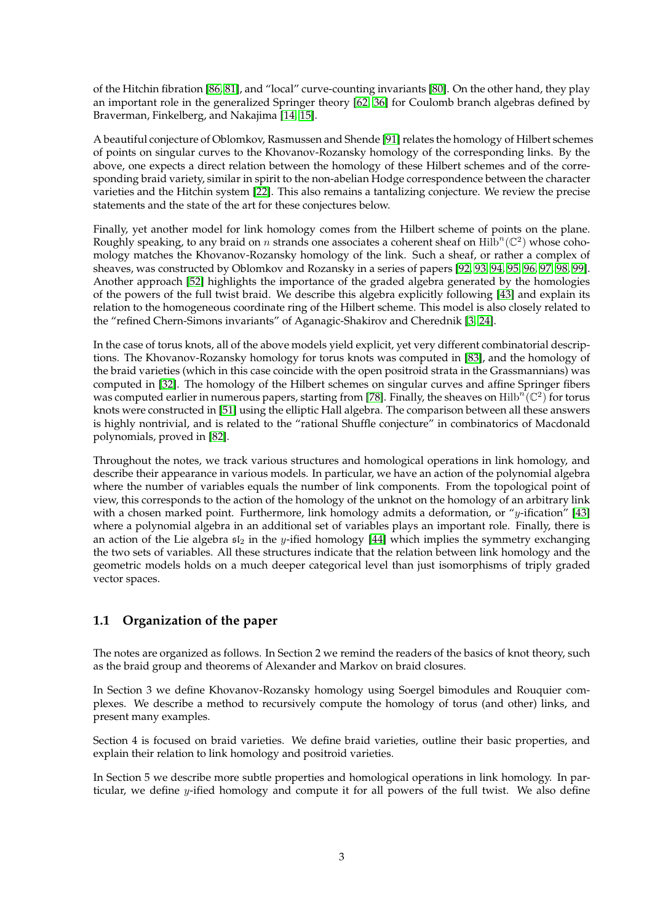of the Hitchin fibration [\[86,](#page-46-1) [81\]](#page-46-2), and "local" curve-counting invariants [\[80\]](#page-46-3). On the other hand, they play an important role in the generalized Springer theory [\[62,](#page-45-0) [36\]](#page-44-3) for Coulomb branch algebras defined by Braverman, Finkelberg, and Nakajima [\[14,](#page-43-2) [15\]](#page-43-3).

A beautiful conjecture of Oblomkov, Rasmussen and Shende [\[91\]](#page-47-0) relates the homology of Hilbert schemes of points on singular curves to the Khovanov-Rozansky homology of the corresponding links. By the above, one expects a direct relation between the homology of these Hilbert schemes and of the corresponding braid variety, similar in spirit to the non-abelian Hodge correspondence between the character varieties and the Hitchin system [\[22\]](#page-44-4). This also remains a tantalizing conjecture. We review the precise statements and the state of the art for these conjectures below.

Finally, yet another model for link homology comes from the Hilbert scheme of points on the plane. Roughly speaking, to any braid on n strands one associates a coherent sheaf on  $\mathrm{Hilb}^n(\mathbb{C}^2)$  whose cohomology matches the Khovanov-Rozansky homology of the link. Such a sheaf, or rather a complex of sheaves, was constructed by Oblomkov and Rozansky in a series of papers [\[92,](#page-47-1) [93,](#page-47-2) [94,](#page-47-3) [95,](#page-47-4) [96,](#page-47-5) [97,](#page-47-6) [98,](#page-47-7) [99\]](#page-47-8). Another approach [\[52\]](#page-45-1) highlights the importance of the graded algebra generated by the homologies of the powers of the full twist braid. We describe this algebra explicitly following [\[43\]](#page-44-5) and explain its relation to the homogeneous coordinate ring of the Hilbert scheme. This model is also closely related to the "refined Chern-Simons invariants" of Aganagic-Shakirov and Cherednik [\[3,](#page-43-4) [24\]](#page-44-6).

In the case of torus knots, all of the above models yield explicit, yet very different combinatorial descriptions. The Khovanov-Rozansky homology for torus knots was computed in [\[83\]](#page-46-4), and the homology of the braid varieties (which in this case coincide with the open positroid strata in the Grassmannians) was computed in [\[32\]](#page-44-0). The homology of the Hilbert schemes on singular curves and affine Springer fibers was computed earlier in numerous papers, starting from [\[78\]](#page-46-5). Finally, the sheaves on Hilb $\hat{n(\mathbb{C}^2)}$  for torus knots were constructed in [\[51\]](#page-45-2) using the elliptic Hall algebra. The comparison between all these answers is highly nontrivial, and is related to the "rational Shuffle conjecture" in combinatorics of Macdonald polynomials, proved in [\[82\]](#page-46-6).

Throughout the notes, we track various structures and homological operations in link homology, and describe their appearance in various models. In particular, we have an action of the polynomial algebra where the number of variables equals the number of link components. From the topological point of view, this corresponds to the action of the homology of the unknot on the homology of an arbitrary link with a chosen marked point. Furthermore, link homology admits a deformation, or "y-ification" [\[43\]](#page-44-5) where a polynomial algebra in an additional set of variables plays an important role. Finally, there is an action of the Lie algebra  $\mathfrak{sl}_2$  in the y-ified homology [\[44\]](#page-45-3) which implies the symmetry exchanging the two sets of variables. All these structures indicate that the relation between link homology and the geometric models holds on a much deeper categorical level than just isomorphisms of triply graded vector spaces.

# <span id="page-2-0"></span>**1.1 Organization of the paper**

The notes are organized as follows. In Section 2 we remind the readers of the basics of knot theory, such as the braid group and theorems of Alexander and Markov on braid closures.

In Section 3 we define Khovanov-Rozansky homology using Soergel bimodules and Rouquier complexes. We describe a method to recursively compute the homology of torus (and other) links, and present many examples.

Section 4 is focused on braid varieties. We define braid varieties, outline their basic properties, and explain their relation to link homology and positroid varieties.

In Section 5 we describe more subtle properties and homological operations in link homology. In particular, we define  $y$ -ified homology and compute it for all powers of the full twist. We also define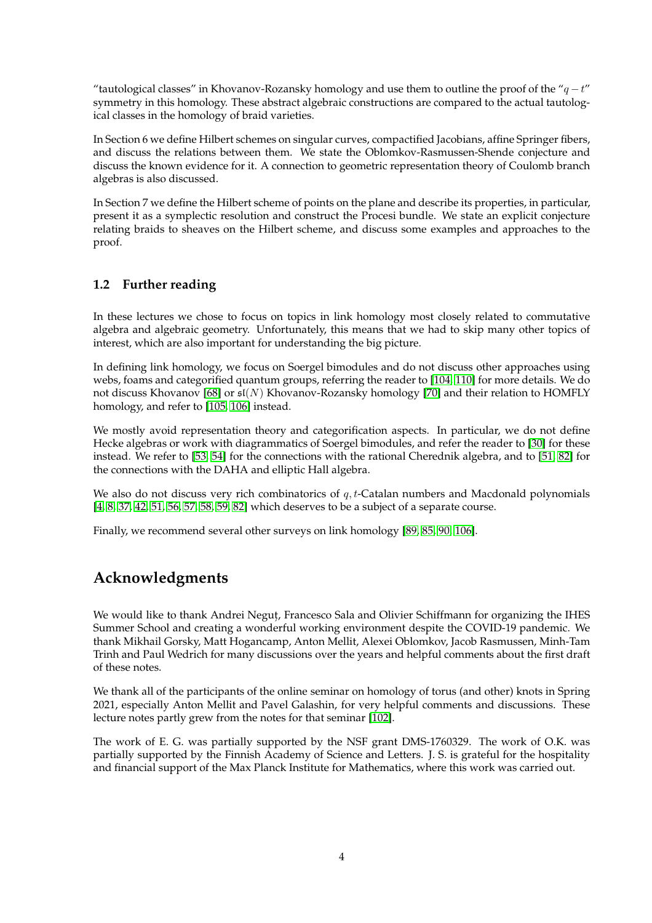"tautological classes" in Khovanov-Rozansky homology and use them to outline the proof of the " $q-t$ " symmetry in this homology. These abstract algebraic constructions are compared to the actual tautological classes in the homology of braid varieties.

In Section 6 we define Hilbert schemes on singular curves, compactified Jacobians, affine Springer fibers, and discuss the relations between them. We state the Oblomkov-Rasmussen-Shende conjecture and discuss the known evidence for it. A connection to geometric representation theory of Coulomb branch algebras is also discussed.

In Section 7 we define the Hilbert scheme of points on the plane and describe its properties, in particular, present it as a symplectic resolution and construct the Procesi bundle. We state an explicit conjecture relating braids to sheaves on the Hilbert scheme, and discuss some examples and approaches to the proof.

# <span id="page-3-0"></span>**1.2 Further reading**

In these lectures we chose to focus on topics in link homology most closely related to commutative algebra and algebraic geometry. Unfortunately, this means that we had to skip many other topics of interest, which are also important for understanding the big picture.

In defining link homology, we focus on Soergel bimodules and do not discuss other approaches using webs, foams and categorified quantum groups, referring the reader to [\[104,](#page-47-9) [110\]](#page-47-10) for more details. We do not discuss Khovanov [\[68\]](#page-46-7) or  $\mathfrak{sl}(N)$  Khovanov-Rozansky homology [\[70\]](#page-46-8) and their relation to HOMFLY homology, and refer to [\[105,](#page-47-11) [106\]](#page-47-12) instead.

We mostly avoid representation theory and categorification aspects. In particular, we do not define Hecke algebras or work with diagrammatics of Soergel bimodules, and refer the reader to [\[30\]](#page-44-7) for these instead. We refer to [\[53,](#page-45-4) [54\]](#page-45-5) for the connections with the rational Cherednik algebra, and to [\[51,](#page-45-2) [82\]](#page-46-6) for the connections with the DAHA and elliptic Hall algebra.

We also do not discuss very rich combinatorics of  $q$ ,  $t$ -Catalan numbers and Macdonald polynomials [\[4,](#page-43-5) [8,](#page-43-6) [37,](#page-44-8) [42,](#page-44-9) [51,](#page-45-2) [56,](#page-45-6) [57,](#page-45-7) [58,](#page-45-8) [59,](#page-45-9) [82\]](#page-46-6) which deserves to be a subject of a separate course.

Finally, we recommend several other surveys on link homology [\[89,](#page-47-13) [85,](#page-46-9) [90,](#page-47-14) [106\]](#page-47-12).

# **Acknowledgments**

We would like to thank Andrei Negut, , Francesco Sala and Olivier Schiffmann for organizing the IHES Summer School and creating a wonderful working environment despite the COVID-19 pandemic. We thank Mikhail Gorsky, Matt Hogancamp, Anton Mellit, Alexei Oblomkov, Jacob Rasmussen, Minh-Tam Trinh and Paul Wedrich for many discussions over the years and helpful comments about the first draft of these notes.

We thank all of the participants of the online seminar on homology of torus (and other) knots in Spring 2021, especially Anton Mellit and Pavel Galashin, for very helpful comments and discussions. These lecture notes partly grew from the notes for that seminar [\[102\]](#page-47-15).

The work of E. G. was partially supported by the NSF grant DMS-1760329. The work of O.K. was partially supported by the Finnish Academy of Science and Letters. J. S. is grateful for the hospitality and financial support of the Max Planck Institute for Mathematics, where this work was carried out.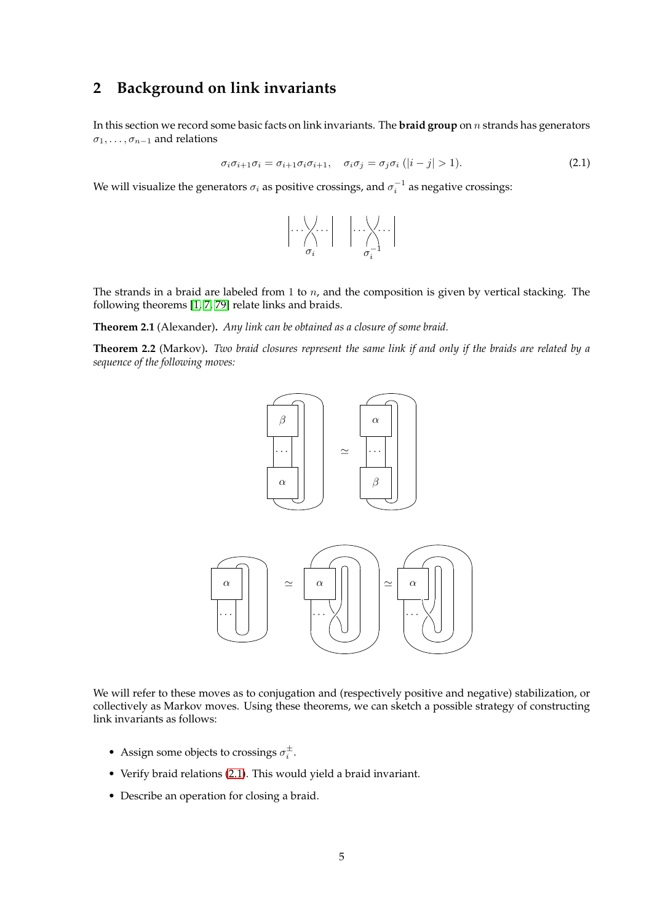# <span id="page-4-0"></span>**2 Background on link invariants**

In this section we record some basic facts on link invariants. The **braid group** on n strands has generators  $\sigma_1, \ldots, \sigma_{n-1}$  and relations

<span id="page-4-1"></span>
$$
\sigma_i \sigma_{i+1} \sigma_i = \sigma_{i+1} \sigma_i \sigma_{i+1}, \quad \sigma_i \sigma_j = \sigma_j \sigma_i \ (|i-j| > 1). \tag{2.1}
$$

We will visualize the generators  $\sigma_i$  as positive crossings, and  $\sigma_i^{-1}$  as negative crossings:

$$
\left|\cdots\underset{\sigma_i}{\sum}\cdots\right| \quad \left|\cdots\underset{\sigma_i}{\sum}\cdots\right|
$$

The strands in a braid are labeled from 1 to  $n$ , and the composition is given by vertical stacking. The following theorems [\[1,](#page-43-7) [7,](#page-43-8) [79\]](#page-46-10) relate links and braids.

**Theorem 2.1** (Alexander)**.** *Any link can be obtained as a closure of some braid.*

**Theorem 2.2** (Markov)**.** *Two braid closures represent the same link if and only if the braids are related by a sequence of the following moves:*



We will refer to these moves as to conjugation and (respectively positive and negative) stabilization, or collectively as Markov moves. Using these theorems, we can sketch a possible strategy of constructing link invariants as follows:

- Assign some objects to crossings  $\sigma_i^{\pm}$ .
- Verify braid relations [\(2.1\)](#page-4-1). This would yield a braid invariant.
- Describe an operation for closing a braid.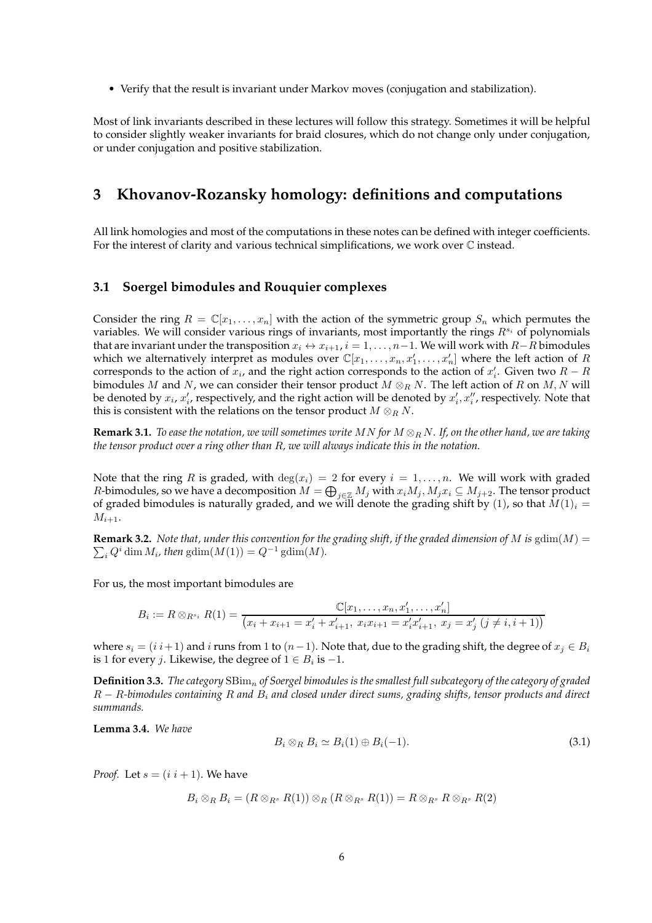• Verify that the result is invariant under Markov moves (conjugation and stabilization).

Most of link invariants described in these lectures will follow this strategy. Sometimes it will be helpful to consider slightly weaker invariants for braid closures, which do not change only under conjugation, or under conjugation and positive stabilization.

# <span id="page-5-0"></span>**3 Khovanov-Rozansky homology: definitions and computations**

All link homologies and most of the computations in these notes can be defined with integer coefficients. For the interest of clarity and various technical simplifications, we work over  $\mathbb C$  instead.

### <span id="page-5-1"></span>**3.1 Soergel bimodules and Rouquier complexes**

Consider the ring  $R = \mathbb{C}[x_1, \ldots, x_n]$  with the action of the symmetric group  $S_n$  which permutes the variables. We will consider various rings of invariants, most importantly the rings  $R^{s_i}$  of polynomials that are invariant under the transposition  $x_i \leftrightarrow x_{i+1}$ ,  $i = 1, \ldots, n-1$ . We will work with  $R-R$  bimodules which we alternatively interpret as modules over  $\mathbb{C}[x_1,\ldots,x_n,x'_1,\ldots,x'_n]$  where the left action of  $R$ corresponds to the action of  $x_i$ , and the right action corresponds to the action of  $x'_i$ . Given two  $R - R$ bimodules M and N, we can consider their tensor product  $M \otimes_R N$ . The left action of R on M, N will be denoted by  $x_i$ ,  $x'_i$ , respectively, and the right action will be denoted by  $x'_i, x''_i$ , respectively. Note that this is consistent with the relations on the tensor product  $M \otimes_R N$ .

**Remark 3.1.** *To ease the notation, we will sometimes write* MN *for* M ⊗<sup>R</sup> N*. If, on the other hand, we are taking the tensor product over a ring other than* R*, we will always indicate this in the notation.*

Note that the ring R is graded, with  $\deg(x_i) = 2$  for every  $i = 1, \ldots, n$ . We will work with graded *R*-bimodules, so we have a decomposition  $M = \bigoplus_{j \in \mathbb{Z}} M_j$  with  $x_i M_j$ ,  $M_j x_i \subseteq M_{j+2}$ . The tensor product of graded bimodules is naturally graded, and we will denote the grading shift by (1), so that  $M(1)_i =$  $M_{i+1}.$ 

 $\sum_i Q^i \dim M_i$ , then  $\text{gdim}(M(1)) = Q^{-1} \text{gdim}(M)$ . **Remark 3.2.** *Note that, under this convention for the grading shift, if the graded dimension of* M *is* gdim( $M$ ) =

For us, the most important bimodules are

$$
B_i := R \otimes_{R^{s_i}} R(1) = \frac{\mathbb{C}[x_1, \dots, x_n, x'_1, \dots, x'_n]}{(x_i + x_{i+1} = x'_i + x'_{i+1}, x_i x_{i+1} = x'_i x'_{i+1}, x_j = x'_j \ (j \neq i, i+1))}
$$

where  $s_i = (i \, i+1)$  and i runs from 1 to  $(n-1)$ . Note that, due to the grading shift, the degree of  $x_j \in B_i$ is 1 for every *j*. Likewise, the degree of  $1 \in B_i$  is  $-1$ .

**Definition 3.3.** *The category* SBim<sup>n</sup> *of Soergel bimodules is the smallest full subcategory of the category of graded* R − R*-bimodules containing* R *and* B<sup>i</sup> *and closed under direct sums, grading shifts, tensor products and direct summands.*

<span id="page-5-3"></span>**Lemma 3.4.** *We have*

<span id="page-5-2"></span>
$$
B_i \otimes_R B_i \simeq B_i(1) \oplus B_i(-1). \tag{3.1}
$$

*Proof.* Let  $s = (i \ i + 1)$ . We have

$$
B_i\otimes_R B_i=(R\otimes_{R^s}R(1))\otimes_R(R\otimes_{R^s}R(1))=R\otimes_{R^s}R\otimes_{R^s}R(2)
$$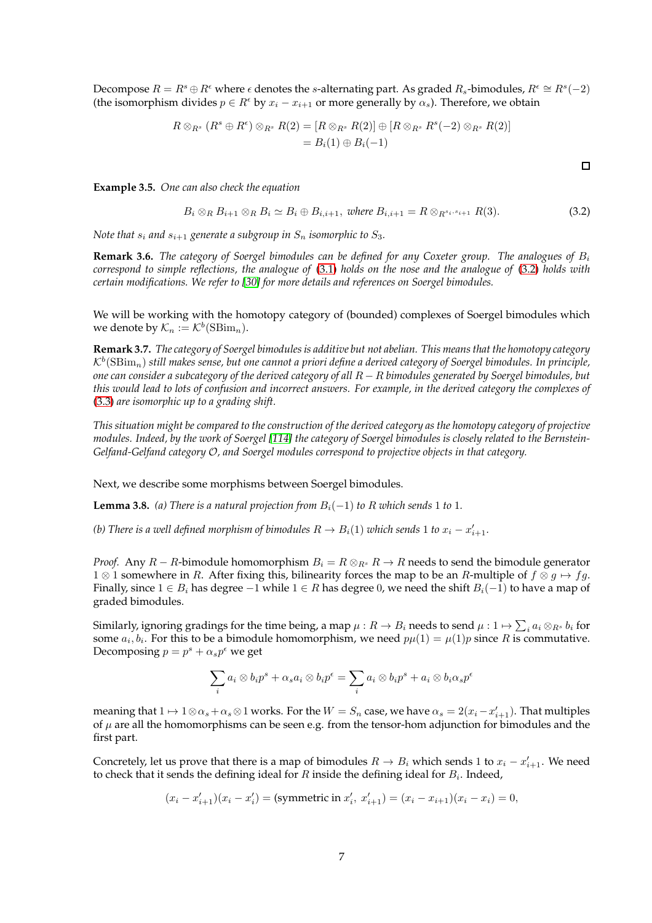Decompose  $R = R^s \oplus R^{\epsilon}$  where  $\epsilon$  denotes the s-alternating part. As graded  $R_s$ -bimodules,  $R^{\epsilon} \cong R^s(-2)$ (the isomorphism divides  $p \in R^{\epsilon}$  by  $x_i - x_{i+1}$  or more generally by  $\alpha_s$ ). Therefore, we obtain

$$
R \otimes_{R^s} (R^s \oplus R^{\epsilon}) \otimes_{R^s} R(2) = [R \otimes_{R^s} R(2)] \oplus [R \otimes_{R^s} R^s(-2) \otimes_{R^s} R(2)]
$$
  
=  $B_i(1) \oplus B_i(-1)$ 

**Example 3.5.** *One can also check the equation*

<span id="page-6-0"></span>
$$
B_i \otimes_R B_{i+1} \otimes_R B_i \simeq B_i \oplus B_{i,i+1}, \text{ where } B_{i,i+1} = R \otimes_{R^{s_i,s_{i+1}}} R(3). \tag{3.2}
$$

*Note that*  $s_i$  *and*  $s_{i+1}$  *generate a subgroup in*  $S_n$  *isomorphic to*  $S_3$ *.* 

**Remark 3.6.** *The category of Soergel bimodules can be defined for any Coxeter group. The analogues of* B<sup>i</sup> *correspond to simple reflections, the analogue of* [\(3.1\)](#page-5-2) *holds on the nose and the analogue of* [\(3.2\)](#page-6-0) *holds with certain modifications. We refer to [\[30\]](#page-44-7) for more details and references on Soergel bimodules.*

We will be working with the homotopy category of (bounded) complexes of Soergel bimodules which we denote by  $\mathcal{K}_n := \mathcal{K}^b(\text{SBim}_n)$ .

**Remark 3.7.** *The category of Soergel bimodules is additive but not abelian. This means that the homotopy category*  $\mathcal{K}^b(\mathrm{SBim}_n)$  still makes sense, but one cannot a priori define a derived category of Soergel bimodules. In principle, *one can consider a subcategory of the derived category of all* R − R *bimodules generated by Soergel bimodules, but this would lead to lots of confusion and incorrect answers. For example, in the derived category the complexes of* [\(3.3\)](#page-7-0) *are isomorphic up to a grading shift.*

*This situation might be compared to the construction of the derived category as the homotopy category of projective modules. Indeed, by the work of Soergel [\[114\]](#page-48-0) the category of Soergel bimodules is closely related to the Bernstein-Gelfand-Gelfand category* O*, and Soergel modules correspond to projective objects in that category.*

Next, we describe some morphisms between Soergel bimodules.

<span id="page-6-1"></span>**Lemma 3.8.** *(a)* There is a natural projection from  $B_i(-1)$  to R which sends 1 to 1*.* 

*(b)* There is a well defined morphism of bimodules  $R \rightarrow B_i(1)$  which sends 1 to  $x_i - x'_{i+1}$ .

*Proof.* Any  $R - R$ -bimodule homomorphism  $B_i = R \otimes_{R^s} R \to R$  needs to send the bimodule generator  $1 \otimes 1$  somewhere in R. After fixing this, bilinearity forces the map to be an R-multiple of  $f \otimes g \mapsto fg$ . Finally, since  $1 \in B_i$  has degree  $-1$  while  $1 \in R$  has degree 0, we need the shift  $B_i(-1)$  to have a map of graded bimodules.

Similarly, ignoring gradings for the time being, a map  $\mu: R \to B_i$  needs to send  $\mu: 1 \mapsto \sum_i a_i \otimes_{R^s} b_i$  for some  $a_i, b_i$ . For this to be a bimodule homomorphism, we need  $p\mu(1) = \mu(1)p$  since R is commutative. Decomposing  $p = p^s + \alpha_s p^{\epsilon}$  we get

$$
\sum_i a_i \otimes b_i p^s + \alpha_s a_i \otimes b_i p^{\epsilon} = \sum_i a_i \otimes b_i p^s + a_i \otimes b_i \alpha_s p^{\epsilon}
$$

meaning that  $1 \mapsto 1\otimes \alpha_s + \alpha_s\otimes 1$  works. For the  $W = S_n$  case, we have  $\alpha_s = 2(x_i - x'_{i+1})$ . That multiples of  $\mu$  are all the homomorphisms can be seen e.g. from the tensor-hom adjunction for bimodules and the first part.

Concretely, let us prove that there is a map of bimodules  $R \to B_i$  which sends 1 to  $x_i - x'_{i+1}$ . We need to check that it sends the defining ideal for  $R$  inside the defining ideal for  $B_i$ . Indeed,

$$
(x_i - x'_{i+1})(x_i - x'_i)
$$
 = (symmetric in  $x'_i$ ,  $x'_{i+1}$ ) =  $(x_i - x_{i+1})(x_i - x_i) = 0$ ,

 $\Box$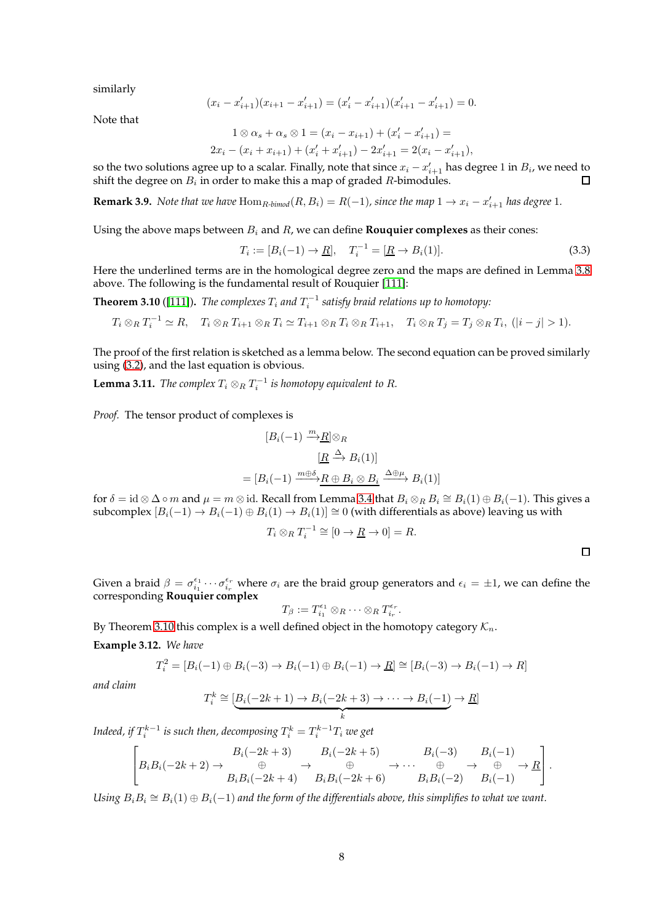similarly

$$
(x_i - x'_{i+1})(x_{i+1} - x'_{i+1}) = (x'_i - x'_{i+1})(x'_{i+1} - x'_{i+1}) = 0.
$$

Note that

$$
1 \otimes \alpha_s + \alpha_s \otimes 1 = (x_i - x_{i+1}) + (x'_i - x'_{i+1}) =
$$
  

$$
2x_i - (x_i + x_{i+1}) + (x'_i + x'_{i+1}) - 2x'_{i+1} = 2(x_i - x'_{i+1}),
$$

so the two solutions agree up to a scalar. Finally, note that since  $x_i - x'_{i+1}$  has degree 1 in  $B_i$ , we need to shift the degree on  $B_i$  in order to make this a map of graded  $R$ -bimodules.  $\Box$ 

<span id="page-7-3"></span>**Remark 3.9.** *Note that we have*  $\text{Hom}_{R\text{-bimod}}(R, B_i) = R(-1)$ *, since the map*  $1 \to x_i - x'_{i+1}$  *has degree* 1*.* 

Using the above maps between  $B_i$  and  $R_i$ , we can define **Rouquier complexes** as their cones:

<span id="page-7-0"></span>
$$
T_i := [B_i(-1) \to \underline{R}], \quad T_i^{-1} = [\underline{R} \to B_i(1)]. \tag{3.3}
$$

Here the underlined terms are in the homological degree zero and the maps are defined in Lemma [3.8](#page-6-1) above. The following is the fundamental result of Rouquier [\[111\]](#page-47-16):

<span id="page-7-1"></span>**Theorem 3.10** ([\[111\]](#page-47-16)). The complexes  $T_i$  and  $T_i^{-1}$  satisfy braid relations up to homotopy:

$$
T_i \otimes_R T_i^{-1} \simeq R, \quad T_i \otimes_R T_{i+1} \otimes_R T_i \simeq T_{i+1} \otimes_R T_i \otimes_R T_{i+1}, \quad T_i \otimes_R T_j = T_j \otimes_R T_i, \quad (|i-j|>1).
$$

The proof of the first relation is sketched as a lemma below. The second equation can be proved similarly using [\(3.2\)](#page-6-0), and the last equation is obvious.

<span id="page-7-4"></span>**Lemma 3.11.** *The complex*  $T_i \otimes_R T_i^{-1}$  *is homotopy equivalent to R.* 

*Proof.* The tensor product of complexes is

$$
[B_i(-1) \xrightarrow{m} \underline{R}] \otimes_R
$$

$$
[\underline{R} \xrightarrow{\Delta} B_i(1)]
$$

$$
= [B_i(-1) \xrightarrow{m \oplus \delta} \underline{R} \oplus B_i \otimes B_i \xrightarrow{\Delta \oplus \mu} B_i(1)]
$$

for  $\delta = \text{id} \otimes \Delta \circ m$  and  $\mu = m \otimes \text{id}$ . Recall from Lemma [3.4](#page-5-3) that  $B_i \otimes_R B_i \cong B_i(1) \oplus B_i(-1)$ . This gives a subcomplex  $[B_i(-1) \to B_i(-1) \oplus B_i(1) \to B_i(1)] \cong 0$  (with differentials as above) leaving us with

$$
T_i \otimes_R T_i^{-1} \cong [0 \to \underline{R} \to 0] = R.
$$

 $\Box$ 

Given a braid  $\beta = \sigma_{i_1}^{\epsilon_1} \cdots \sigma_{i_r}^{\epsilon_r}$  where  $\sigma_i$  are the braid group generators and  $\epsilon_i = \pm 1$ , we can define the corresponding **Rouquier complex**

$$
T_{\beta} := T_{i_1}^{\epsilon_1} \otimes_R \cdots \otimes_R T_{i_r}^{\epsilon_r}.
$$

By Theorem [3.10](#page-7-1) this complex is a well defined object in the homotopy category  $\mathcal{K}_n$ .

<span id="page-7-2"></span>**Example 3.12.** *We have*

$$
T_i^2 = [B_i(-1) \oplus B_i(-3) \to B_i(-1) \oplus B_i(-1) \to \underline{R}] \cong [B_i(-3) \to B_i(-1) \to R]
$$

*and claim*

$$
T_i^k \cong \underbrace{[B_i(-2k+1) \to B_i(-2k+3) \to \cdots \to B_i(-1)}_k \to \underline{R}]
$$

Indeed, if  $T_i^{k-1}$  is such then, decomposing  $T_i^k = T_i^{k-1} T_i$  we get

$$
\left[B_iB_i(-2k+2)\to\begin{array}{c}B_i(-2k+3)&B_i(-2k+5)&B_i(-3)&B_i(-1)\\ \oplus&\to\oplus&\to\oplus&\to\oplus\\ B_iB_i(-2k+4)&B_iB_i(-2k+6)&B_iB_i(-2)&B_i(-1)\end{array}\right].
$$

Using  $B_i B_i \cong B_i(1) \oplus B_i(-1)$  and the form of the differentials above, this simplifies to what we want.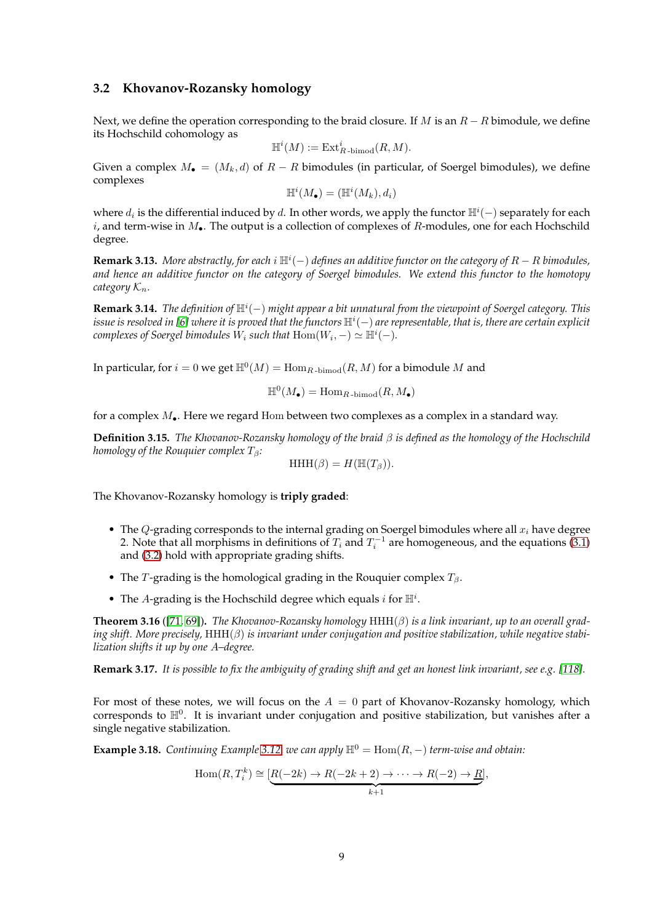#### <span id="page-8-0"></span>**3.2 Khovanov-Rozansky homology**

Next, we define the operation corresponding to the braid closure. If M is an  $R - R$  bimodule, we define its Hochschild cohomology as

$$
\mathbb{H}^i(M) := \mathrm{Ext}^i_{R\text{-bimod}}(R,M).
$$

Given a complex  $M_{\bullet} = (M_k, d)$  of  $R - R$  bimodules (in particular, of Soergel bimodules), we define complexes

$$
\mathbb{H}^i(M_\bullet)=(\mathbb{H}^i(M_k),d_i)
$$

where  $d_i$  is the differential induced by  $d$ . In other words, we apply the functor  $\mathbb{H}^i(-)$  separately for each i, and term-wise in  $M_{\bullet}$ . The output is a collection of complexes of R-modules, one for each Hochschild degree.

**Remark 3.13.** *More abstractly, for each* i H<sup>i</sup> (−) *defines an additive functor on the category of* R − R *bimodules, and hence an additive functor on the category of Soergel bimodules. We extend this functor to the homotopy category*  $K_n$ *.* 

**Remark 3.14.** *The definition of* H<sup>i</sup> (−) *might appear a bit unnatural from the viewpoint of Soergel category. This* issue is resolved in [\[6\]](#page-43-9) where it is proved that the functors  $\mathbb{H}^i(-)$  are representable, that is, there are certain explicit *complexes of Soergel bimodules*  $W_i$  *such that*  $\text{Hom}(W_i, -) \simeq \mathbb{H}^i(-)$ *.* 

In particular, for  $i = 0$  we get  $\mathbb{H}^0(M) = \mathrm{Hom}_{R\mathrm{\operatorname{-bimod}}}(R,M)$  for a bimodule  $M$  and

$$
\mathbb{H}^0(M_{\bullet}) = \mathrm{Hom}_{R\text{-bimod}}(R,M_{\bullet})
$$

for a complex  $M_{\bullet}$ . Here we regard Hom between two complexes as a complex in a standard way.

**Definition 3.15.** *The Khovanov-Rozansky homology of the braid* β *is defined as the homology of the Hochschild homology of the Rouquier complex*  $T_β$ :

$$
HHH(\beta) = H(\mathbb{H}(T_{\beta})).
$$

The Khovanov-Rozansky homology is **triply graded**:

- The  $Q$ -grading corresponds to the internal grading on Soergel bimodules where all  $x_i$  have degree 2. Note that all morphisms in definitions of  $T_i$  and  $T_i^{-1}$  are homogeneous, and the equations [\(3.1\)](#page-5-2) and [\(3.2\)](#page-6-0) hold with appropriate grading shifts.
- The T-grading is the homological grading in the Rouquier complex  $T_\beta$ .
- The A-grading is the Hochschild degree which equals  $i$  for  $\mathbb{H}^i$ .

**Theorem 3.16** ([\[71,](#page-46-11) [69\]](#page-46-12))**.** *The Khovanov-Rozansky homology* HHH(β) *is a link invariant, up to an overall grading shift. More precisely,* HHH(β) *is invariant under conjugation and positive stabilization, while negative stabilization shifts it up by one* A*–degree.*

**Remark 3.17.** *It is possible to fix the ambiguity of grading shift and get an honest link invariant, see e.g. [\[118\]](#page-48-1).*

For most of these notes, we will focus on the  $A = 0$  part of Khovanov-Rozansky homology, which corresponds to  $\mathbb{H}^0$ . It is invariant under conjugation and positive stabilization, but vanishes after a single negative stabilization.

<span id="page-8-1"></span>**Example 3.18.** *Continuing Example* [3.12,](#page-7-2) *we can apply*  $\mathbb{H}^0 = \text{Hom}(R, -)$  *term-wise and obtain:* 

$$
Hom(R, T_i^k) \cong \underbrace{[R(-2k) \to R(-2k+2) \to \cdots \to R(-2) \to \underline{R}]}_{k+1},
$$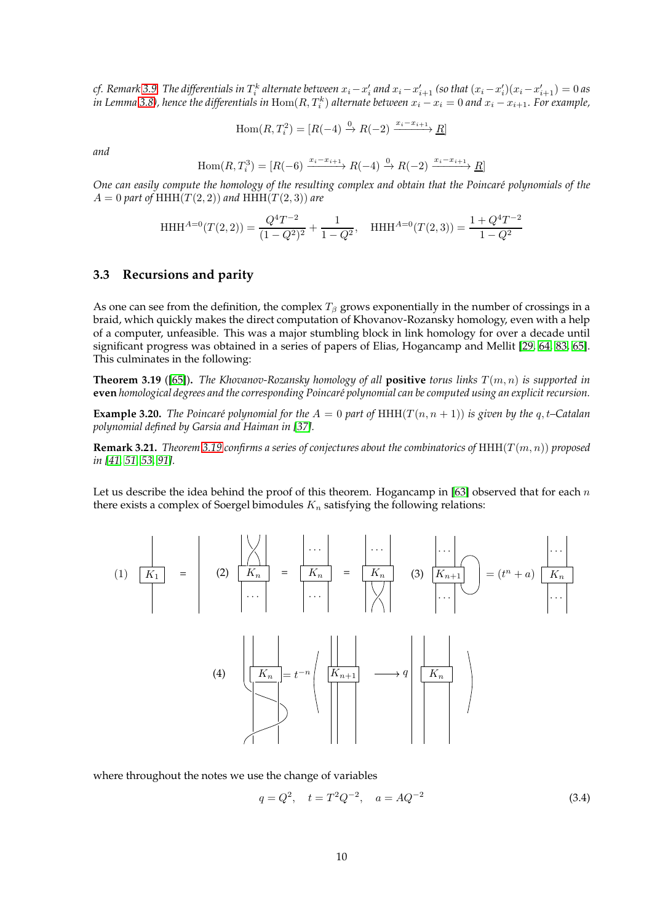*cf.* Remark [3.9.](#page-7-3) The differentials in  $T_i^k$  alternate between  $x_i - x_i'$  and  $x_i - x_{i+1}'$  (so that  $(x_i - x_i')(x_i - x_{i+1}') = 0$  as in Lemma [3.8\)](#page-6-1), hence the differentials in  ${\rm Hom}(R,T_i^k)$  alternate between  $x_i-x_i=0$  and  $x_i-x_{i+1}.$  For example,

$$
\text{Hom}(R, T_i^2) = [R(-4) \xrightarrow{0} R(-2) \xrightarrow{x_i - x_{i+1}} \underline{R}]
$$

*and*

$$
\text{Hom}(R, T_i^3) = [R(-6) \xrightarrow{x_i - x_{i+1}} R(-4) \xrightarrow{0} R(-2) \xrightarrow{x_i - x_{i+1}} \underline{R}]
$$

*One can easily compute the homology of the resulting complex and obtain that the Poincar´e polynomials of the*  $A = 0$  part of HHH $(T(2, 2))$  and HHH $(T(2, 3))$  are

$$
\text{HHH}^{A=0}(T(2,2)) = \frac{Q^4 T^{-2}}{(1-Q^2)^2} + \frac{1}{1-Q^2}, \quad \text{HHH}^{A=0}(T(2,3)) = \frac{1+Q^4 T^{-2}}{1-Q^2}
$$

### <span id="page-9-0"></span>**3.3 Recursions and parity**

As one can see from the definition, the complex  $T_\beta$  grows exponentially in the number of crossings in a braid, which quickly makes the direct computation of Khovanov-Rozansky homology, even with a help of a computer, unfeasible. This was a major stumbling block in link homology for over a decade until significant progress was obtained in a series of papers of Elias, Hogancamp and Mellit [\[29,](#page-44-10) [64,](#page-45-10) [83,](#page-46-4) [65\]](#page-45-11). This culminates in the following:

<span id="page-9-1"></span>**Theorem 3.19** ([\[65\]](#page-45-11)). *The Khovanov-Rozansky homology of all* **positive** *torus links*  $T(m, n)$  *is supported in* **even** *homological degrees and the corresponding Poincar´e polynomial can be computed using an explicit recursion.*

**Example 3.20.** The Poincaré polynomial for the  $A = 0$  part of HHH( $T(n, n + 1)$ ) is given by the q, t–Catalan *polynomial defined by Garsia and Haiman in [\[37\]](#page-44-8).*

**Remark 3.21.** *Theorem* [3.19](#page-9-1) *confirms a series of conjectures about the combinatorics of*  $HHH(T(m, n))$  *proposed in [\[41,](#page-44-11) [51,](#page-45-2) [53,](#page-45-4) [91\]](#page-47-0).*

Let us describe the idea behind the proof of this theorem. Hogancamp in [\[63\]](#page-45-12) observed that for each  $n$ there exists a complex of Soergel bimodules  $K_n$  satisfying the following relations:

$$
(1) \quad \overline{K_1} = \begin{vmatrix} \sqrt{\sqrt{2}} \\ 2 \sqrt{K_n} \\ \cdots \\ \cdots \end{vmatrix} = \begin{vmatrix} \cdots \\ \overline{K_n} \\ \cdots \\ \cdots \end{vmatrix} = \begin{vmatrix} \cdots \\ \overline{K_n} \\ \cdots \\ \cdots \end{vmatrix} \quad (3) \quad \overline{\begin{vmatrix} K_{n+1} \\ \cdots \\ \cdots \\ \cdots \end{vmatrix}} = (t^n + a) \begin{vmatrix} \cdots \\ \overline{K_n} \\ \cdots \\ \cdots \end{vmatrix}
$$

where throughout the notes we use the change of variables

<span id="page-9-2"></span>
$$
q = Q^2, \quad t = T^2 Q^{-2}, \quad a = AQ^{-2}
$$
\n(3.4)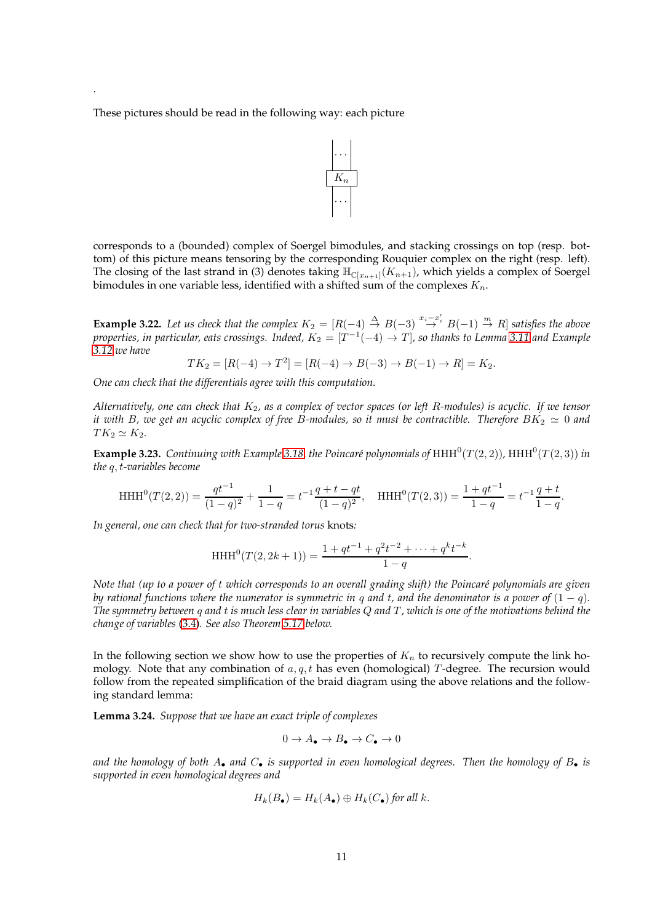These pictures should be read in the following way: each picture

.



corresponds to a (bounded) complex of Soergel bimodules, and stacking crossings on top (resp. bottom) of this picture means tensoring by the corresponding Rouquier complex on the right (resp. left). The closing of the last strand in (3) denotes taking  $\mathbb{H}_{\mathbb{C}[x_{n+1}]}(K_{n+1})$ , which yields a complex of Soergel bimodules in one variable less, identified with a shifted sum of the complexes  $K_n$ .

**Example 3.22.** Let us check that the complex  $K_2 = [R(-4) \stackrel{\Delta}{\rightarrow} B(-3) \stackrel{x_i-x_i'}{\rightarrow} B(-1) \stackrel{m}{\rightarrow} R]$  satisfies the above properties, in particular, eats crossings. Indeed,  $K_2=[T^{-1}(-4)\rightarrow T]$ , so thanks to Lemma [3.11](#page-7-4) and Example *[3.12](#page-7-2) we have*

$$
TK_2 = [R(-4) \to T^2] = [R(-4) \to B(-3) \to B(-1) \to R] = K_2.
$$

*One can check that the differentials agree with this computation.*

*Alternatively, one can check that* K2*, as a complex of vector spaces (or left* R*-modules) is acyclic. If we tensor it with* B, we get an acyclic complex of free B-modules, so it must be contractible. Therefore  $BK_2 \simeq 0$  and  $TK_2 \simeq K_2$ .

<span id="page-10-0"></span>**Example 3.23.** *Continuing with Example* [3.18,](#page-8-1) the Poincaré polynomials of  $HHH^0(T(2, 2))$ ,  $HHH^0(T(2, 3))$  in *the* q, t*-variables become*

$$
\mathrm{HHH}^{0}(T(2,2)) = \frac{qt^{-1}}{(1-q)^{2}} + \frac{1}{1-q} = t^{-1}\frac{q+t-qt}{(1-q)^{2}}, \quad \mathrm{HHH}^{0}(T(2,3)) = \frac{1+qt^{-1}}{1-q} = t^{-1}\frac{q+t}{1-q}.
$$

*In general, one can check that for two-stranded torus* knots*:*

HHH<sup>0</sup>(T(2, 2k + 1)) = 
$$
\frac{1 + qt^{-1} + q^2t^{-2} + \dots + q^kt^{-k}}{1 - q}.
$$

*Note that (up to a power of t which corresponds to an overall grading shift) the Poincaré polynomials are given by rational functions where the numerator is symmetric in q and t, and the denominator is a power of*  $(1 - q)$ *. The symmetry between* q *and* t *is much less clear in variables* Q *and* T *, which is one of the motivations behind the change of variables* [\(3.4\)](#page-9-2)*. See also Theorem [5.17](#page-25-1) below.*

In the following section we show how to use the properties of  $K_n$  to recursively compute the link homology. Note that any combination of  $a, q, t$  has even (homological) T-degree. The recursion would follow from the repeated simplification of the braid diagram using the above relations and the following standard lemma:

**Lemma 3.24.** *Suppose that we have an exact triple of complexes*

$$
0 \to A_{\bullet} \to B_{\bullet} \to C_{\bullet} \to 0
$$

and the homology of both  $A_{\bullet}$  and  $C_{\bullet}$  is supported in even homological degrees. Then the homology of  $B_{\bullet}$  is *supported in even homological degrees and*

$$
H_k(B_\bullet) = H_k(A_\bullet) \oplus H_k(C_\bullet)
$$
 for all k.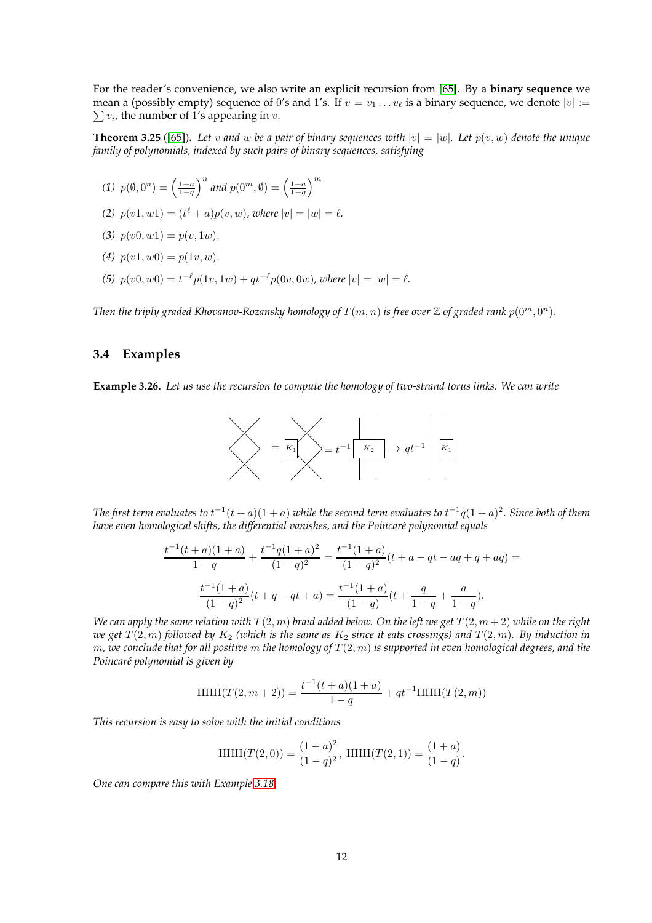For the reader's convenience, we also write an explicit recursion from [\[65\]](#page-45-11). By a **binary sequence** we mean a (possibly empty) sequence of 0's and 1's. If  $v = v_1 \ldots v_\ell$  is a binary sequence, we denote  $|v| :=$  $\sum v_i$ , the number of 1's appearing in v.

<span id="page-11-2"></span>**Theorem 3.25** ([\[65\]](#page-45-11)). Let v and w be a pair of binary sequences with  $|v| = |w|$ . Let  $p(v, w)$  denote the unique *family of polynomials, indexed by such pairs of binary sequences, satisfying*

- (1)  $p(\emptyset, 0^n) = \left(\frac{1+a}{1-q}\right)$  $\int^n$  and  $p(0^m, \emptyset) = \left(\frac{1+a}{1-q}\right)$  $\setminus^m$
- (2)  $p(v1, w1) = (t^{\ell} + a)p(v, w)$ , where  $|v| = |w| = \ell$ .
- (3)  $p(v0, w1) = p(v, 1w)$ .
- (4)  $p(v1, w0) = p(1v, w)$ .
- (5)  $p(v0, w0) = t^{-\ell} p(1v, 1w) + qt^{-\ell} p(0v, 0w)$ , where  $|v| = |w| = \ell$ .

<span id="page-11-0"></span>*Then the triply graded Khovanov-Rozansky homology of*  $T(m, n)$  *is free over*  $\mathbb Z$  *of graded rank*  $p(0^m, 0^n)$ *.* 

### **3.4 Examples**

<span id="page-11-1"></span>**Example 3.26.** *Let us use the recursion to compute the homology of two-strand torus links. We can write*



The first term evaluates to  $t^{-1}(t+a)(1+a)$  while the second term evaluates to  $t^{-1}q(1+a)^2$ . Since both of them have even homological shifts, the differential vanishes, and the Poincaré polynomial equals

$$
\frac{t^{-1}(t+a)(1+a)}{1-q} + \frac{t^{-1}q(1+a)^2}{(1-q)^2} = \frac{t^{-1}(1+a)}{(1-q)^2}(t+a-qt-aq+q+aq) =
$$

$$
\frac{t^{-1}(1+a)}{(1-q)^2}(t+q-qt+a) = \frac{t^{-1}(1+a)}{(1-q)}(t+\frac{q}{1-q}+\frac{a}{1-q}).
$$

*We can apply the same relation with*  $T(2, m)$  *braid added below. On the left we get*  $T(2, m + 2)$  *while on the right we get*  $T(2, m)$  *followed by*  $K_2$  *(which is the same as*  $K_2$  *since it eats crossings) and*  $T(2, m)$ *. By induction in* m*, we conclude that for all positive* m *the homology of* T (2, m) *is supported in even homological degrees, and the Poincar´e polynomial is given by*

HHH(T(2,m+2)) = 
$$
\frac{t^{-1}(t+a)(1+a)}{1-q} + qt^{-1}HHH(T(2,m))
$$

*This recursion is easy to solve with the initial conditions*

HHH(
$$
T(2, 0)
$$
) =  $\frac{(1+a)^2}{(1-q)^2}$ , HHH( $T(2, 1)$ ) =  $\frac{(1+a)}{(1-q)}$ .

*One can compare this with Example [3.18.](#page-8-1)*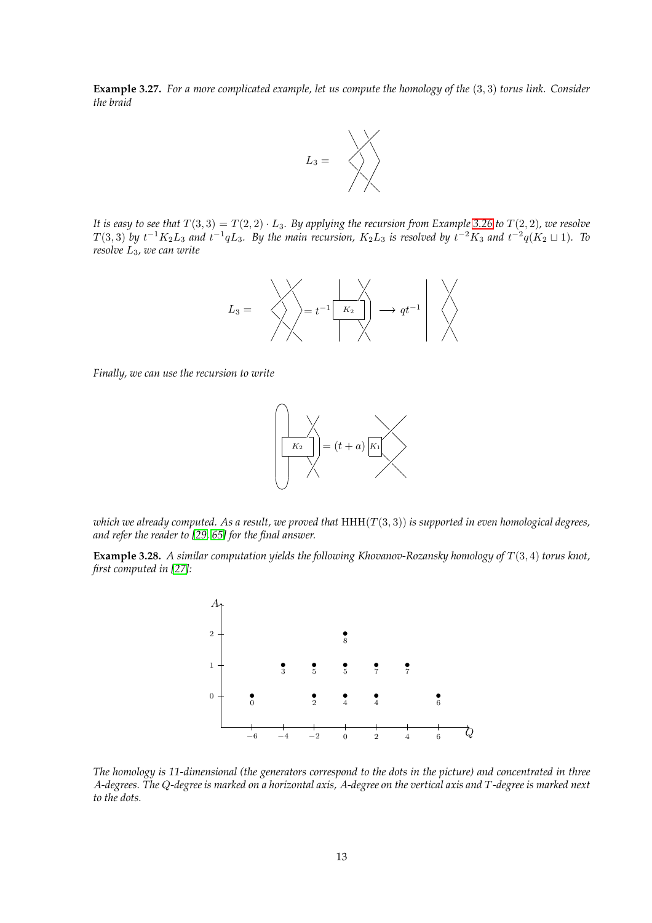**Example 3.27.** *For a more complicated example, let us compute the homology of the* (3, 3) *torus link. Consider the braid*



*It is easy to see that*  $T(3,3) = T(2,2) \cdot L_3$ *. By applying the recursion from Example* [3.26](#page-11-1) *to*  $T(2,2)$ *, we resolve*  $T(3,3)$  by  $t^{-1}K_2L_3$  and  $t^{-1}qL_3$ . By the main recursion,  $K_2L_3$  is resolved by  $t^{-2}K_3$  and  $t^{-2}q(K_2\sqcup 1)$ . To *resolve* L3*, we can write*



*Finally, we can use the recursion to write*



*which we already computed. As a result, we proved that* HHH(T (3, 3)) *is supported in even homological degrees, and refer the reader to [\[29,](#page-44-10) [65\]](#page-45-11) for the final answer.*

<span id="page-12-0"></span>**Example 3.28.** *A similar computation yields the following Khovanov-Rozansky homology of* T (3, 4) *torus knot, first computed in [\[27\]](#page-44-12):*



*The homology is 11-dimensional (the generators correspond to the dots in the picture) and concentrated in three* A*-degrees. The* Q*-degree is marked on a horizontal axis,* A*-degree on the vertical axis and* T *-degree is marked next to the dots.*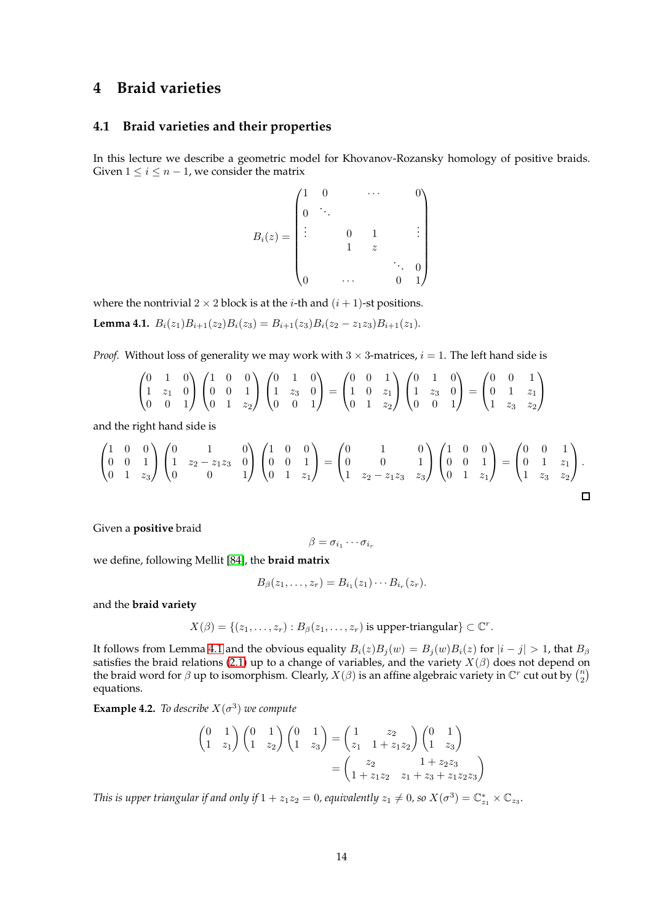# <span id="page-13-1"></span><span id="page-13-0"></span>**4 Braid varieties**

### **4.1 Braid varieties and their properties**

In this lecture we describe a geometric model for Khovanov-Rozansky homology of positive braids. Given  $1 \leq i \leq n-1$ , we consider the matrix

$$
B_i(z) = \begin{pmatrix} 1 & 0 & & & \cdots & & 0 \\ 0 & \ddots & & & & \\ \vdots & & 0 & 1 & & \vdots \\ & & 1 & z & & \\ 0 & & \cdots & & 0 & 1 \end{pmatrix}
$$

where the nontrivial  $2 \times 2$  block is at the *i*-th and  $(i + 1)$ -st positions.

<span id="page-13-2"></span>**Lemma 4.1.**  $B_i(z_1)B_{i+1}(z_2)B_i(z_3) = B_{i+1}(z_3)B_i(z_2 - z_1z_3)B_{i+1}(z_1)$ .

*Proof.* Without loss of generality we may work with  $3 \times 3$ -matrices,  $i = 1$ . The left hand side is

$$
\begin{pmatrix} 0 & 1 & 0 \ 1 & z_1 & 0 \ 0 & 0 & 1 \end{pmatrix} \begin{pmatrix} 1 & 0 & 0 \ 0 & 0 & 1 \ 0 & 1 & z_2 \end{pmatrix} \begin{pmatrix} 0 & 1 & 0 \ 1 & z_3 & 0 \ 0 & 0 & 1 \end{pmatrix} = \begin{pmatrix} 0 & 0 & 1 \ 1 & 0 & z_1 \ 0 & 1 & z_2 \end{pmatrix} \begin{pmatrix} 0 & 1 & 0 \ 1 & z_3 & 0 \ 0 & 0 & 1 \end{pmatrix} = \begin{pmatrix} 0 & 0 & 1 \ 0 & 1 & z_1 \ 1 & z_3 & z_2 \end{pmatrix}
$$

and the right hand side is

$$
\begin{pmatrix} 1 & 0 & 0 \ 0 & 0 & 1 \ 0 & 1 & z_3 \end{pmatrix} \begin{pmatrix} 0 & 1 & 0 \ 1 & z_2 - z_1 z_3 & 0 \ 0 & 0 & 1 \end{pmatrix} \begin{pmatrix} 1 & 0 & 0 \ 0 & 0 & 1 \ 0 & 1 & z_1 \end{pmatrix} = \begin{pmatrix} 0 & 1 & 0 \ 0 & 0 & 1 \ 1 & z_2 - z_1 z_3 & z_3 \end{pmatrix} \begin{pmatrix} 1 & 0 & 0 \ 0 & 0 & 1 \ 0 & 1 & z_1 \end{pmatrix} = \begin{pmatrix} 0 & 0 & 1 \ 0 & 1 & z_1 \ 1 & z_3 & z_2 \end{pmatrix}.
$$

Given a **positive** braid

$$
\beta = \sigma_{i_1} \cdots \sigma_{i_r}
$$

we define, following Mellit [\[84\]](#page-46-0), the **braid matrix**

$$
B_{\beta}(z_1,\ldots,z_r)=B_{i_1}(z_1)\cdots B_{i_r}(z_r).
$$

and the **braid variety**

$$
X(\beta) = \{(z_1, \ldots, z_r) : B_{\beta}(z_1, \ldots, z_r) \text{ is upper-triangular}\} \subset \mathbb{C}^r.
$$

It follows from Lemma [4.1](#page-13-2) and the obvious equality  $B_i(z)B_j(w) = B_j(w)B_i(z)$  for  $|i - j| > 1$ , that  $B_\beta$ satisfies the braid relations [\(2.1\)](#page-4-1) up to a change of variables, and the variety  $X(\beta)$  does not depend on the braid word for  $\beta$  up to isomorphism. Clearly,  $X(\beta)$  is an affine algebraic variety in  $\mathbb{C}^r$  cut out by  $\binom{n}{2}$ equations.

<span id="page-13-3"></span>**Example 4.2.** *To describe*  $X(\sigma^3)$  *we compute* 

$$
\begin{pmatrix} 0 & 1 \ 1 & z_1 \end{pmatrix} \begin{pmatrix} 0 & 1 \ 1 & z_2 \end{pmatrix} \begin{pmatrix} 0 & 1 \ 1 & z_3 \end{pmatrix} = \begin{pmatrix} 1 & z_2 \ z_1 & 1+z_1z_2 \end{pmatrix} \begin{pmatrix} 0 & 1 \ 1 & z_3 \end{pmatrix}
$$

$$
= \begin{pmatrix} z_2 & 1+z_2z_3 \ 1+z_1z_2 & z_1+z_3+z_1z_2z_3 \end{pmatrix}
$$

*This is upper triangular if and only if*  $1 + z_1 z_2 = 0$ , equivalently  $z_1 \neq 0$ , so  $X(\sigma^3) = \mathbb{C}^*_{z_1} \times \mathbb{C}_{z_3}$ .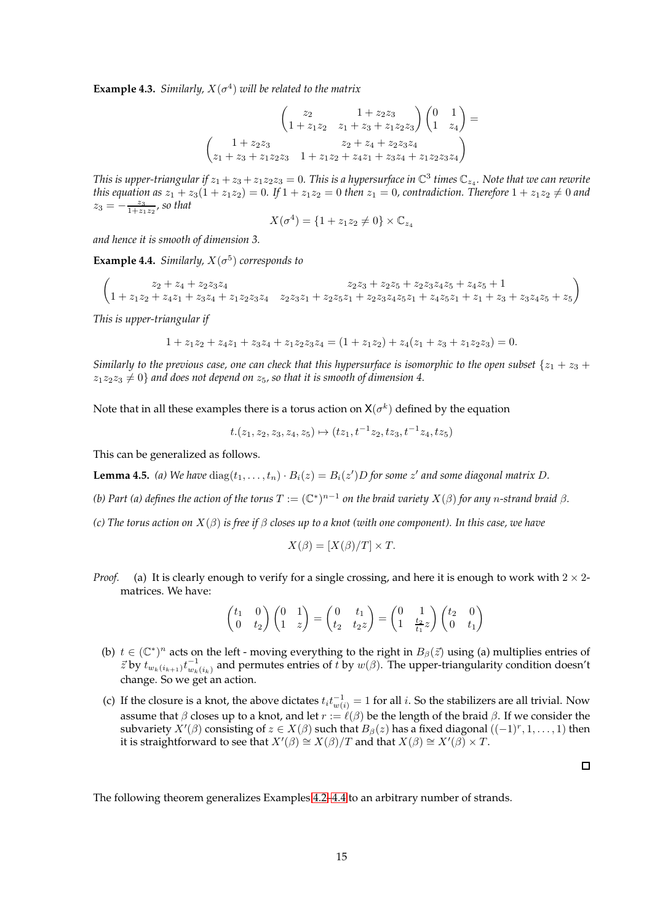<span id="page-14-1"></span>**Example 4.3.** *Similarly,*  $X(\sigma^4)$  *will be related to the matrix* 

$$
\begin{pmatrix} z_2 & 1 + z_2 z_3 \ 1 + z_1 z_2 & z_1 + z_3 + z_1 z_2 z_3 \end{pmatrix} \begin{pmatrix} 0 & 1 \ 1 & z_4 \end{pmatrix} =
$$
  

$$
\begin{pmatrix} 1 + z_2 z_3 & z_2 + z_4 + z_2 z_3 z_4 \ z_1 + z_3 + z_1 z_2 z_3 & 1 + z_1 z_2 + z_4 z_1 + z_3 z_4 + z_1 z_2 z_3 z_4 \end{pmatrix}
$$

This is upper-triangular if  $z_1 + z_3 + z_1z_2z_3 = 0$ . This is a hypersurface in  $\mathbb{C}^3$  times  $\mathbb{C}_{z_4}$ . Note that we can rewrite *this equation as*  $z_1 + z_3(1 + z_1z_2) = 0$ . If  $1 + z_1z_2 = 0$  *then*  $z_1 = 0$ *, contradiction. Therefore*  $1 + z_1z_2 \neq 0$  *and*  $z_3 = -\frac{z_3}{1+z_1z_2}$ , so that

$$
X(\sigma^4) = \{1 + z_1 z_2 \neq 0\} \times \mathbb{C}_{z_4}
$$

*and hence it is smooth of dimension 3.*

<span id="page-14-0"></span>**Example 4.4.** *Similarly,*  $X(\sigma^5)$  *corresponds to* 

$$
\begin{pmatrix} z_2+z_4+z_2z_3z_4 & z_2z_3+z_2z_5+z_2z_3z_4z_5+z_4z_5+1 \cr 1+z_1z_2+z_4z_1+z_3z_4+z_1z_2z_3z_4 & z_2z_3z_1+z_2z_5z_1+z_2z_3z_4z_5z_1+z_4z_5z_1+z_1z_3+z_3z_4z_5+z_5 \end{pmatrix}
$$

*This is upper-triangular if*

$$
1 + z_1 z_2 + z_4 z_1 + z_3 z_4 + z_1 z_2 z_3 z_4 = (1 + z_1 z_2) + z_4 (z_1 + z_3 + z_1 z_2 z_3) = 0.
$$

*Similarly to the previous case, one can check that this hypersurface is isomorphic to the open subset*  $\{z_1 + z_3 + z_4\}$  $z_1z_2z_3 \neq 0$  *and does not depend on*  $z_5$ *, so that it is smooth of dimension 4.* 

Note that in all these examples there is a torus action on  $\mathsf{X}(\sigma^k)$  defined by the equation

$$
t.(z_1, z_2, z_3, z_4, z_5) \mapsto (tz_1, t^{-1}z_2, tz_3, t^{-1}z_4, tz_5)
$$

This can be generalized as follows.

<span id="page-14-2"></span>**Lemma 4.5.** (a) We have  $diag(t_1, \ldots, t_n) \cdot B_i(z) = B_i(z')D$  for some  $z'$  and some diagonal matrix D.

(b) Part (a) defines the action of the torus  $T:=(\mathbb{C}^*)^{n-1}$  on the braid variety  $X(\beta)$  for any n-strand braid  $\beta.$ 

*(c) The torus action on* X(β) *is free if* β *closes up to a knot (with one component). In this case, we have*

$$
X(\beta) = [X(\beta)/T] \times T.
$$

*Proof.* (a) It is clearly enough to verify for a single crossing, and here it is enough to work with  $2 \times 2$ matrices. We have:

$$
\begin{pmatrix} t_1 & 0 \ 0 & t_2 \end{pmatrix} \begin{pmatrix} 0 & 1 \ 1 & z \end{pmatrix} = \begin{pmatrix} 0 & t_1 \ t_2 & t_2 z \end{pmatrix} = \begin{pmatrix} 0 & 1 \ 1 & \frac{t_2}{t_1} z \end{pmatrix} \begin{pmatrix} t_2 & 0 \ 0 & t_1 \end{pmatrix}
$$

- (b)  $t \in (\mathbb{C}^*)^n$  acts on the left moving everything to the right in  $B_\beta(\vec{z})$  using (a) multiplies entries of  $z$  by  $t_{w_k(i_{k+1})}t_{w_k(i_k)}^{-1}$  and permutes entries of  $t$  by  $w(\beta)$ . The upper-triangularity condition doesn't change. So we get an action.
- (c) If the closure is a knot, the above dictates  $t_i t_{w(i)}^{-1} = 1$  for all i. So the stabilizers are all trivial. Now assume that  $\beta$  closes up to a knot, and let  $r := \ell(\beta)$  be the length of the braid  $\beta$ . If we consider the subvariety  $X'(\beta)$  consisting of  $z\in X(\beta)$  such that  $B_\beta(z)$  has a fixed diagonal  $((-1)^r,1,\ldots,1)$  then it is straightforward to see that  $X'(\beta) \cong X(\beta)/T$  and that  $X(\beta) \cong X'(\beta) \times T$ .

 $\Box$ 

The following theorem generalizes Examples [4.2](#page-13-3)[–4.4](#page-14-0) to an arbitrary number of strands.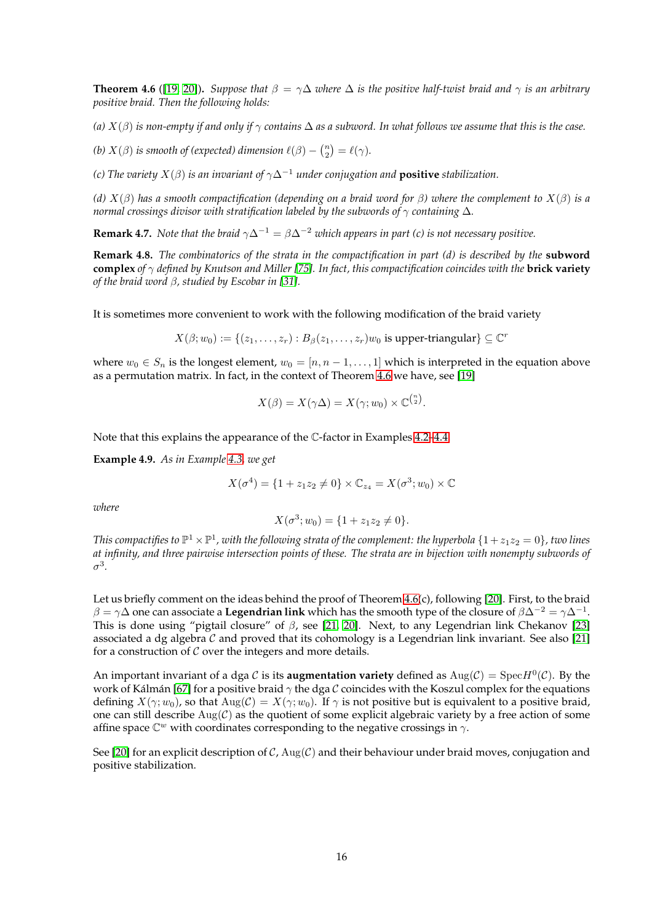<span id="page-15-0"></span>**Theorem 4.6** ([\[19,](#page-43-10) [20\]](#page-43-1)). *Suppose that*  $\beta = \gamma \Delta$  *where*  $\Delta$  *is the positive half-twist braid and*  $\gamma$  *is an arbitrary positive braid. Then the following holds:*

*(a)*  $X(\beta)$  *is non-empty if and only if*  $\gamma$  *contains*  $\Delta$  *as a subword. In what follows we assume that this is the case.* 

*(b)*  $X(\beta)$  *is smooth of (expected) dimension*  $\ell(\beta) - \binom{n}{2} = \ell(\gamma)$ *.* 

*(c) The variety* X(β) *is an invariant of* γ∆−<sup>1</sup> *under conjugation and* **positive** *stabilization.*

*(d)* X(β) *has a smooth compactification (depending on a braid word for* β*) where the complement to* X(β) *is a normal crossings divisor with stratification labeled by the subwords of* γ *containing* ∆*.*

**Remark 4.7.** *Note that the braid*  $\gamma \Delta^{-1} = \beta \Delta^{-2}$  *which appears in part (c) is not necessary positive.* 

**Remark 4.8.** *The combinatorics of the strata in the compactification in part (d) is described by the* **subword complex** *of* γ *defined by Knutson and Miller [\[75\]](#page-46-13). In fact, this compactification coincides with the* **brick variety** *of the braid word* β*, studied by Escobar in [\[31\]](#page-44-13).*

It is sometimes more convenient to work with the following modification of the braid variety

 $X(\beta; w_0) := \{(z_1, \ldots, z_r) : B_\beta(z_1, \ldots, z_r)w_0 \text{ is upper-triangular}\} \subseteq \mathbb{C}^r$ 

where  $w_0 \in S_n$  is the longest element,  $w_0 = [n, n-1, \dots, 1]$  which is interpreted in the equation above as a permutation matrix. In fact, in the context of Theorem [4.6](#page-15-0) we have, see [\[19\]](#page-43-10)

$$
X(\beta) = X(\gamma \Delta) = X(\gamma; w_0) \times \mathbb{C}^{\binom{n}{2}}.
$$

Note that this explains the appearance of the C-factor in Examples [4.2](#page-13-3)[–4.4.](#page-14-0)

**Example 4.9.** *As in Example [4.3,](#page-14-1) we get*

$$
X(\sigma^4) = \{1 + z_1 z_2 \neq 0\} \times \mathbb{C}_{z_4} = X(\sigma^3; w_0) \times \mathbb{C}
$$

*where*

$$
X(\sigma^3; w_0) = \{1 + z_1 z_2 \neq 0\}.
$$

This compactifies to  $\mathbb{P}^1\times\mathbb{P}^1$ , with the following strata of the complement: the hyperbola  $\{1+z_1z_2=0\}$ , two lines *at infinity, and three pairwise intersection points of these. The strata are in bijection with nonempty subwords of* σ 3 *.*

Let us briefly comment on the ideas behind the proof of Theorem [4.6\(](#page-15-0)c), following [\[20\]](#page-43-1). First, to the braid  $\beta=\gamma\Delta$  one can associate a **Legendrian link** which has the smooth type of the closure of  $\beta\Delta^{-2}=\gamma\Delta^{-1}.$ This is done using "pigtail closure" of  $\beta$ , see [\[21,](#page-44-14) [20\]](#page-43-1). Next, to any Legendrian link Chekanov [\[23\]](#page-44-15) associated a dg algebra  $C$  and proved that its cohomology is a Legendrian link invariant. See also [\[21\]](#page-44-14) for a construction of  $\mathcal C$  over the integers and more details.

An important invariant of a dga C is its **augmentation variety** defined as  $\text{Aug}(\mathcal{C}) = \text{Spec}H^0(\mathcal{C})$ . By the work of Kálmán [\[67\]](#page-46-14) for a positive braid  $\gamma$  the dga C coincides with the Koszul complex for the equations defining  $X(\gamma; w_0)$ , so that  $\text{Aug}(\mathcal{C}) = X(\gamma; w_0)$ . If  $\gamma$  is not positive but is equivalent to a positive braid, one can still describe  $\text{Aug}(\mathcal{C})$  as the quotient of some explicit algebraic variety by a free action of some affine space  $\mathbb{C}^w$  with coordinates corresponding to the negative crossings in  $\gamma$ .

See [\[20\]](#page-43-1) for an explicit description of C,  $\text{Aug}(\mathcal{C})$  and their behaviour under braid moves, conjugation and positive stabilization.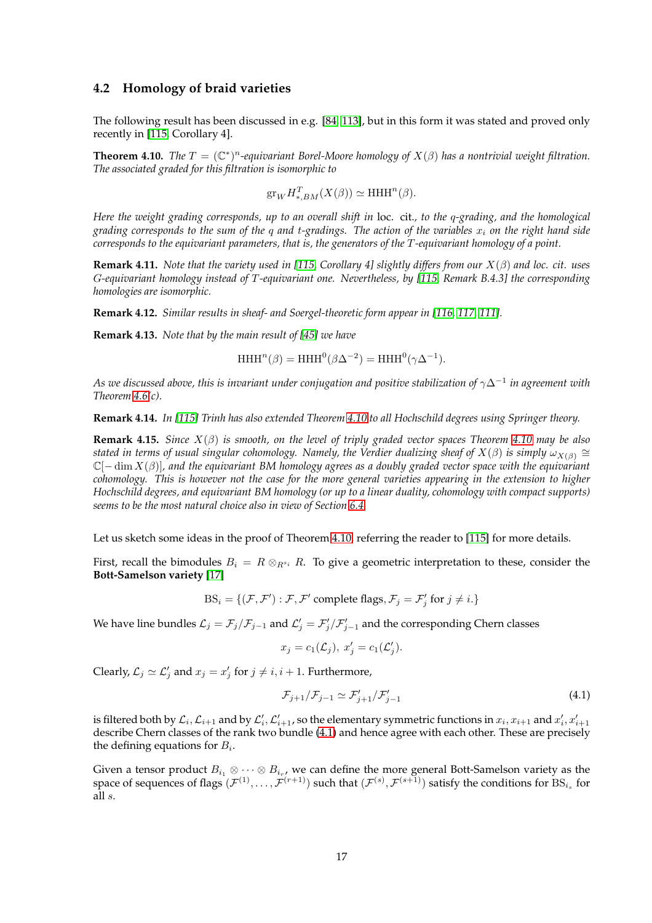#### <span id="page-16-0"></span>**4.2 Homology of braid varieties**

The following result has been discussed in e.g. [\[84,](#page-46-0) [113\]](#page-48-2), but in this form it was stated and proved only recently in [\[115,](#page-48-3) Corollary 4].

<span id="page-16-1"></span>**Theorem 4.10.** *The*  $T = (\mathbb{C}^*)^n$ -equivariant Borel-Moore homology of  $X(\beta)$  has a nontrivial weight filtration. *The associated graded for this filtration is isomorphic to*

$$
\text{gr}_W H_{*,BM}^T(X(\beta)) \simeq \text{HHH}^n(\beta).
$$

*Here the weight grading corresponds, up to an overall shift in* loc. cit.*, to the* q*-grading, and the homological grading corresponds to the sum of the* q *and* t*-gradings. The action of the variables* x<sup>i</sup> *on the right hand side corresponds to the equivariant parameters, that is, the generators of the* T *-equivariant homology of a point.*

**Remark 4.11.** *Note that the variety used in [\[115,](#page-48-3) Corollary 4] slightly differs from our* X(β) *and loc. cit. uses* G*-equivariant homology instead of* T *-equivariant one. Nevertheless, by [\[115,](#page-48-3) Remark B.4.3] the corresponding homologies are isomorphic.*

**Remark 4.12.** *Similar results in sheaf- and Soergel-theoretic form appear in [\[116,](#page-48-4) [117,](#page-48-5) [111\]](#page-47-16).*

**Remark 4.13.** *Note that by the main result of [\[45\]](#page-45-13) we have*

 $HHH^{n}(\beta) = HHH^{0}(\beta \Delta^{-2}) = HHH^{0}(\gamma \Delta^{-1}).$ 

*As we discussed above, this is invariant under conjugation and positive stabilization of* γ∆<sup>−</sup><sup>1</sup> *in agreement with Theorem [4.6\(](#page-15-0)c).*

**Remark 4.14.** *In [\[115\]](#page-48-3) Trinh has also extended Theorem [4.10](#page-16-1) to all Hochschild degrees using Springer theory.*

**Remark 4.15.** *Since* X(β) *is smooth, on the level of triply graded vector spaces Theorem [4.10](#page-16-1) may be also* stated in terms of usual singular cohomology. Namely, the Verdier dualizing sheaf of  $X(\beta)$  is simply  $\omega_{X(\beta)}\cong$ C[− dim X(β)]*, and the equivariant BM homology agrees as a doubly graded vector space with the equivariant cohomology. This is however not the case for the more general varieties appearing in the extension to higher Hochschild degrees, and equivariant BM homology (or up to a linear duality, cohomology with compact supports) seems to be the most natural choice also in view of Section [6.4.](#page-36-0)*

Let us sketch some ideas in the proof of Theorem [4.10,](#page-16-1) referring the reader to [\[115\]](#page-48-3) for more details.

First, recall the bimodules  $B_i = R \otimes_{R^{s_i}} R$ . To give a geometric interpretation to these, consider the **Bott-Samelson variety** [\[17\]](#page-43-11)

 $BS_i = \{(\mathcal{F}, \mathcal{F}'): \mathcal{F}, \mathcal{F}' \text{ complete flags}, \mathcal{F}_j = \mathcal{F}'_j \text{ for } j \neq i.\}$ 

We have line bundles  $\mathcal{L}_j = \mathcal{F}_j/\mathcal{F}_{j-1}$  and  $\mathcal{L}'_j = \mathcal{F}'_j/\mathcal{F}'_{j-1}$  and the corresponding Chern classes

$$
x_j = c_1(\mathcal{L}_j), x'_j = c_1(\mathcal{L}'_j).
$$

Clearly,  $\mathcal{L}_j \simeq \mathcal{L}'_j$  and  $x_j = x'_j$  for  $j \neq i, i + 1$ . Furthermore,

<span id="page-16-2"></span>
$$
\mathcal{F}_{j+1}/\mathcal{F}_{j-1} \simeq \mathcal{F}'_{j+1}/\mathcal{F}'_{j-1} \tag{4.1}
$$

is filtered both by  $\mathcal{L}_i$ ,  $\mathcal{L}_{i+1}$  and by  $\mathcal{L}'_i$ ,  $\mathcal{L}'_{i+1}$ , so the elementary symmetric functions in  $x_i$ ,  $x_{i+1}$  and  $x'_i$ ,  $x'_{i+1}$ describe Chern classes of the rank two bundle [\(4.1\)](#page-16-2) and hence agree with each other. These are precisely the defining equations for  $B_i$ .

Given a tensor product  $B_{i_1}\otimes \cdots \otimes B_{i_r}$ , we can define the more general Bott-Samelson variety as the space of sequences of flags  $(\mathcal{F}^{(1)},\ldots,\mathcal{F}^{(r+1)})$  such that  $(\mathcal{F}^{(s)},\mathcal{F}^{(s+1)})$  satisfy the conditions for  $\text{BS}_{i_s}$  for all s.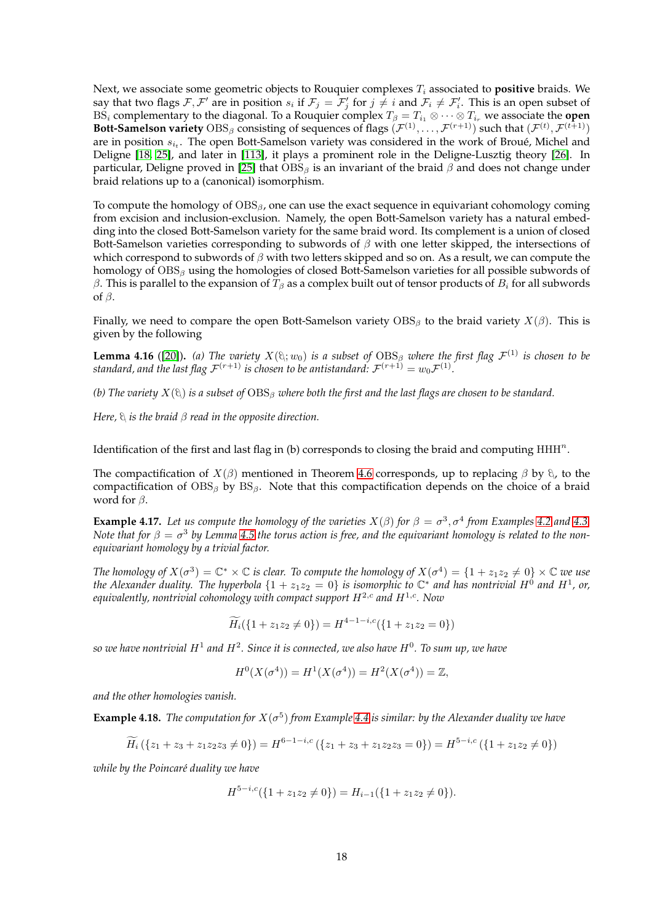Next, we associate some geometric objects to Rouquier complexes  $T_i$  associated to **positive** braids. We say that two flags  $\mathcal{F}, \mathcal{F}'$  are in position  $s_i$  if  $\mathcal{F}_j = \mathcal{F}'_j$  for  $j \neq i$  and  $\mathcal{F}_i \neq \mathcal{F}'_i$ . This is an open subset of BS<sub>i</sub> complementary to the diagonal. To a Rouquier complex  $T_\beta = T_{i_1} \otimes \cdots \otimes T_{i_r}$  we associate the **open Bott-Samelson variety**  $\text{OBS}_{\beta}$  consisting of sequences of flags  $(\mathcal{F}^{(1)}, \ldots, \mathcal{F}^{(r+1)})$  such that  $(\mathcal{F}^{(t)}, \mathcal{F}^{(t+1)})$ are in position  $s_{i_t}$ . The open Bott-Samelson variety was considered in the work of Broué, Michel and Deligne [\[18,](#page-43-12) [25\]](#page-44-16), and later in [\[113\]](#page-48-2), it plays a prominent role in the Deligne-Lusztig theory [\[26\]](#page-44-17). In particular, Deligne proved in [\[25\]](#page-44-16) that  $OBS_\beta$  is an invariant of the braid  $\beta$  and does not change under braid relations up to a (canonical) isomorphism.

To compute the homology of  $OBS_\beta$ , one can use the exact sequence in equivariant cohomology coming from excision and inclusion-exclusion. Namely, the open Bott-Samelson variety has a natural embedding into the closed Bott-Samelson variety for the same braid word. Its complement is a union of closed Bott-Samelson varieties corresponding to subwords of  $\beta$  with one letter skipped, the intersections of which correspond to subwords of  $\beta$  with two letters skipped and so on. As a result, we can compute the homology of  $OBS_\beta$  using the homologies of closed Bott-Samelson varieties for all possible subwords of β. This is parallel to the expansion of  $T_\beta$  as a complex built out of tensor products of  $B_i$  for all subwords of  $\beta$ .

Finally, we need to compare the open Bott-Samelson variety  $OBS_\beta$  to the braid variety  $X(\beta)$ . This is given by the following

**Lemma 4.16** ([\[20\]](#page-43-1)). (a) The variety  $X(\theta; w_0)$  is a subset of  $OBS_\beta$  where the first flag  $\mathcal{F}^{(1)}$  is chosen to be standard, and the last flag  ${\cal F}^{(r+1)}$  is chosen to be antistandard:  ${\cal F}^{(r+1)}=w_0{\cal F}^{(1)}.$ 

*(b) The variety*  $X(\ell)$  *is a subset of*  $OBS_{\beta}$  *where both the first and the last flags are chosen to be standard.* 

*Here,*  $\theta$  *is the braid*  $\beta$  *read in the opposite direction.* 

Identification of the first and last flag in (b) corresponds to closing the braid and computing  $\text{HHH}^n$ .

The compactification of  $X(\beta)$  mentioned in Theorem [4.6](#page-15-0) corresponds, up to replacing  $\beta$  by  $\beta$ , to the compactification of  $OBS_\beta$  by  $BS_\beta$ . Note that this compactification depends on the choice of a braid word for  $\beta$ .

**Example 4.17.** Let us compute the homology of the varieties  $X(\beta)$  for  $\beta = \sigma^3$ ,  $\sigma^4$  from Examples [4.2](#page-13-3) and [4.3.](#page-14-1) *Note that for*  $\beta = \sigma^3$  by Lemma [4.5](#page-14-2) the torus action is free, and the equivariant homology is related to the non*equivariant homology by a trivial factor.*

*The homology of*  $X(\sigma^3) = \mathbb{C}^* \times \mathbb{C}$  *is clear. To compute the homology of*  $X(\sigma^4) = \{1 + z_1z_2 \neq 0\} \times \mathbb{C}$  *we use* the Alexander duality. The hyperbola  $\{1+z_1z_2=0\}$  is isomorphic to  $\mathbb{C}^*$  and has nontrivial  $H^0$  and  $H^1$ , or, *equivalently, nontrivial cohomology with compact support* H<sup>2</sup>,c *and* H<sup>1</sup>,c*. Now*

$$
\widetilde{H}_i(\{1+z_1z_2\neq 0\}) = H^{4-1-i,c}(\{1+z_1z_2=0\})
$$

*so we have nontrivial* H<sup>1</sup> *and* H<sup>2</sup> *. Since it is connected, we also have* H<sup>0</sup> *. To sum up, we have*

$$
H^{0}(X(\sigma^{4})) = H^{1}(X(\sigma^{4})) = H^{2}(X(\sigma^{4})) = \mathbb{Z},
$$

*and the other homologies vanish.*

**Example 4.18.** The computation for  $X(\sigma^5)$  from Example [4.4](#page-14-0) is similar: by the Alexander duality we have

$$
\widetilde{H}_i\left(\{z_1+z_3+z_1z_2z_3\neq0\}\right) = H^{6-1-i,c}\left(\{z_1+z_3+z_1z_2z_3=0\}\right) = H^{5-i,c}\left(\{1+z_1z_2\neq0\}\right)
$$

*while by the Poincar´e duality we have*

$$
H^{5-i,c}(\{1+z_1z_2\neq 0\})=H_{i-1}(\{1+z_1z_2\neq 0\}).
$$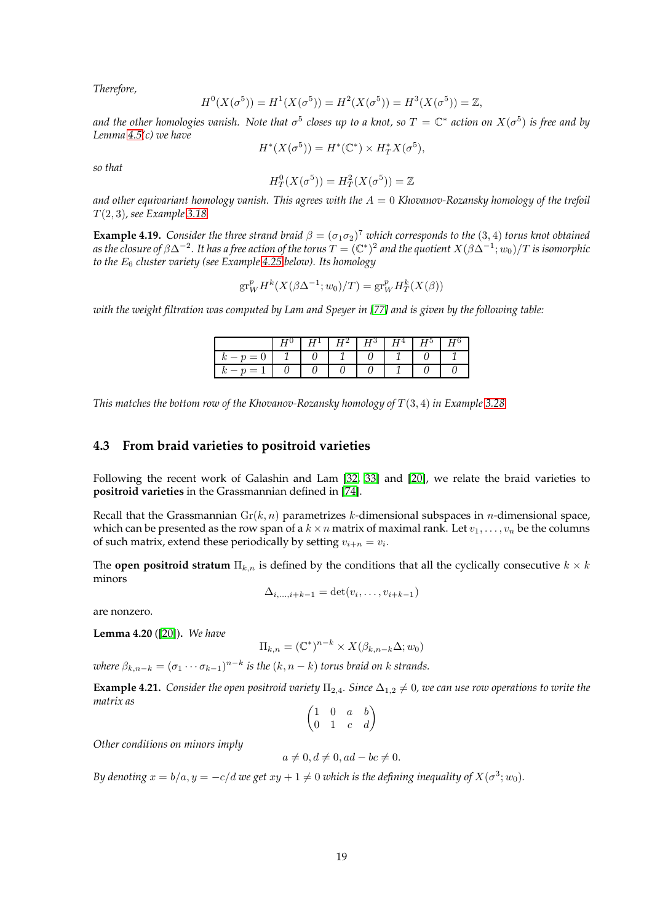*Therefore,*

$$
H^{0}(X(\sigma^{5})) = H^{1}(X(\sigma^{5})) = H^{2}(X(\sigma^{5})) = H^{3}(X(\sigma^{5})) = \mathbb{Z},
$$

and the other homologies vanish. Note that  $\sigma^5$  closes up to a knot, so  $T={\Bbb C}^*$  action on  $X(\sigma^5)$  is free and by *Lemma [4.5\(](#page-14-2)c) we have*

$$
H^*(X(\sigma^5)) = H^*(\mathbb{C}^*) \times H^*_T X(\sigma^5),
$$

*so that*

$$
H_T^0(X(\sigma^5)) = H_T^2(X(\sigma^5)) = \mathbb{Z}
$$

*and other equivariant homology vanish. This agrees with the* A = 0 *Khovanov-Rozansky homology of the trefoil* T (2, 3)*, see Example [3.18.](#page-8-1)*

<span id="page-18-2"></span>**Example 4.19.** *Consider the three strand braid*  $\beta = (\sigma_1 \sigma_2)^7$  *which corresponds to the* (3, 4) *torus knot obtained* as the closure of  $\beta\Delta^{-2}$ . It has a free action of the torus  $T=(\mathbb{C}^*)^2$  and the quotient  $X(\beta\Delta^{-1};w_0)/T$  is isomorphic *to the* E<sup>6</sup> *cluster variety (see Example [4.25](#page-19-2) below). Its homology*

$$
\operatorname{gr}^p_W H^k(X(\beta \Delta^{-1}; w_0)/T) = \operatorname{gr}^p_W H^k_T(X(\beta))
$$

*with the weight filtration was computed by Lam and Speyer in [\[77\]](#page-46-15) and is given by the following table:*

|         | $H^{\perp}$ |  | $\mid H^2 \mid H^3 \mid H^4 \mid H^5 \mid$ |  |
|---------|-------------|--|--------------------------------------------|--|
| $x-p=0$ |             |  |                                            |  |
| $-10=$  |             |  |                                            |  |

<span id="page-18-0"></span>*This matches the bottom row of the Khovanov-Rozansky homology of* T (3, 4) *in Example [3.28.](#page-12-0)*

#### **4.3 From braid varieties to positroid varieties**

Following the recent work of Galashin and Lam [\[32,](#page-44-0) [33\]](#page-44-1) and [\[20\]](#page-43-1), we relate the braid varieties to **positroid varieties** in the Grassmannian defined in [\[74\]](#page-46-16).

Recall that the Grassmannian  $Gr(k, n)$  parametrizes k-dimensional subspaces in *n*-dimensional space, which can be presented as the row span of a  $k \times n$  matrix of maximal rank. Let  $v_1, \ldots, v_n$  be the columns of such matrix, extend these periodically by setting  $v_{i+n} = v_i$ .

The **open positroid stratum**  $\Pi_{k,n}$  is defined by the conditions that all the cyclically consecutive  $k \times k$ minors

$$
\Delta_{i,\ldots,i+k-1} = \det(v_i,\ldots,v_{i+k-1})
$$

are nonzero.

<span id="page-18-1"></span>**Lemma 4.20** ([\[20\]](#page-43-1))**.** *We have*

$$
\Pi_{k,n} = (\mathbb{C}^*)^{n-k} \times X(\beta_{k,n-k}\Delta; w_0)
$$

*where*  $\beta_{k,n-k} = (\sigma_1 \cdots \sigma_{k-1})^{n-k}$  *is the*  $(k, n-k)$  *torus braid on k strands.* 

**Example 4.21.** *Consider the open positroid variety*  $\Pi_{2,4}$ *. Since*  $\Delta_{1,2} \neq 0$ *, we can use row operations to write the matrix as*

$$
\begin{pmatrix} 1 & 0 & a & b \\ 0 & 1 & c & d \end{pmatrix}
$$

*Other conditions on minors imply*

$$
a \neq 0, d \neq 0, ad - bc \neq 0.
$$

*By denoting*  $x = b/a, y = -c/d$  *we get*  $xy + 1 \neq 0$  *which is the defining inequality of*  $X(\sigma^3; w_0)$ *.*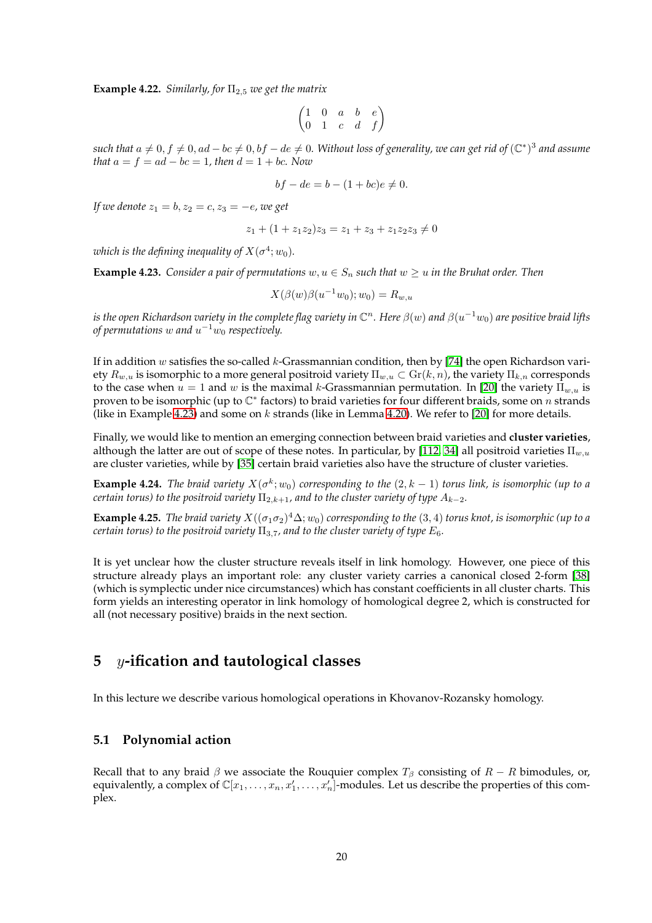**Example 4.22.** *Similarly, for*  $\Pi_{2,5}$  *we get the matrix* 

$$
\begin{pmatrix} 1 & 0 & a & b & e \\ 0 & 1 & c & d & f \end{pmatrix}
$$

*such that*  $a ≠ 0, f ≠ 0, ad − bc ≠ 0, bf − de ≠ 0$ . Without loss of generality, we can get rid of  $(\mathbb{C}^*)^3$  and assume *that*  $a = f = ad - bc = 1$ *, then*  $d = 1 + bc$ *. Now* 

$$
bf - de = b - (1 + bc)e \neq 0.
$$

*If we denote*  $z_1 = b, z_2 = c, z_3 = -e$ , we get

$$
z_1 + (1 + z_1 z_2) z_3 = z_1 + z_3 + z_1 z_2 z_3 \neq 0
$$

which is the defining inequality of  $X(\sigma^4;w_0).$ 

<span id="page-19-3"></span>**Example 4.23.** *Consider a pair of permutations*  $w, u \in S_n$  *such that*  $w \geq u$  *in the Bruhat order. Then* 

$$
X(\beta(w)\beta(u^{-1}w_0); w_0) = R_{w,u}
$$

is the open Richardson variety in the complete flag variety in  $\mathbb C^n.$  Here  $\beta(w)$  and  $\beta(u^{-1}w_0)$  are positive braid lifts of permutations  $w$  and  $u^{-1}w_0$  respectively.

If in addition  $w$  satisfies the so-called  $k$ -Grassmannian condition, then by [\[74\]](#page-46-16) the open Richardson variety  $R_{w,u}$  is isomorphic to a more general positroid variety  $\Pi_{w,u} \subset Gr(k,n)$ , the variety  $\Pi_{k,n}$  corresponds to the case when  $u = 1$  and w is the maximal k-Grassmannian permutation. In [\[20\]](#page-43-1) the variety  $\Pi_{w,u}$  is proven to be isomorphic (up to  $\mathbb{C}^*$  factors) to braid varieties for four different braids, some on n strands (like in Example [4.23\)](#page-19-3) and some on  $k$  strands (like in Lemma [4.20\)](#page-18-1). We refer to [\[20\]](#page-43-1) for more details.

Finally, we would like to mention an emerging connection between braid varieties and **cluster varieties**, although the latter are out of scope of these notes. In particular, by [\[112,](#page-48-6) [34\]](#page-44-2) all positroid varieties  $\Pi_{w,u}$ are cluster varieties, while by [\[35\]](#page-44-18) certain braid varieties also have the structure of cluster varieties.

**Example 4.24.** The braid variety  $X(\sigma^k; w_0)$  corresponding to the  $(2, k - 1)$  torus link, is isomorphic (up to a *certain torus) to the positroid variety*  $\Pi_{2,k+1}$ *, and to the cluster variety of type*  $A_{k-2}$ *.* 

<span id="page-19-2"></span>**Example 4.25.** *The braid variety*  $X((\sigma_1\sigma_2)^4\Delta; w_0)$  *corresponding to the*  $(3, 4)$  *torus knot, is isomorphic* (*up to a certain torus) to the positroid variety*  $\Pi_{3,7}$ *, and to the cluster variety of type*  $E_6$ *.* 

It is yet unclear how the cluster structure reveals itself in link homology. However, one piece of this structure already plays an important role: any cluster variety carries a canonical closed 2-form [\[38\]](#page-44-19) (which is symplectic under nice circumstances) which has constant coefficients in all cluster charts. This form yields an interesting operator in link homology of homological degree 2, which is constructed for all (not necessary positive) braids in the next section.

# <span id="page-19-0"></span>**5** y**-ification and tautological classes**

<span id="page-19-1"></span>In this lecture we describe various homological operations in Khovanov-Rozansky homology.

## **5.1 Polynomial action**

Recall that to any braid  $\beta$  we associate the Rouquier complex  $T_\beta$  consisting of  $R - R$  bimodules, or, equivalently, a complex of  $\mathbb{C}[x_1,\ldots,x_n,x'_1,\ldots,x'_n]$ -modules. Let us describe the properties of this complex.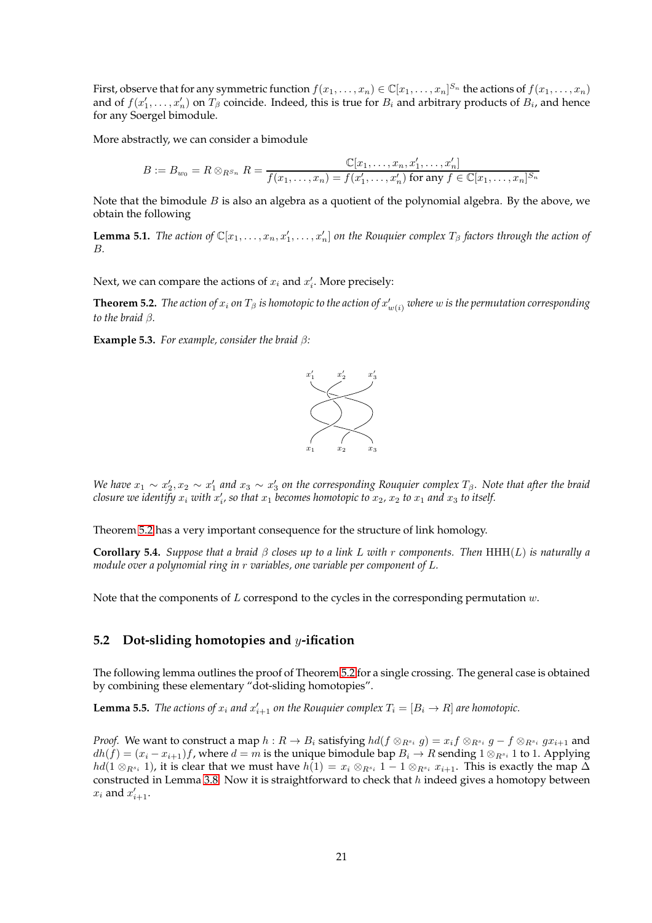First, observe that for any symmetric function  $f(x_1,\ldots,x_n)\in\mathbb{C}[x_1,\ldots,x_n]^{S_n}$  the actions of  $f(x_1,\ldots,x_n)$ and of  $f(x'_1, \ldots, x'_n)$  on  $T_\beta$  coincide. Indeed, this is true for  $B_i$  and arbitrary products of  $B_i$ , and hence for any Soergel bimodule.

More abstractly, we can consider a bimodule

$$
B:=B_{w_0}=R\otimes_{R^{S_n}}R=\frac{\mathbb{C}[x_1,\ldots,x_n,x_1',\ldots,x_n']}{f(x_1,\ldots,x_n)=f(x_1',\ldots,x_n')\text{ for any }f\in\mathbb{C}[x_1,\ldots,x_n]^{S_n}}
$$

Note that the bimodule  $B$  is also an algebra as a quotient of the polynomial algebra. By the above, we obtain the following

**Lemma 5.1.** The action of  $\mathbb{C}[x_1,\ldots,x_n,x_1',\ldots,x_n']$  on the Rouquier complex  $T_\beta$  factors through the action of B*.*

Next, we can compare the actions of  $x_i$  and  $x'_i$ . More precisely:

<span id="page-20-1"></span> ${\bf Theorem 5.2.}$   $The$   $action$   $of$   $x_i$   $on$   $T_\beta$   $is$   $homotopic$   $to$   $the$   $action$   $of$   $x'_{w(i)}$   $where$   $w$   $is$   $the$   $permutation$   $corresponding$ *to the braid* β*.*

**Example 5.3.** *For example, consider the braid* β*:*



*We have*  $x_1 \sim x_2'$ ,  $x_2 \sim x_1'$  and  $x_3 \sim x_3'$  on the corresponding Rouquier complex  $T_\beta$ . Note that after the braid *closure we identify*  $x_i$  *with*  $x'_i$ , so that  $x_1$  becomes homotopic to  $x_2$ ,  $x_2$  to  $x_1$  and  $x_3$  to itself.

Theorem [5.2](#page-20-1) has a very important consequence for the structure of link homology.

**Corollary 5.4.** *Suppose that a braid*  $\beta$  *closes up to a link* L *with* r *components. Then* HHH(L) *is naturally a module over a polynomial ring in* r *variables, one variable per component of* L*.*

<span id="page-20-0"></span>Note that the components of  $L$  correspond to the cycles in the corresponding permutation  $w$ .

## **5.2 Dot-sliding homotopies and** y**-ification**

The following lemma outlines the proof of Theorem [5.2](#page-20-1) for a single crossing. The general case is obtained by combining these elementary "dot-sliding homotopies".

<span id="page-20-2"></span>**Lemma 5.5.** *The actions of*  $x_i$  *and*  $x'_{i+1}$  *on the Rouquier complex*  $T_i = [B_i \rightarrow R]$  *are homotopic.* 

*Proof.* We want to construct a map  $h: R \to B_i$  satisfying  $hd(f \otimes_{R^{s_i}} g) = x_i f \otimes_{R^{s_i}} g - f \otimes_{R^{s_i}} gx_{i+1}$  and  $dh(f) = (x_i - x_{i+1})f$ , where  $d = m$  is the unique bimodule bap  $B_i \to R$  sending  $1 \otimes_{R^{s_i}} 1$  to 1. Applying  $hd(1 \otimes_{R^{s_i}} 1)$ , it is clear that we must have  $h(1) = x_i \otimes_{R^{s_i}} 1 - 1 \otimes_{R^{s_i}} x_{i+1}$ . This is exactly the map  $\Delta$ constructed in Lemma [3.8.](#page-6-1) Now it is straightforward to check that  $h$  indeed gives a homotopy between  $x_i$  and  $x'_{i+1}$ .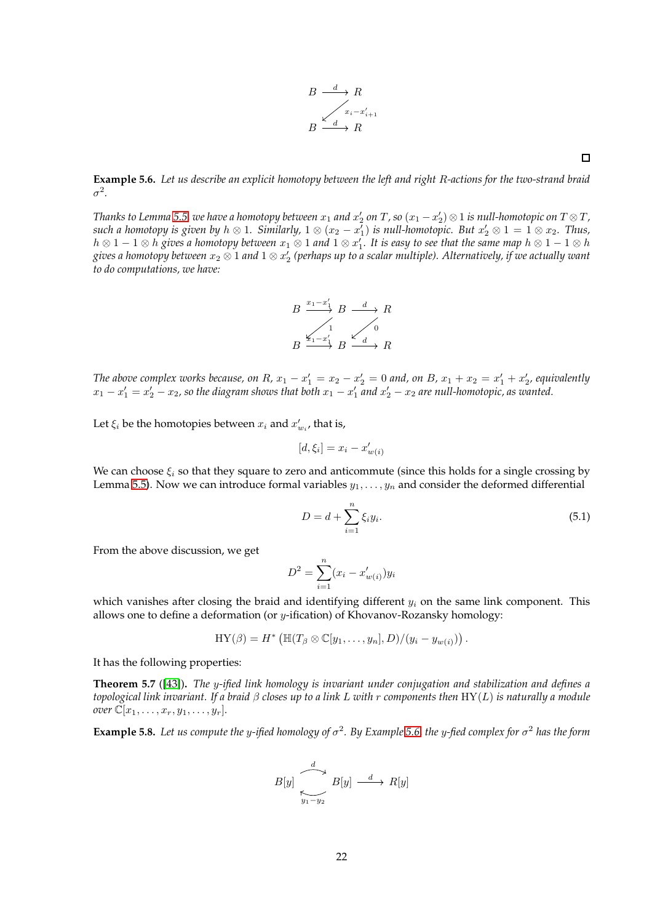$$
B \xrightarrow{d} R
$$
  

$$
B \xrightarrow{x_i - x'_{i+1}}
$$
  

$$
B \xrightarrow{d} R
$$

<span id="page-21-0"></span>**Example 5.6.** *Let us describe an explicit homotopy between the left and right* R*-actions for the two-strand braid* σ 2 *.*

Thanks to Lemma [5.5,](#page-20-2) we have a homotopy between  $x_1$  and  $x_2'$  on  $T$ , so  $(x_1-x_2')\otimes 1$  is null-homotopic on  $T\otimes T$ , such a homotopy is given by  $h\otimes 1$ . Similarly,  $1\otimes (x_2-x_1')$  is null-homotopic. But  $x_2'\otimes 1=1\otimes x_2$ . Thus,  $h\otimes 1-1\otimes h$  gives a homotopy between  $x_1\otimes 1$  and  $1\otimes x_1'$ . It is easy to see that the same map  $h\otimes 1-1\otimes h$ gives a homotopy between  $x_2\otimes 1$  and  $1\otimes x_2'$  (perhaps up to a scalar multiple). Alternatively, if we actually want *to do computations, we have:*

$$
B \xrightarrow{x_1-x'_1} B \xrightarrow{d} R
$$
  

$$
B \xrightarrow{x_1-x'_1} B \xrightarrow{d} B
$$

*The above complex works because, on*  $R$ ,  $x_1 - x_1' = x_2 - x_2' = 0$  *and, on*  $B$ ,  $x_1 + x_2 = x_1' + x_2'$ , equivalently  $x_1 - x_1' = x_2' - x_2$ , so the diagram shows that both  $x_1 - x_1'$  and  $x_2' - x_2$  are null-homotopic, as wanted.

Let  $\xi_i$  be the homotopies between  $x_i$  and  $x'_{w_i}$ , that is,

$$
[d, \xi_i] = x_i - x'_{w(i)}
$$

We can choose  $\xi_i$  so that they square to zero and anticommute (since this holds for a single crossing by Lemma [5.5\)](#page-20-2). Now we can introduce formal variables  $y_1, \ldots, y_n$  and consider the deformed differential

$$
D = d + \sum_{i=1}^{n} \xi_i y_i.
$$
\n
$$
(5.1)
$$

From the above discussion, we get

$$
D^{2} = \sum_{i=1}^{n} (x_{i} - x'_{w(i)})y_{i}
$$

which vanishes after closing the braid and identifying different  $y_i$  on the same link component. This allows one to define a deformation (or  $y$ -ification) of Khovanov-Rozansky homology:

$$
\mathrm{HY}(\beta)=H^*\left(\mathbb{H}(T_{\beta}\otimes\mathbb{C}[y_1,\ldots,y_n],D)/(y_i-y_{w(i)})\right).
$$

It has the following properties:

**Theorem 5.7** ([\[43\]](#page-44-5))**.** *The* y*-ified link homology is invariant under conjugation and stabilization and defines a topological link invariant. If a braid* β *closes up to a link* L *with* r *components then* HY(L) *is naturally a module over*  $\mathbb{C}[x_1,\ldots,x_r,y_1,\ldots,y_r]$ *.* 

<span id="page-21-1"></span>**Example 5.8.** *Let us compute the* y*-ified homology of* σ 2 *. By Example [5.6,](#page-21-0) the* y*-fied complex for* σ <sup>2</sup> *has the form*

$$
B[y] \xrightarrow[y_{1}-y_{2}]{d} B[y] \xrightarrow{d} R[y]
$$

 $\Box$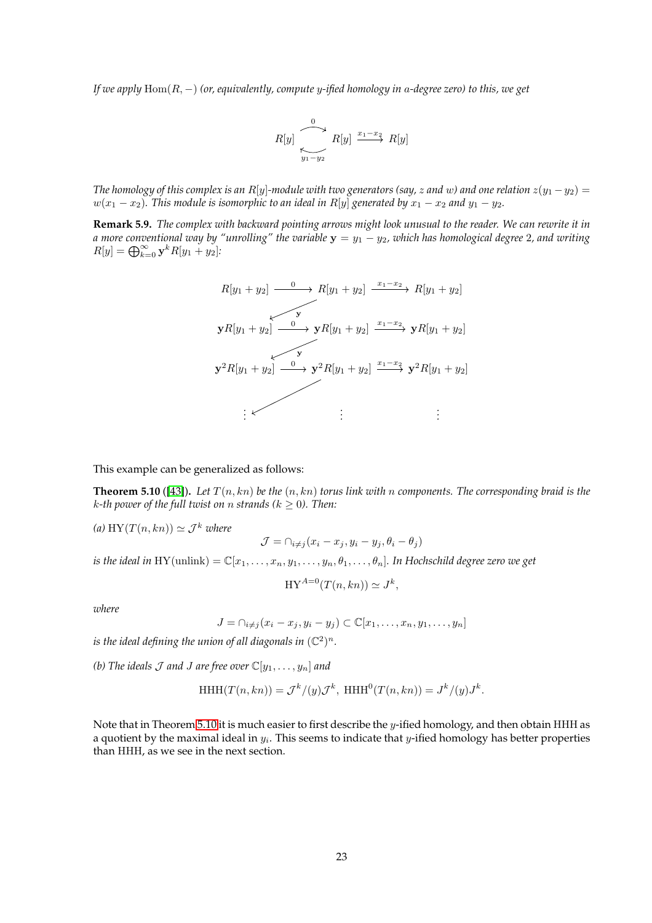*If we apply* Hom(R, −) *(or, equivalently, compute* y*-ified homology in* a*-degree zero) to this, we get*

$$
R[y] \xrightarrow[y_1-y_2]{0} R[y] \xrightarrow{x_1-x_2} R[y]
$$

*The homology of this complex is an R*[y]-module with two generators (say, z and w) and one relation  $z(y_1 - y_2) =$  $w(x_1 - x_2)$ . This module is isomorphic to an ideal in R[y] generated by  $x_1 - x_2$  and  $y_1 - y_2$ .

**Remark 5.9.** *The complex with backward pointing arrows might look unusual to the reader. We can rewrite it in a more conventional way by "unrolling" the variable*  $y = y_1 - y_2$ , which has homological degree 2, and writing  $R[y] = \bigoplus_{k=0}^{\infty} \mathbf{y}^k R[y_1 + y_2]$ :

$$
R[y_1 + y_2] \xrightarrow{0} R[y_1 + y_2] \xrightarrow{x_1 - x_2} R[y_1 + y_2]
$$
\n
$$
\mathbf{y}R[y_1 + y_2] \xrightarrow{0} \mathbf{y}R[y_1 + y_2] \xrightarrow{x_1 - x_2} \mathbf{y}R[y_1 + y_2]
$$
\n
$$
\mathbf{y}^2R[y_1 + y_2] \xrightarrow{0} \mathbf{y}^2R[y_1 + y_2] \xrightarrow{x_1 - x_2} \mathbf{y}^2R[y_1 + y_2]
$$
\n
$$
\vdots \qquad \vdots
$$

This example can be generalized as follows:

<span id="page-22-0"></span>**Theorem 5.10** ([\[43\]](#page-44-5)). Let  $T(n, kn)$  be the  $(n, kn)$  torus link with n components. The corresponding braid is the  $k$ -th power of the full twist on *n* strands ( $k \geq 0$ ). Then:

(a) HY( $T(n, kn)$ )  $\simeq$   $\mathcal{J}^k$  *where*  $\mathcal{J} = \bigcap_{i \neq j} (x_i - x_j, y_i - y_j, \theta_i - \theta_j)$ 

*is the ideal in* HY(unlink) =  $\mathbb{C}[x_1,\ldots,x_n,y_1,\ldots,y_n,\theta_1,\ldots,\theta_n]$ . In Hochschild degree zero we get

$$
HY^{A=0}(T(n,kn)) \simeq J^k,
$$

*where*

$$
J = \bigcap_{i \neq j} (x_i - x_j, y_i - y_j) \subset \mathbb{C}[x_1, \dots, x_n, y_1, \dots, y_n]
$$

*is the ideal defining the union of all diagonals in*  $(\mathbb{C}^2)^n$ *.* 

*(b)* The ideals  $\mathcal J$  *and*  $J$  *are free over*  $\mathbb{C}[y_1, \ldots, y_n]$  *and* 

$$
\operatorname{HHH}(T(n,kn)) = \mathcal{J}^k/(y)\mathcal{J}^k, \ \operatorname{HHH}^0(T(n,kn)) = J^k/(y)J^k.
$$

Note that in Theorem [5.10](#page-22-0) it is much easier to first describe the y-ified homology, and then obtain HHH as a quotient by the maximal ideal in  $y_i$ . This seems to indicate that  $y$ -ified homology has better properties than HHH, as we see in the next section.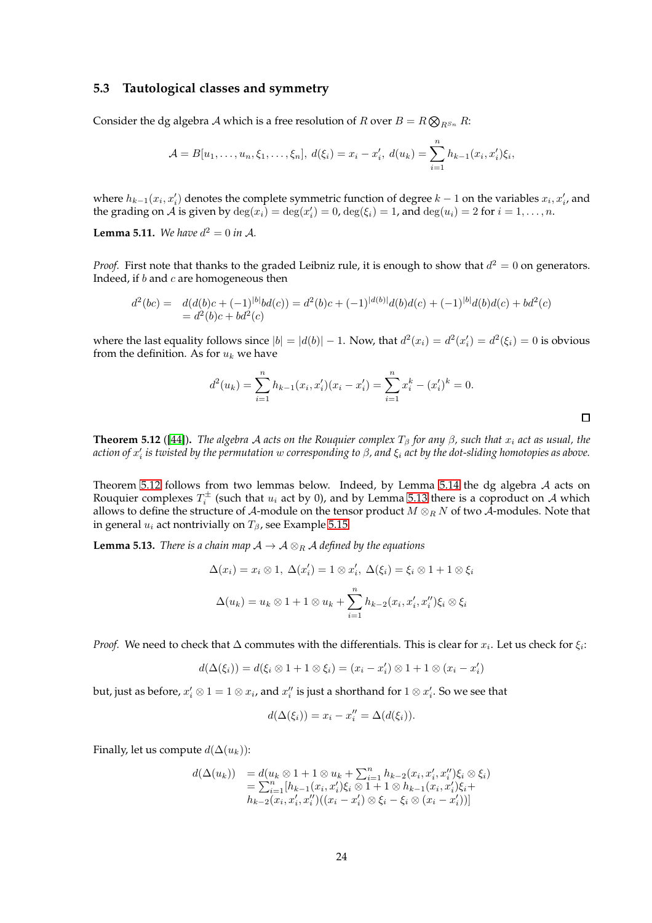#### <span id="page-23-0"></span>**5.3 Tautological classes and symmetry**

Consider the dg algebra A which is a free resolution of R over  $B = R \bigotimes_{R^{S_n}} R$ :

$$
\mathcal{A} = B[u_1, \dots, u_n, \xi_1, \dots, \xi_n], \ d(\xi_i) = x_i - x'_i, \ d(u_k) = \sum_{i=1}^n h_{k-1}(x_i, x'_i)\xi_i,
$$

where  $h_{k-1}(x_i, x'_i)$  denotes the complete symmetric function of degree  $k-1$  on the variables  $x_i, x'_i$ , and the grading on  $\tilde{\mathcal{A}}$  is given by  $\deg(x_i) = \deg(x_i') = 0$ ,  $\deg(\xi_i) = 1$ , and  $\deg(u_i) = 2$  for  $i = 1, ..., n$ .

**Lemma 5.11.** *We have*  $d^2 = 0$  *in A*.

*Proof.* First note that thanks to the graded Leibniz rule, it is enough to show that  $d^2 = 0$  on generators. Indeed, if  $b$  and  $c$  are homogeneous then

$$
d^{2}(bc) = d(d(b)c + (-1)^{|b|}bd(c)) = d^{2}(b)c + (-1)^{|d(b)|}d(b)d(c) + (-1)^{|b|}d(b)d(c) + bd^{2}(c) = d^{2}(b)c + bd^{2}(c)
$$

where the last equality follows since  $|b| = |d(b)| - 1$ . Now, that  $d^2(x_i) = d^2(x'_i) = d^2(\xi_i) = 0$  is obvious from the definition. As for  $u_k$  we have

$$
d^{2}(u_{k}) = \sum_{i=1}^{n} h_{k-1}(x_{i}, x_{i}')(x_{i} - x_{i}') = \sum_{i=1}^{n} x_{i}^{k} - (x_{i}')^{k} = 0.
$$

 $\Box$ 

<span id="page-23-1"></span>**Theorem 5.12** ([\[44\]](#page-45-3)). *The algebra A acts on the Rouquier complex*  $T_\beta$  *for any*  $\beta$ *, such that*  $x_i$  *act as usual, the action of* x ′ i *is twisted by the permutation* w *corresponding to* β*, and* ξ<sup>i</sup> *act by the dot-sliding homotopies as above.*

Theorem [5.12](#page-23-1) follows from two lemmas below. Indeed, by Lemma [5.14](#page-24-0) the dg algebra A acts on Rouquier complexes  $T_i^{\pm}$  (such that  $u_i$  act by 0), and by Lemma [5.13](#page-23-2) there is a coproduct on A which allows to define the structure of A-module on the tensor product  $M \otimes_R N$  of two  $\overline{A}$ -modules. Note that in general  $u_i$  act nontrivially on  $T_\beta$ , see Example [5.15.](#page-24-1)

<span id="page-23-2"></span>**Lemma 5.13.** *There is a chain map*  $A \rightarrow A \otimes_R A$  *defined by the equations* 

$$
\Delta(x_i) = x_i \otimes 1, \ \Delta(x'_i) = 1 \otimes x'_i, \ \Delta(\xi_i) = \xi_i \otimes 1 + 1 \otimes \xi_i
$$

$$
\Delta(u_k) = u_k \otimes 1 + 1 \otimes u_k + \sum_{i=1}^n h_{k-2}(x_i, x'_i, x''_i) \xi_i \otimes \xi_i
$$

*Proof.* We need to check that  $\Delta$  commutes with the differentials. This is clear for  $x_i$ . Let us check for  $\xi_i$ :

$$
d(\Delta(\xi_i)) = d(\xi_i \otimes 1 + 1 \otimes \xi_i) = (x_i - x_i') \otimes 1 + 1 \otimes (x_i - x_i')
$$

but, just as before,  $x'_i \otimes 1 = 1 \otimes x_i$ , and  $x''_i$  is just a shorthand for  $1 \otimes x'_i$ . So we see that

$$
d(\Delta(\xi_i)) = x_i - x''_i = \Delta(d(\xi_i)).
$$

Finally, let us compute  $d(\Delta(u_k))$ :

$$
d(\Delta(u_k)) = d(u_k \otimes 1 + 1 \otimes u_k + \sum_{i=1}^n h_{k-2}(x_i, x'_i, x''_i) \xi_i \otimes \xi_i)
$$
  
= 
$$
\sum_{i=1}^n [h_{k-1}(x_i, x'_i) \xi_i \otimes 1 + 1 \otimes h_{k-1}(x_i, x'_i) \xi_i +
$$
  

$$
h_{k-2}(x_i, x'_i, x''_i)((x_i - x'_i) \otimes \xi_i - \xi_i \otimes (x_i - x'_i))]
$$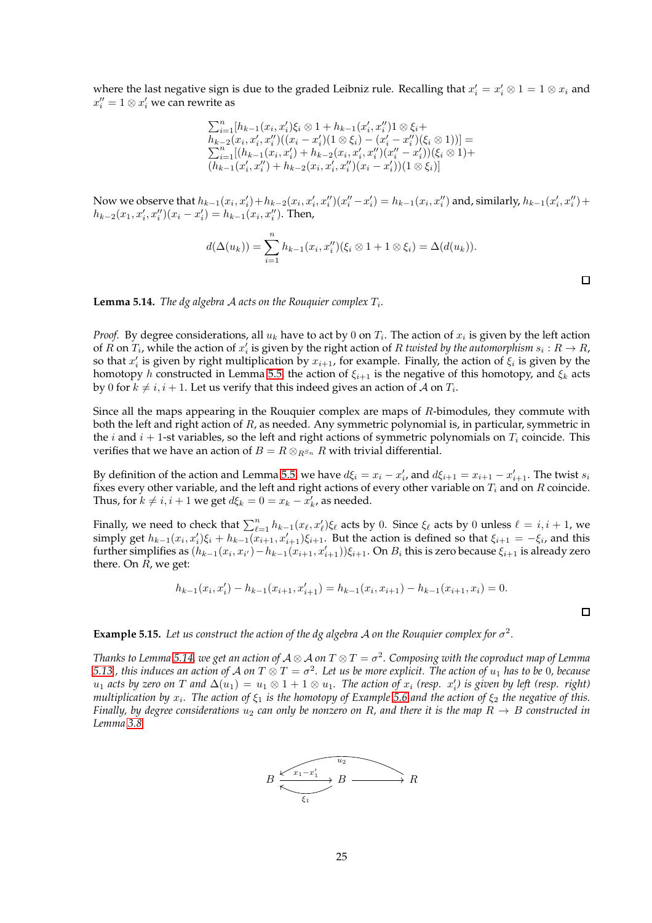where the last negative sign is due to the graded Leibniz rule. Recalling that  $x'_i = x'_i \otimes 1 = 1 \otimes x_i$  and  $x''_i = 1 \otimes x'_i$  we can rewrite as

$$
\sum_{i=1}^{n} [h_{k-1}(x_i, x'_i)\xi_i \otimes 1 + h_{k-1}(x'_i, x''_i) \mathbf{1} \otimes \xi_i +\nh_{k-2}(x_i, x'_i, x''_i)((x_i - x'_i)(1 \otimes \xi_i) - (x'_i - x''_i)(\xi_i \otimes 1))] =\sum_{i=1}^{n} [(h_{k-1}(x_i, x'_i) + h_{k-2}(x_i, x'_i, x''_i)(x''_i - x'_i))(\xi_i \otimes 1) +\n(h_{k-1}(x'_i, x''_i) + h_{k-2}(x_i, x'_i, x''_i)(x_i - x'_i))(\mathbf{1} \otimes \xi_i)]
$$

Now we observe that  $h_{k-1}(x_i, x'_i) + h_{k-2}(x_i, x'_i, x''_i)(x''_i - x'_i) = h_{k-1}(x_i, x''_i)$  and, similarly,  $h_{k-1}(x'_i, x''_i) +$  $h_{k-2}(x_1, x_i', x_i'')(x_i - x_i') = h_{k-1}(x_i, x_i'')$ . Then,

$$
d(\Delta(u_k)) = \sum_{i=1}^n h_{k-1}(x_i, x_i'')(\xi_i \otimes 1 + 1 \otimes \xi_i) = \Delta(d(u_k)).
$$

 $\Box$ 

 $\Box$ 

<span id="page-24-0"></span>**Lemma 5.14.** The dg algebra A acts on the Rouquier complex  $T_i$ .

*Proof.* By degree considerations, all  $u_k$  have to act by 0 on  $T_i$ . The action of  $x_i$  is given by the left action of  $R$  on  $T_i$ , while the action of  $x'_i$  is given by the right action of  $R$  *twisted by the automorphism*  $s_i: R \to R$ , so that  $x'_i$  is given by right multiplication by  $x_{i+1}$ , for example. Finally, the action of  $\xi_i$  is given by the homotopy h constructed in Lemma [5.5,](#page-20-2) the action of  $\xi_{i+1}$  is the negative of this homotopy, and  $\xi_k$  acts by  $0$  for  $k\neq i, i+1.$  Let us verify that this indeed gives an action of  ${\mathcal A}$  on  $T_i.$ 

Since all the maps appearing in the Rouquier complex are maps of  $R$ -bimodules, they commute with both the left and right action of  $R$ , as needed. Any symmetric polynomial is, in particular, symmetric in the i and  $i + 1$ -st variables, so the left and right actions of symmetric polynomials on  $T_i$  coincide. This verifies that we have an action of  $B = R \otimes_{R^{S_n}} R$  with trivial differential.

By definition of the action and Lemma [5.5,](#page-20-2) we have  $d\xi_i = x_i - x'_i$ , and  $d\xi_{i+1} = x_{i+1} - x'_{i+1}$ . The twist  $s_i$ fixes every other variable, and the left and right actions of every other variable on  $T_i$  and on  $R$  coincide. Thus, for  $k \neq i, i + 1$  we get  $d\xi_k = 0 = x_k - x'_k$ , as needed.

Finally, we need to check that  $\sum_{\ell=1}^n h_{k-1}(x_\ell, x'_\ell) \xi_\ell$  acts by 0. Since  $\xi_\ell$  acts by 0 unless  $\ell = i, i + 1$ , we simply get  $h_{k-1}(x_i, x'_i)\xi_i + h_{k-1}(x_{i+1}, x'_{i+1})\xi_{i+1}$ . But the action is defined so that  $\xi_{i+1} = -\xi_i$ , and this further simplifies as  $(h_{k-1}(x_i,x_{i'})-h_{k-1}(x_{i+1},x_{i+1}'))\xi_{i+1}$ . On  $B_i$  this is zero because  $\xi_{i+1}$  is already zero there. On  $R$ , we get:

$$
h_{k-1}(x_i, x_i') - h_{k-1}(x_{i+1}, x_{i+1}') = h_{k-1}(x_i, x_{i+1}) - h_{k-1}(x_{i+1}, x_i) = 0.
$$

<span id="page-24-1"></span>**Example 5.15.** Let us construct the action of the dg algebra A on the Rouquier complex for  $\sigma^2$ .

*Thanks to Lemma [5.14,](#page-24-0) we get an action of A*  $\otimes$  *A on T*  $\otimes$  *T*  $=\sigma^2.$  *Composing with the coproduct map of Lemma* [5.13](#page-23-2) , this induces an action of A on T  $\otimes$  T  $=\sigma^2.$  Let us be more explicit. The action of  $u_1$  has to be 0, because  $u_1$  acts by zero on T and  $\Delta(u_1) = u_1 \otimes 1 + 1 \otimes u_1$ . The action of  $x_i$  (resp.  $x'_i$ ) is given by left (resp. right) *multiplication by*  $x_i$ *. The action of*  $\xi_1$  *is the homotopy of Example* [5.6](#page-21-0) *and the action of*  $\xi_2$  *the negative of this. Finally, by degree considerations*  $u_2$  *can only be nonzero on R, and there it is the map*  $R \to B$  *constructed in Lemma [3.8.](#page-6-1)*

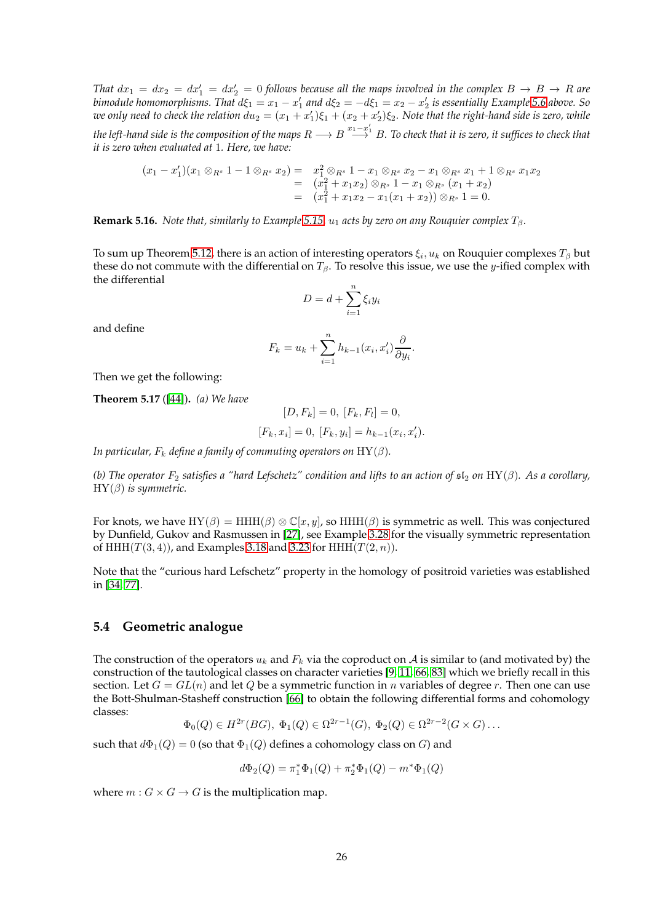*That*  $dx_1 = dx_2 = dx'_1 = dx'_2 = 0$  follows because all the maps involved in the complex  $B \to B \to R$  are *bimodule homomorphisms. That*  $d\xi_1 = x_1 - x'_1$  and  $d\xi_2 = -d\xi_1 = x_2 - x'_2$  is essentially Example [5.6](#page-21-0) above. So we only need to check the relation  $du_2 = (x_1 + x_1')\xi_1 + (x_2 + x_2')\xi_2$ . Note that the right-hand side is zero, while *the left-hand side is the composition of the maps R* → B<sup> $x_1=x'_1$ </sup> B. To check that it is zero, it suffices to check that

$$
(x_1 - x_1')(x_1 \otimes_{R^s} 1 - 1 \otimes_{R^s} x_2) = x_1^2 \otimes_{R^s} 1 - x_1 \otimes_{R^s} x_2 - x_1 \otimes_{R^s} x_1 + 1 \otimes_{R^s} x_1 x_2
$$
  
= 
$$
(x_1^2 + x_1 x_2) \otimes_{R^s} 1 - x_1 \otimes_{R^s} (x_1 + x_2)
$$
  
= 
$$
(x_1^2 + x_1 x_2 - x_1 (x_1 + x_2)) \otimes_{R^s} 1 = 0.
$$

**Remark 5.16.** *Note that, similarly to Example* [5.15,](#page-24-1)  $u_1$  *acts by zero on any Rouquier complex*  $T_\beta$ *.* 

To sum up Theorem [5.12,](#page-23-1) there is an action of interesting operators  $\xi_i, u_k$  on Rouquier complexes  $T_\beta$  but these do not commute with the differential on  $T_\beta$ . To resolve this issue, we use the y-ified complex with the differential

$$
D = d + \sum_{i=1}^{n} \xi_i y_i
$$

and define

$$
F_k = u_k + \sum_{i=1}^n h_{k-1}(x_i, x_i') \frac{\partial}{\partial y_i}.
$$

Then we get the following:

<span id="page-25-1"></span>**Theorem 5.17** ([\[44\]](#page-45-3))**.** *(a) We have*

*it is zero when evaluated at* 1*. Here, we have:*

$$
[D, F_k] = 0, [F_k, F_l] = 0,
$$
  

$$
[F_k, x_i] = 0, [F_k, y_i] = h_{k-1}(x_i, x'_i).
$$

*In particular,*  $F_k$  *define a family of commuting operators on*  $HY(\beta)$ *.* 

*(b) The operator*  $F_2$  *satisfies a "hard Lefschetz" condition and lifts to an action of*  $sI_2$  *on* HY( $\beta$ ). As a corollary, HY(β) *is symmetric.*

For knots, we have  $HY(\beta) = HHH(\beta) \otimes \mathbb{C}[x, y]$ , so  $HHH(\beta)$  is symmetric as well. This was conjectured by Dunfield, Gukov and Rasmussen in [\[27\]](#page-44-12), see Example [3.28](#page-12-0) for the visually symmetric representation of HHH $(T(3, 4))$ , and Examples [3.18](#page-8-1) and [3.23](#page-10-0) for HHH $(T(2, n))$ .

Note that the "curious hard Lefschetz" property in the homology of positroid varieties was established in [\[34,](#page-44-2) [77\]](#page-46-15).

#### <span id="page-25-0"></span>**5.4 Geometric analogue**

The construction of the operators  $u_k$  and  $F_k$  via the coproduct on A is similar to (and motivated by) the construction of the tautological classes on character varieties [\[9,](#page-43-13) [11,](#page-43-14) [66,](#page-46-17) [83\]](#page-46-4) which we briefly recall in this section. Let  $G = GL(n)$  and let Q be a symmetric function in n variables of degree r. Then one can use the Bott-Shulman-Stasheff construction [\[66\]](#page-46-17) to obtain the following differential forms and cohomology classes:

$$
\Phi_0(Q) \in H^{2r}(BG), \ \Phi_1(Q) \in \Omega^{2r-1}(G), \ \Phi_2(Q) \in \Omega^{2r-2}(G \times G) \dots
$$

such that  $d\Phi_1(Q) = 0$  (so that  $\Phi_1(Q)$  defines a cohomology class on G) and

$$
d\Phi_2(Q)=\pi_1^*\Phi_1(Q)+\pi_2^*\Phi_1(Q)-m^*\Phi_1(Q)
$$

where  $m: G \times G \rightarrow G$  is the multiplication map.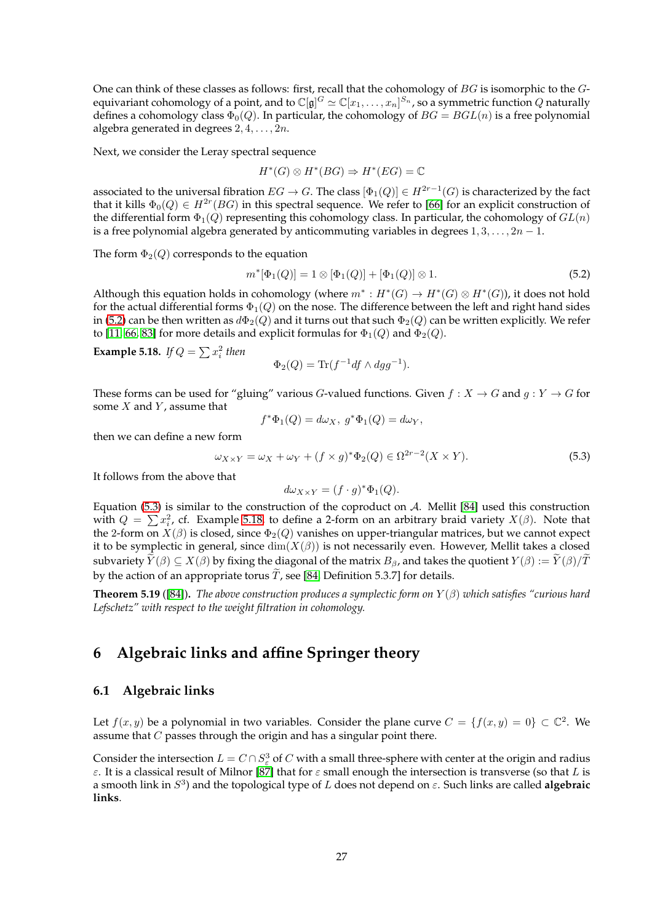One can think of these classes as follows: first, recall that the cohomology of BG is isomorphic to the Gequivariant cohomology of a point, and to  $\Bbb C[\frak g]^G\simeq\Bbb C[x_1,\ldots,x_n]^{S_n}$ , so a symmetric function  $Q$  naturally defines a cohomology class  $\Phi_0(Q)$ . In particular, the cohomology of  $BG = BGL(n)$  is a free polynomial algebra generated in degrees  $2, 4, \ldots, 2n$ .

Next, we consider the Leray spectral sequence

$$
H^*(G) \otimes H^*(BG) \Rightarrow H^*(EG) = \mathbb{C}
$$

associated to the universal fibration  $EG\to G.$  The class  $[\Phi_1(Q)]\in H^{2r-1}(G)$  is characterized by the fact that it kills  $\Phi_0(Q) \in H^{2r}(BG)$  in this spectral sequence. We refer to [\[66\]](#page-46-17) for an explicit construction of the differential form  $\Phi_1(Q)$  representing this cohomology class. In particular, the cohomology of  $GL(n)$ is a free polynomial algebra generated by anticommuting variables in degrees  $1, 3, \ldots, 2n - 1$ .

The form  $\Phi_2(Q)$  corresponds to the equation

<span id="page-26-2"></span>
$$
m^*[\Phi_1(Q)] = 1 \otimes [\Phi_1(Q)] + [\Phi_1(Q)] \otimes 1.
$$
\n(5.2)

Although this equation holds in cohomology (where  $m^*: H^*(G) \to H^*(G) \otimes H^*(G)$ ), it does not hold for the actual differential forms  $\Phi_1(Q)$  on the nose. The difference between the left and right hand sides in [\(5.2\)](#page-26-2) can be then written as  $d\Phi_2(Q)$  and it turns out that such  $\Phi_2(Q)$  can be written explicitly. We refer to [\[11,](#page-43-14) [66,](#page-46-17) [83\]](#page-46-4) for more details and explicit formulas for  $\Phi_1(Q)$  and  $\Phi_2(Q)$ .

<span id="page-26-4"></span>**Example 5.18.** *If*  $Q = \sum x_i^2$  *then* 

$$
\Phi_2(Q) = \text{Tr}(f^{-1}df \wedge dgg^{-1}).
$$

These forms can be used for "gluing" various G-valued functions. Given  $f: X \to G$  and  $g: Y \to G$  for some  $X$  and  $Y$ , assume that

$$
f^*\Phi_1(Q) = d\omega_X, \ g^*\Phi_1(Q) = d\omega_Y,
$$

then we can define a new form

<span id="page-26-3"></span>
$$
\omega_{X \times Y} = \omega_X + \omega_Y + (f \times g)^* \Phi_2(Q) \in \Omega^{2r-2}(X \times Y). \tag{5.3}
$$

It follows from the above that

$$
d\omega_{X\times Y} = (f \cdot g)^* \Phi_1(Q).
$$

Equation [\(5.3\)](#page-26-3) is similar to the construction of the coproduct on  $A$ . Mellit [\[84\]](#page-46-0) used this construction with  $Q = \sum x_i^2$ , cf. Example [5.18,](#page-26-4) to define a 2-form on an arbitrary braid variety  $X(\beta)$ . Note that the 2-form on  $X(\beta)$  is closed, since  $\Phi_2(Q)$  vanishes on upper-triangular matrices, but we cannot expect it to be symplectic in general, since  $\dim(X(\beta))$  is not necessarily even. However, Mellit takes a closed subvariety  $\widetilde{Y}(\beta) \subseteq X(\beta)$  by fixing the diagonal of the matrix  $B_\beta$ , and takes the quotient  $Y(\beta) := \widetilde{Y}(\beta)/\widetilde{T}$ by the action of an appropriate torus  $\tilde{T}$ , see [\[84,](#page-46-0) Definition 5.3.7] for details.

<span id="page-26-5"></span>**Theorem 5.19** ([\[84\]](#page-46-0))**.** *The above construction produces a symplectic form on* Y (β) *which satisfies "curious hard Lefschetz" with respect to the weight filtration in cohomology.*

# <span id="page-26-1"></span><span id="page-26-0"></span>**6 Algebraic links and affine Springer theory**

#### **6.1 Algebraic links**

Let  $f(x, y)$  be a polynomial in two variables. Consider the plane curve  $C = \{f(x, y) = 0\} \subset \mathbb{C}^2$ . We assume that  $C$  passes through the origin and has a singular point there.

Consider the intersection  $L = C \cap S^3_{\varepsilon}$  of  $C$  with a small three-sphere with center at the origin and radius ε. It is a classical result of Milnor [\[87\]](#page-46-18) that for ε small enough the intersection is transverse (so that L is a smooth link in  $S^3$ ) and the topological type of L does not depend on  $\varepsilon$ . Such links are called algebraic **links**.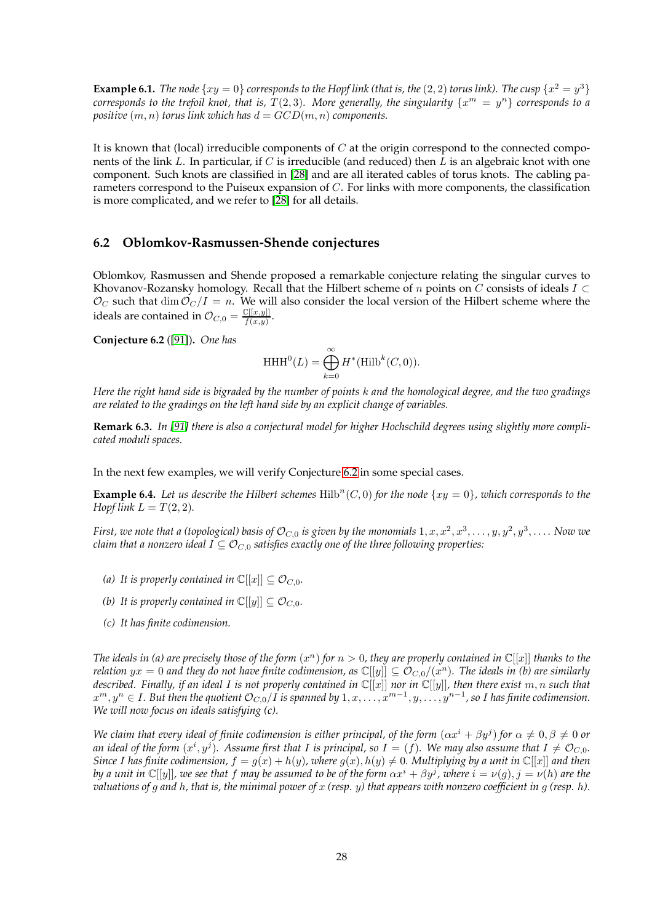**Example 6.1.** *The node*  $\{xy = 0\}$  *corresponds to the Hopf link (that is, the* (2, 2) *torus link*). *The cusp*  $\{x^2 = y^3\}$ *corresponds to the trefoil knot, that is, T*(2,3). More generally, the singularity  $\{x^m = y^n\}$  corresponds to a *positive*  $(m, n)$  *torus link which has*  $d = GCD(m, n)$  *components.* 

It is known that (local) irreducible components of  $C$  at the origin correspond to the connected components of the link L. In particular, if C is irreducible (and reduced) then  $\bar{L}$  is an algebraic knot with one component. Such knots are classified in [\[28\]](#page-44-20) and are all iterated cables of torus knots. The cabling parameters correspond to the Puiseux expansion of C. For links with more components, the classification is more complicated, and we refer to [\[28\]](#page-44-20) for all details.

#### <span id="page-27-0"></span>**6.2 Oblomkov-Rasmussen-Shende conjectures**

Oblomkov, Rasmussen and Shende proposed a remarkable conjecture relating the singular curves to Khovanov-Rozansky homology. Recall that the Hilbert scheme of n points on C consists of ideals  $I \subset$  $\mathcal{O}_C$  such that dim  $\mathcal{O}_C/I = n$ . We will also consider the local version of the Hilbert scheme where the ideals are contained in  $\mathcal{O}_{C,0} = \frac{\mathbb{C}[[x,y]]}{f(x,y)}$  $\frac{\cup [[x,y]]}{f(x,y)}$ .

<span id="page-27-1"></span>**Conjecture 6.2** ([\[91\]](#page-47-0))**.** *One has*

$$
\operatorname{HHH}^0(L)=\bigoplus_{k=0}^\infty H^*(\operatorname{Hilb}^k(C,0)).
$$

*Here the right hand side is bigraded by the number of points* k *and the homological degree, and the two gradings are related to the gradings on the left hand side by an explicit change of variables.*

**Remark 6.3.** *In [\[91\]](#page-47-0) there is also a conjectural model for higher Hochschild degrees using slightly more complicated moduli spaces.*

In the next few examples, we will verify Conjecture [6.2](#page-27-1) in some special cases.

<span id="page-27-2"></span>**Example 6.4.** Let us describe the Hilbert schemes  $Hilb<sup>n</sup>(C, 0)$  for the node  $\{xy = 0\}$ , which corresponds to the *Hopf link*  $L = T(2, 2)$ *.* 

First, we note that a (topological) basis of  $\mathcal{O}_{C,0}$  is given by the monomials  $1,x,x^2,x^3,\ldots,y,y^2,y^3,\ldots$  . Now we *claim that a nonzero ideal*  $I \subseteq \mathcal{O}_{C,0}$  *satisfies exactly one of the three following properties:* 

- *(a)* It is properly contained in  $\mathbb{C}[[x]] \subseteq \mathcal{O}_{C,0}$ .
- *(b)* It is properly contained in  $\mathbb{C}[[y]] \subseteq \mathcal{O}_{C,0}$ .
- *(c) It has finite codimension.*

The ideals in (a) are precisely those of the form  $(x^n)$  for  $n > 0$ , they are properly contained in  $\mathbb{C}[[x]]$  thanks to the  $r$ elation  $yx=0$  and they do not have finite codimension, as  $\mathbb{C}[[y]]\subseteq\mathcal{O}_{C,0}/(x^n).$  The ideals in (b) are similarly *described. Finally, if an ideal* I *is not properly contained in* C[[x]] *nor in* C[[y]]*, then there exist* m, n *such that*  $x^m,y^n\in I.$  But then the quotient  $\mathcal{O}_{C,0}/I$  is spanned by  $1,x,\ldots,x^{m-1},y,\ldots,y^{n-1}$ , so I has finite codimension. *We will now focus on ideals satisfying (c).*

*We claim that every ideal of finite codimension is either principal, of the form*  $(\alpha x^i + \beta y^j)$  *for*  $\alpha \neq 0, \beta \neq 0$  *or* an ideal of the form  $(x^i,y^j)$ . Assume first that I is principal, so  $I=(f)$ . We may also assume that  $I\neq {\cal O}_{C,0}.$ *Since* I has finite codimension,  $f = g(x) + h(y)$ , where  $g(x)$ ,  $h(y) \neq 0$ . Multiplying by a unit in  $\mathbb{C}[[x]]$  and then *by a unit in*  $\mathbb{C}[[y]]$ *, we see that*  $f$  *may be assumed to be of the form*  $\alpha x^i+\beta y^j$ *, where*  $i=\nu(g), j=\nu(h)$  *are the valuations of* g *and* h*, that is, the minimal power of* x *(resp.* y*) that appears with nonzero coefficient in* g *(resp.* h*).*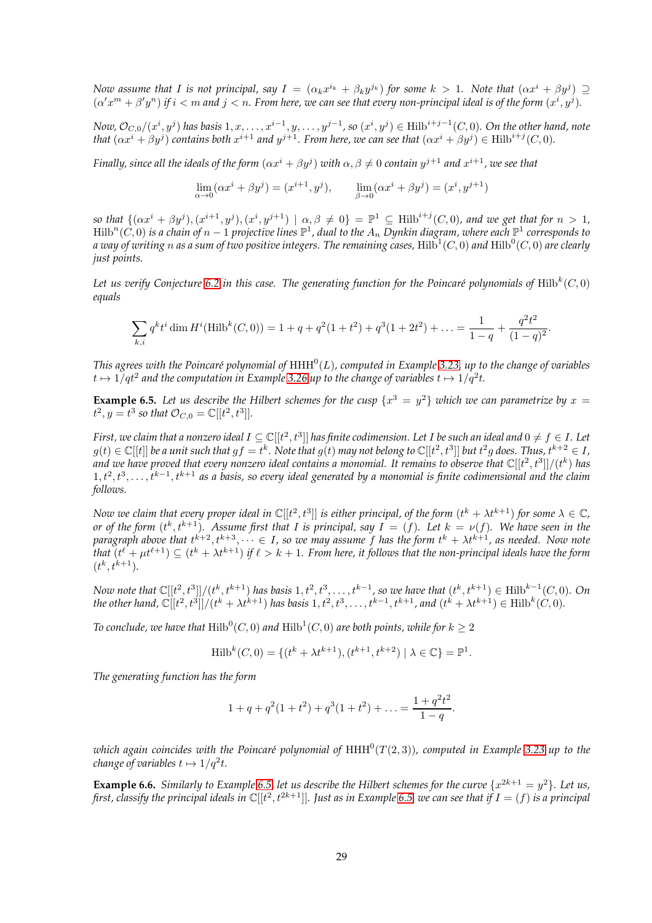*Now assume that* I is not principal, say  $I = (\alpha_k x^{i_k} + \beta_k y^{j_k})$  for some  $k > 1$ . Note that  $(\alpha x^i + \beta y^j) \supseteq$  $(\alpha' x^m + \beta' y^n)$  if  $i < m$  and  $j < n$ . From here, we can see that every non-principal ideal is of the form  $(x^i, y^j)$ .

 ${\sf Now, O}_{C,0}/(x^i, y^j)$  has basis  $1, x, \ldots, x^{i-1}, y, \ldots, y^{j-1}$ , so  $(x^i, y^j) \in \mathrm{Hilb}^{i+j-1}(C,0).$  On the other hand, note *that*  $(\alpha x^i + \beta y^j)$  *contains both*  $x^{i+1}$  *and*  $y^{j+1}$ *. From here, we can see that*  $(\alpha x^i + \beta y^j) \in \text{Hilb}^{i+j}(C, 0)$ *.* 

*Finally, since all the ideals of the form*  $(\alpha x^i + \beta y^j)$  *with*  $\alpha, \beta \neq 0$  *contain*  $y^{j+1}$  *and*  $x^{i+1}$ *, we see that* 

$$
\lim_{\alpha \to 0} (\alpha x^i + \beta y^j) = (x^{i+1}, y^j), \qquad \lim_{\beta \to 0} (\alpha x^i + \beta y^j) = (x^i, y^{j+1})
$$

so that  $\{(\alpha x^i + \beta y^j), (x^{i+1}, y^j), (x^i, y^{j+1}) \mid \alpha, \beta \neq 0\} = \mathbb{P}^1 \subseteq \text{Hilb}^{i+j}(C,0)$ , and we get that for  $n > 1$ ,  $\mathrm{Hilb}^n(C,0)$  is a chain of  $n-1$  projective lines  $\mathbb{P}^1$ , dual to the  $A_n$  Dynkin diagram, where each  $\mathbb{P}^1$  corresponds to a way of writing  $n$  as a sum of two positive integers. The remaining cases,  $\mathrm{Hilb}^1(C,0)$  and  $\mathrm{Hilb}^0(C,0)$  are clearly *just points.*

Let us verify Conjecture [6.2](#page-27-1) in this case. The generating function for the Poincaré polynomials of  $\mathrm{Hilb}^k(C,0)$ *equals*

$$
\sum_{k,i} q^k t^i \dim H^i(\text{Hilb}^k(C,0)) = 1 + q + q^2(1+t^2) + q^3(1+2t^2) + \ldots = \frac{1}{1-q} + \frac{q^2t^2}{(1-q)^2}.
$$

This agrees with the Poincaré polynomial of  $\mathrm{HHH}^0(L)$ , computed in Example [3.23,](#page-10-0) up to the change of variables  $t\mapsto 1/qt^2$  and the computation in Example [3.26](#page-11-1) up to the change of variables  $t\mapsto 1/q^2t.$ 

<span id="page-28-0"></span>**Example 6.5.** Let us describe the Hilbert schemes for the cusp  $\{x^3 = y^2\}$  which we can parametrize by  $x =$  $t^2, y = t^3$  so that  $\mathcal{O}_{C,0} = \mathbb{C}[[t^2, t^3]].$ 

First, we claim that a nonzero ideal  $I\subseteq \mathbb C[[t^2,t^3]]$  has finite codimension. Let I be such an ideal and  $0\neq f\in I$ . Let  $g(t)\in\mathbb C[[t]]$  be a unit such that  $gf=t^k.$  Note that  $g(t)$  may not belong to  $\mathbb C[[t^2,t^3]]$  but  $t^2g$  does. Thus,  $t^{k+2}\in I$ , and we have proved that every nonzero ideal contains a monomial. It remains to observe that  $\mathbb C[[t^2,t^3]]/(t^k)$  has  $1, t^2, t^3, \ldots, t^{k-1}, t^{k+1}$  as a basis, so every ideal generated by a monomial is finite codimensional and the claim *follows.*

*Now we claim that every proper ideal in*  $\mathbb{C}[[t^2,t^3]]$  *is either principal, of the form*  $(t^k+\lambda t^{k+1})$  *for some*  $\lambda\in\mathbb{C}$ *, or of the form*  $(t^k, t^{k+1})$ *. Assume first that* I *is principal, say*  $I = (f)$ *. Let*  $k = \nu(f)$ *. We have seen in the* paragraph above that  $t^{k+2}, t^{k+3}, \dots \in I$ , so we may assume  $f$  has the form  $t^k + \lambda t^{k+1}$ , as needed. Now note that  $(t^{\ell}+\mu t^{\ell+1})\subseteq (t^k+\lambda t^{k+1})$  if  $\ell>k+1.$  From here, it follows that the non-principal ideals have the form  $(t^k, t^{k+1}).$ 

*Now note that*  $\mathbb{C}[[t^2,t^3]]/(t^k,t^{k+1})$  has basis  $1,t^2,t^3,\ldots,t^{k-1}$ , so we have that  $(t^k,t^{k+1})\in \text{Hilb}^{k-1}(C,0)$ . On *the other hand,*  $\mathbb{C}[[t^2, t^3]]/(t^k + \lambda t^{k+1})$  *has basis* 1,  $t^2, t^3, ..., t^{k-1}, t^{k+1}$ *, and*  $(t^k + \lambda t^{k+1}) \in \text{Hilb}^k(C, 0)$ *.* 

To conclude, we have that  $\mathrm{Hilb}^0(C,0)$  and  $\mathrm{Hilb}^1(C,0)$  are both points, while for  $k\geq 2$ 

Hilb<sup>k</sup>(C, 0) = {
$$
(t^k + \lambda t^{k+1}), (t^{k+1}, t^{k+2}) | \lambda \in \mathbb{C}
$$
} =  $\mathbb{P}^1$ .

*The generating function has the form*

$$
1 + q + q^{2}(1 + t^{2}) + q^{3}(1 + t^{2}) + \ldots = \frac{1 + q^{2}t^{2}}{1 - q}.
$$

which again coincides with the Poincaré polynomial of  $\mathrm{HHH}^0(T(2,3))$ , computed in Example [3.23](#page-10-0) up to the *change of variables*  $t \mapsto 1/q^2t$ *.* 

<span id="page-28-1"></span>**Example 6.6.** *Similarly to Example* [6.5,](#page-28-0) let us describe the Hilbert schemes for the curve  $\{x^{2k+1} = y^2\}$ . Let us, first, classify the principal ideals in  $\mathbb C[[t^2,t^{2k+1}]]$ . Just as in Example [6.5,](#page-28-0) we can see that if  $I=(f)$  is a principal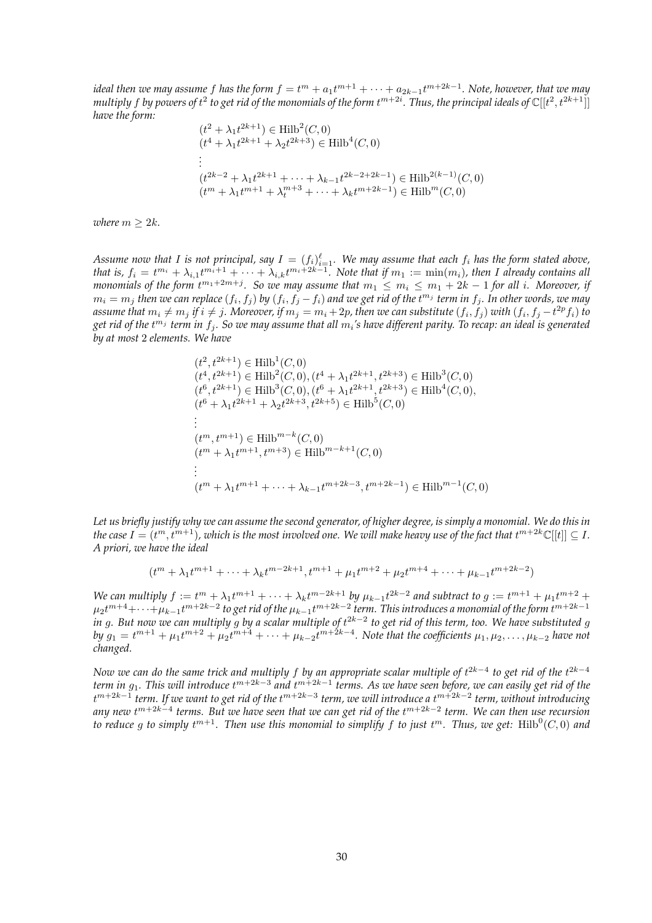ideal then we may assume  $f$  has the form  $f=t^m+a_1t^{m+1}+\cdots+a_{2k-1}t^{m+2k-1}.$  Note, however, that we may multiply  $f$  by powers of  $t^2$  to get rid of the monomials of the form  $t^{m+2i}$ . Thus, the principal ideals of  $\mathbb C[[t^2,t^{2k+1}]]$ *have the form:*

$$
(t^{2} + \lambda_{1}t^{2k+1}) \in \text{Hilb}^{2}(C, 0)
$$
  
\n
$$
(t^{4} + \lambda_{1}t^{2k+1} + \lambda_{2}t^{2k+3}) \in \text{Hilb}^{4}(C, 0)
$$
  
\n
$$
\vdots
$$
  
\n
$$
(t^{2k-2} + \lambda_{1}t^{2k+1} + \dots + \lambda_{k-1}t^{2k-2+2k-1}) \in \text{Hilb}^{2(k-1)}(C, 0)
$$
  
\n
$$
(t^{m} + \lambda_{1}t^{m+1} + \lambda_{t}^{m+3} + \dots + \lambda_{k}t^{m+2k-1}) \in \text{Hilb}^{m}(C, 0)
$$

*where*  $m \geq 2k$ *.* 

Assume now that I is not principal, say  $I=(f_i)_{i=1}^\ell$ . We may assume that each  $f_i$  has the form stated above, that is,  $f_i = t^{m_i} + \lambda_{i,1}t^{m_i+1} + \cdots + \lambda_{i,k}t^{m_i+2k-1}$ . Note that if  $m_1 := \min(m_i)$ , then I already contains all *monomials of the form*  $t^{m_1+2m+j}$ *. So we may assume that*  $m_1\leq m_i\leq m_1+2k-1$  *for all i. Moreover, if*  $m_i=m_j$  then we can replace  $(f_i,f_j)$  by  $(f_i,f_j-f_i)$  and we get rid of the  $t^{m_j}$  term in  $f_j.$  In other words, we may assume that  $m_i\neq m_j$  if  $i\neq j$ . Moreover, if  $m_j=m_i+2p$ , then we can substitute  $(f_i,f_j)$  with  $(f_i,f_j-t^{2p}f_i)$  to get rid of the t<sup>m</sup>1 term in  $f_j$ . So we may assume that all  $m_i$ 's have different parity. To recap: an ideal is generated *by at most* 2 *elements. We have*

$$
(t^{2}, t^{2k+1}) \in \text{Hilb}^{1}(C, 0)
$$
  
\n
$$
(t^{4}, t^{2k+1}) \in \text{Hilb}^{2}(C, 0), (t^{4} + \lambda_{1}t^{2k+1}, t^{2k+3}) \in \text{Hilb}^{3}(C, 0)
$$
  
\n
$$
(t^{6}, t^{2k+1}) \in \text{Hilb}^{3}(C, 0), (t^{6} + \lambda_{1}t^{2k+1}, t^{2k+3}) \in \text{Hilb}^{4}(C, 0),
$$
  
\n
$$
(t^{6} + \lambda_{1}t^{2k+1} + \lambda_{2}t^{2k+3}, t^{2k+5}) \in \text{Hilb}^{5}(C, 0)
$$
  
\n
$$
\vdots
$$
  
\n
$$
(t^{m}, t^{m+1}) \in \text{Hilb}^{m-k}(C, 0)
$$
  
\n
$$
(t^{m} + \lambda_{1}t^{m+1}, t^{m+3}) \in \text{Hilb}^{m-k+1}(C, 0)
$$
  
\n
$$
\vdots
$$
  
\n
$$
(t^{m} + \lambda_{1}t^{m+1} + \dots + \lambda_{k-1}t^{m+2k-3}, t^{m+2k-1}) \in \text{Hilb}^{m-1}(C, 0)
$$

*Let us briefly justify why we can assume the second generator, of higher degree, is simply a monomial. We do this in* the case  $I=(t^m,t^{m+1})$ , which is the most involved one. We will make heavy use of the fact that  $t^{m+2k}\mathbb{C}[[t]]\subseteq I.$ *A priori, we have the ideal*

$$
(t^{m} + \lambda_1 t^{m+1} + \dots + \lambda_k t^{m-2k+1}, t^{m+1} + \mu_1 t^{m+2} + \mu_2 t^{m+4} + \dots + \mu_{k-1} t^{m+2k-2})
$$

*We can multiply*  $f := t^m + \lambda_1 t^{m+1} + \cdots + \lambda_k t^{m-2k+1}$  *by*  $\mu_{k-1} t^{2k-2}$  *and subtract to*  $g := t^{m+1} + \mu_1 t^{m+2} +$  $\mu_2 t^{m+4}+\cdots+\mu_{k-1}t^{m+2k-2}$  to get rid of the  $\mu_{k-1}t^{m+2k-2}$  term. This introduces a monomial of the form  $t^{m+2k-1}$ *in g. But now we can multiply g by a scalar multiple of t<sup>2k−2</sup> to get rid of this term, too. We have substituted g*  $by~g_1=t^{m+1}+\mu_1t^{m+2}+\mu_2t^{m+4}+\cdots+\mu_{k-2}t^{m+2k-4}.$  Note that the coefficients  $\mu_1,\mu_2,\ldots,\mu_{k-2}$  have not *changed.*

*Now we can do the same trick and multiply f by an appropriate scalar multiple of t<sup>2k−4</sup> to get rid of the t<sup>2k−4</sup>* term in  $g_1$ . This will introduce t™<sup>+2k−3</sup> and t<sup>m+2k−1</sup> terms. As we have seen before, we can easily get rid of the t m+2k−1 *term. If we want to get rid of the* t m+2k−3 *term, we will introduce a* t m+2k−2 *term, without introducing any new* t m+2k−4 *terms. But we have seen that we can get rid of the* t m+2k−2 *term. We can then use recursion* to reduce g to simply  $t^{m+1}$ . Then use this monomial to simplify f to just  $t^m$ . Thus, we get:  $\text{Hilb}^0(C,0)$  and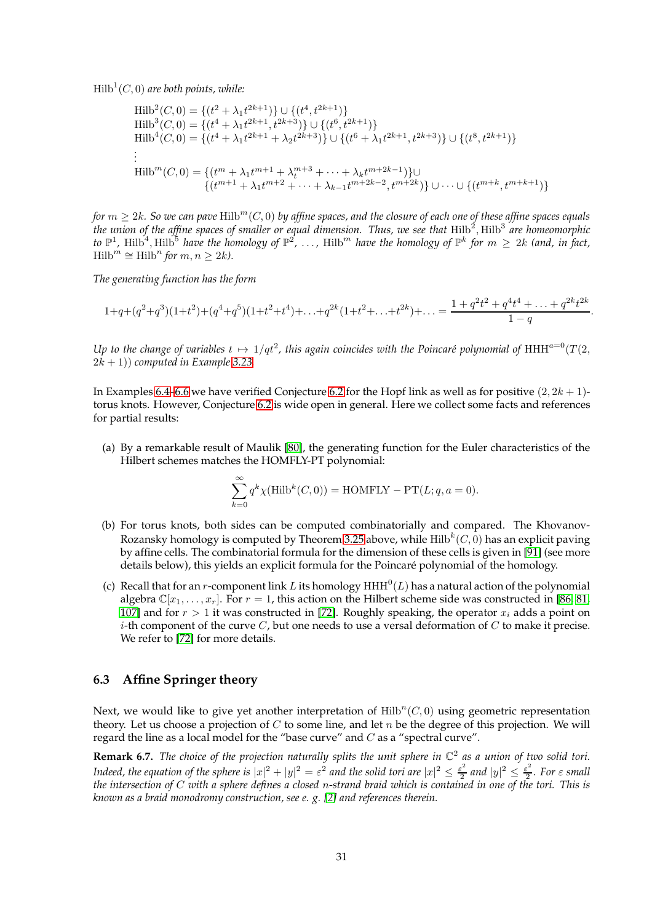$\mathrm{Hilb}^1(C,0)$  are both points, while:

$$
\text{Hilb}^{2}(C,0) = \{(t^{2} + \lambda_{1}t^{2k+1})\} \cup \{(t^{4}, t^{2k+1})\}
$$
\n
$$
\text{Hilb}^{3}(C,0) = \{(t^{4} + \lambda_{1}t^{2k+1}, t^{2k+3})\} \cup \{(t^{6}, t^{2k+1})\}
$$
\n
$$
\text{Hilb}^{4}(C,0) = \{(t^{4} + \lambda_{1}t^{2k+1} + \lambda_{2}t^{2k+3})\} \cup \{(t^{6} + \lambda_{1}t^{2k+1}, t^{2k+3})\} \cup \{(t^{8}, t^{2k+1})\}
$$
\n
$$
\vdots
$$
\n
$$
\text{Hilb}^{m}(C,0) = \{(t^{m} + \lambda_{1}t^{m+1} + \lambda_{t}^{m+3} + \dots + \lambda_{k}t^{m+2k-1})\} \cup \{(t^{m+k}, t^{m+k+1})\}
$$

*for*  $m \geq 2k$ . So we can pave Hilb<sup>m</sup>(C, 0) by affine spaces, and the closure of each one of these affine spaces equals the union of the affine spaces of smaller or equal dimension. Thus, we see that  $\text{Hilb}^2, \text{Hilb}^3$  are homeomorphic to  $\mathbb{P}^1$ , Hilb<sup>5</sup>, Hilb<sup>5</sup> have the homology of  $\mathbb{P}^2$ ,  $\dots$ , Hilb<sup>m</sup> have the homology of  $\mathbb{P}^k$  for  $m\,\geq\,2k$  (and, in fact,  $Hilb<sup>m</sup> \cong Hilb<sup>n</sup>$  *for*  $m, n \geq 2k$ *)*.

*The generating function has the form*

$$
1 + q + (q^2 + q^3)(1 + t^2) + (q^4 + q^5)(1 + t^2 + t^4) + \ldots + q^{2k}(1 + t^2 + \ldots + t^{2k}) + \ldots = \frac{1 + q^2t^2 + q^4t^4 + \ldots + q^{2k}t^{2k}}{1 - q}.
$$

Up to the change of variables  $t\mapsto 1/qt^2$ , this again coincides with the Poincaré polynomial of  $\mathrm{HHH}^{a=0}(T(2,$  $(2k+1)$  *computed in Example* [3.23.](#page-10-0)

In Examples [6.4–](#page-27-2)[6.6](#page-28-1) we have verified Conjecture [6.2](#page-27-1) for the Hopf link as well as for positive  $(2, 2k + 1)$ torus knots. However, Conjecture [6.2](#page-27-1) is wide open in general. Here we collect some facts and references for partial results:

(a) By a remarkable result of Maulik [\[80\]](#page-46-3), the generating function for the Euler characteristics of the Hilbert schemes matches the HOMFLY-PT polynomial:

$$
\sum_{k=0}^{\infty} q^k \chi(\text{Hilb}^k(C,0)) = \text{HOMFLY} - \text{PT}(L;q,a=0).
$$

- (b) For torus knots, both sides can be computed combinatorially and compared. The Khovanov-Rozansky homology is computed by Theorem [3.25](#page-11-2) above, while  $\mathrm{Hilb}^k(C,0)$  has an explicit paving by affine cells. The combinatorial formula for the dimension of these cells is given in [\[91\]](#page-47-0) (see more details below), this yields an explicit formula for the Poincaré polynomial of the homology.
- (c) Recall that for an *r*-component link L its homology  $HHH^0(L)$  has a natural action of the polynomial algebra  $\mathbb{C}[x_1,\ldots,x_r]$ . For  $r=1$ , this action on the Hilbert scheme side was constructed in [\[86,](#page-46-1) [81,](#page-46-2) [107\]](#page-47-17) and for  $r > 1$  it was constructed in [\[72\]](#page-46-19). Roughly speaking, the operator  $x_i$  adds a point on *i*-th component of the curve  $C$ , but one needs to use a versal deformation of  $C$  to make it precise. We refer to [\[72\]](#page-46-19) for more details.

#### <span id="page-30-0"></span>**6.3 Affine Springer theory**

Next, we would like to give yet another interpretation of  $\mathrm{Hilb}^n(C,0)$  using geometric representation theory. Let us choose a projection of  $C$  to some line, and let  $n$  be the degree of this projection. We will regard the line as a local model for the "base curve" and  $C$  as a "spectral curve".

**Remark 6.7.** *The choice of the projection naturally splits the unit sphere in* C 2 *as a union of two solid tori. Indeed, the equation of the sphere is*  $|x|^2 + |y|^2 = \varepsilon^2$  and the solid tori are  $|x|^2 \leq \frac{\varepsilon^2}{2}$  $\frac{\varepsilon^2}{2}$  and  $|y|^2 \leq \frac{\varepsilon^2}{2}$  $\frac{1}{2}$ *.* For  $\varepsilon$  small *the intersection of* C *with a sphere defines a closed* n*-strand braid which is contained in one of the tori. This is known as a braid monodromy construction, see e. g. [\[2\]](#page-43-15) and references therein.*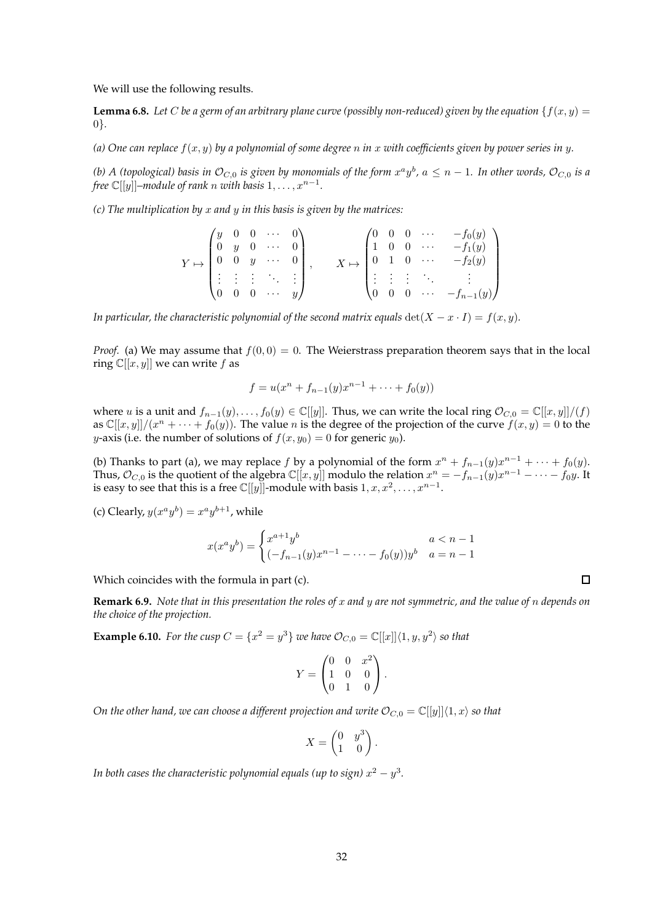We will use the following results.

<span id="page-31-0"></span>**Lemma 6.8.** Let C be a germ of an arbitrary plane curve (possibly non-reduced) given by the equation  $\{f(x, y) = f(x, y) = f(x, y) = f(x, y) = f(x, y) = f(x, y)$ 0}*.*

*(a) One can replace*  $f(x, y)$  *by a polynomial of some degree* n *in* x with coefficients given by power series in y.

*(b) A (topological) basis in*  $\mathcal{O}_{C,0}$  *is given by monomials of the form*  $x^a y^b$ *,*  $a\leq n-1$ *. In other words,*  $\mathcal{O}_{C,0}$  *is a free*  $\mathbb{C}[[y]]$ –module of rank  $n$  with basis  $1, \ldots, x^{n-1}$ .

*(c) The multiplication by* x *and* y *in this basis is given by the matrices:*

$$
Y \mapsto \begin{pmatrix} y & 0 & 0 & \cdots & 0 \\ 0 & y & 0 & \cdots & 0 \\ 0 & 0 & y & \cdots & 0 \\ \vdots & \vdots & \vdots & \ddots & \vdots \\ 0 & 0 & 0 & \cdots & y \end{pmatrix}, \qquad X \mapsto \begin{pmatrix} 0 & 0 & 0 & \cdots & -f_0(y) \\ 1 & 0 & 0 & \cdots & -f_1(y) \\ 0 & 1 & 0 & \cdots & -f_2(y) \\ \vdots & \vdots & \vdots & \ddots & \vdots \\ 0 & 0 & 0 & \cdots & -f_{n-1}(y) \end{pmatrix}
$$

*In particular, the characteristic polynomial of the second matrix equals*  $det(X - x \cdot I) = f(x, y)$ *.* 

*Proof.* (a) We may assume that  $f(0, 0) = 0$ . The Weierstrass preparation theorem says that in the local ring  $\mathbb{C}[[x, y]]$  we can write f as

$$
f = u(x^{n} + f_{n-1}(y)x^{n-1} + \dots + f_0(y))
$$

where u is a unit and  $f_{n-1}(y),..., f_0(y) \in \mathbb{C}[[y]]$ . Thus, we can write the local ring  $\mathcal{O}_{C,0} = \mathbb{C}[[x,y]]/(f)$ as  $\mathbb{C}[[x,y]]/(x^n + \cdots + f_0(y))$ . The value n is the degree of the projection of the curve  $f(x,y) = 0$  to the y-axis (i.e. the number of solutions of  $f(x, y_0) = 0$  for generic  $y_0$ ).

(b) Thanks to part (a), we may replace f by a polynomial of the form  $x^n + f_{n-1}(y)x^{n-1} + \cdots + f_0(y)$ . Thus,  $\mathcal{O}_{C,0}$  is the quotient of the algebra  $\mathbb{C}[[x,y]]$  modulo the relation  $x^n = -f_{n-1}(y)x^{n-1} - \cdots - f_0y$ . It is easy to see that this is a free  $\mathbb{C}[[y]]$ -module with basis  $1, x, x^2, \ldots, x^{n-1}$ .

(c) Clearly,  $y(x^a y^b) = x^a y^{b+1}$ , while

$$
x(x^{a}y^{b}) = \begin{cases} x^{a+1}y^{b} & a < n-1 \\ (-f_{n-1}(y)x^{n-1} - \dots - f_{0}(y))y^{b} & a = n-1 \end{cases}
$$

Which coincides with the formula in part (c).

**Remark 6.9.** *Note that in this presentation the roles of* x *and* y *are not symmetric, and the value of* n *depends on the choice of the projection.*

<span id="page-31-1"></span>**Example 6.10.** For the cusp  $C = \{x^2 = y^3\}$  we have  $\mathcal{O}_{C,0} = \mathbb{C}[[x]]\langle 1, y, y^2 \rangle$  so that

$$
Y = \begin{pmatrix} 0 & 0 & x^2 \\ 1 & 0 & 0 \\ 0 & 1 & 0 \end{pmatrix}.
$$

*On the other hand, we can choose a different projection and write*  $\mathcal{O}_{C,0} = \mathbb{C}[[y]]\langle 1, x \rangle$  *so that* 

$$
X = \begin{pmatrix} 0 & y^3 \\ 1 & 0 \end{pmatrix}.
$$

In both cases the characteristic polynomial equals (up to sign)  $x^2-y^3$ .

 $\Box$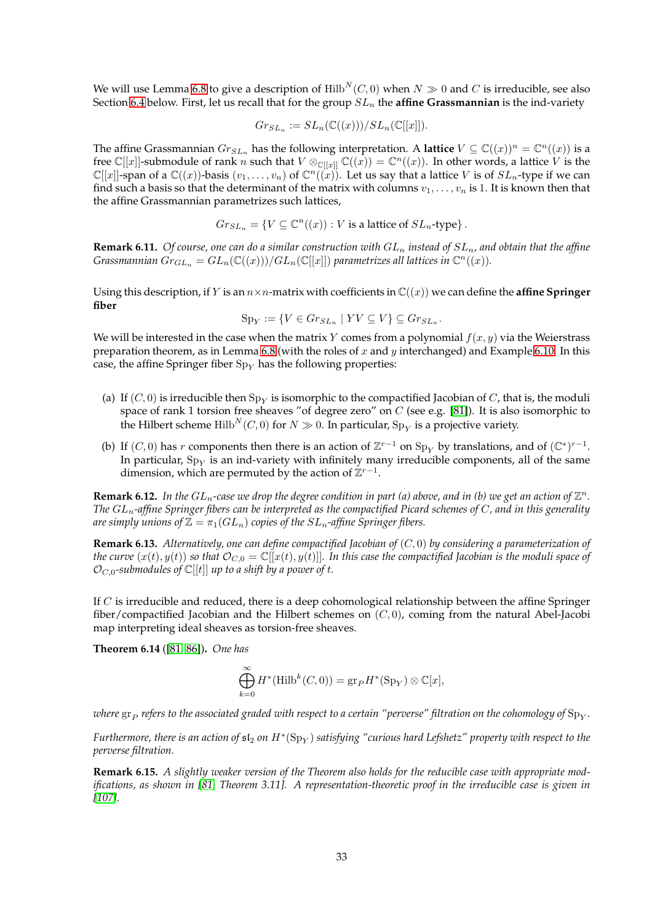We will use Lemma [6.8](#page-31-0) to give a description of  $Hilb<sup>N</sup>(C, 0)$  when  $N \gg 0$  and C is irreducible, see also Section [6.4](#page-36-0) below. First, let us recall that for the group  $SL_n$  the **affine Grassmannian** is the ind-variety

$$
Gr_{SL_n}:=SL_n(\mathbb{C}((x)))/SL_n(\mathbb{C}[[x]]).
$$

The affine Grassmannian  $Gr_{SL_n}$  has the following interpretation. A **lattice**  $V \subseteq \mathbb{C}((x))^n = \mathbb{C}^n((x))$  is a free  $\mathbb{C}[[x]]$ -submodule of rank  $n$  such that  $V \otimes_{\mathbb{C}[[x]]} \mathbb{C}((x)) = \mathbb{C}^n((x))$ . In other words, a lattice  $V$  is the  $\mathbb{C}[[x]]$ -span of a  $\mathbb{C}((x))$ -basis  $(v_1,\ldots,v_n)$  of  $\mathbb{C}^n((x))$ . Let us say that a lattice V is of  $SL_n$ -type if we can find such a basis so that the determinant of the matrix with columns  $v_1, \ldots, v_n$  is 1. It is known then that the affine Grassmannian parametrizes such lattices,

$$
Gr_{SL_n} = \{ V \subseteq \mathbb{C}^n((x)) : V \text{ is a lattice of } SL_n\text{-type} \}.
$$

**Remark 6.11.** *Of course, one can do a similar construction with*  $GL_n$  *instead of*  $SL_n$ *, and obtain that the affine*  $Grasmannian$   $\check{Gr}_{GL_n}=GL_n(\mathbb{C}((x)))/GL_n(\mathbb{C}[[x]])$  parametrizes all lattices in  $\mathbb{C}^n((x))$ .

Using this description, if Y is an  $n \times n$ -matrix with coefficients in  $\mathbb{C}((x))$  we can define the **affine Springer fiber**

$$
Sp_Y := \{ V \in Gr_{SL_n} \mid YV \subseteq V \} \subseteq Gr_{SL_n}.
$$

We will be interested in the case when the matrix Y comes from a polynomial  $f(x, y)$  via the Weierstrass preparation theorem, as in Lemma [6.8](#page-31-0) (with the roles of x and y interchanged) and Example [6.10.](#page-31-1) In this case, the affine Springer fiber  $Sp<sub>Y</sub>$  has the following properties:

- (a) If  $(C,0)$  is irreducible then  $\mathrm{Sp}_Y$  is isomorphic to the compactified Jacobian of  $C$ , that is, the moduli space of rank 1 torsion free sheaves "of degree zero" on  $C$  (see e.g. [\[81\]](#page-46-2)). It is also isomorphic to the Hilbert scheme  $\mathrm{Hilb}^N(C,0)$  for  $N\gg 0.$  In particular,  $\mathrm{Sp}_Y$  is a projective variety.
- (b) If  $(C, 0)$  has r components then there is an action of  $\mathbb{Z}^{r-1}$  on  $\text{Sp}_Y$  by translations, and of  $(\mathbb{C}^*)^{r-1}$ . In particular,  $\mathrm{Sp}_Y$  is an ind-variety with infinitely many irreducible components, all of the same dimension, which are permuted by the action of  $\mathbb{Z}^{r-1}$ .

**Remark 6.12.** In the  $GL_n$ -case we drop the degree condition in part (a) above, and in (b) we get an action of  $\mathbb{Z}^n$ . *The* GLn*-affine Springer fibers can be interpreted as the compactified Picard schemes of* C*, and in this generality are simply unions of*  $\mathbb{Z} = \pi_1(GL_n)$  *copies of the*  $SL_n$ -*affine Springer fibers.* 

<span id="page-32-0"></span>**Remark 6.13.** *Alternatively, one can define compactified Jacobian of* (C, 0) *by considering a parameterization of the curve*  $(x(t), y(t))$  *so that*  $\mathcal{O}_{C,0} = \mathbb{C}[[x(t), y(t)]]$ . In this case the compactified Jacobian is the moduli space of  $\mathcal{O}_{C,0}$ -submodules of  $\mathbb{C}[[t]]$  up to a shift by a power of t.

If  $C$  is irreducible and reduced, there is a deep cohomological relationship between the affine Springer fiber/compactified Jacobian and the Hilbert schemes on  $(C, 0)$ , coming from the natural Abel-Jacobi map interpreting ideal sheaves as torsion-free sheaves.

<span id="page-32-1"></span>**Theorem 6.14** ([\[81,](#page-46-2) [86\]](#page-46-1))**.** *One has*

$$
\bigoplus_{k=0}^{\infty} H^*(\text{Hilb}^k(C,0)) = \text{gr}_P H^*(\text{Sp}_Y) \otimes \mathbb{C}[x],
$$

where  $\rm{gr}_{P}$  refers to the associated graded with respect to a certain "perverse" filtration on the cohomology of  $\rm{Sp}_{Y}.$ 

*Furthermore, there is an action of*  $\mathfrak{sl}_2$  *on*  $H^*(\mathrm{Sp}_Y)$  *satisfying "curious hard Lefshetz" property with respect to the perverse filtration.*

**Remark 6.15.** *A slightly weaker version of the Theorem also holds for the reducible case with appropriate modifications, as shown in [\[81,](#page-46-2) Theorem 3.11]. A representation-theoretic proof in the irreducible case is given in [\[107\]](#page-47-17).*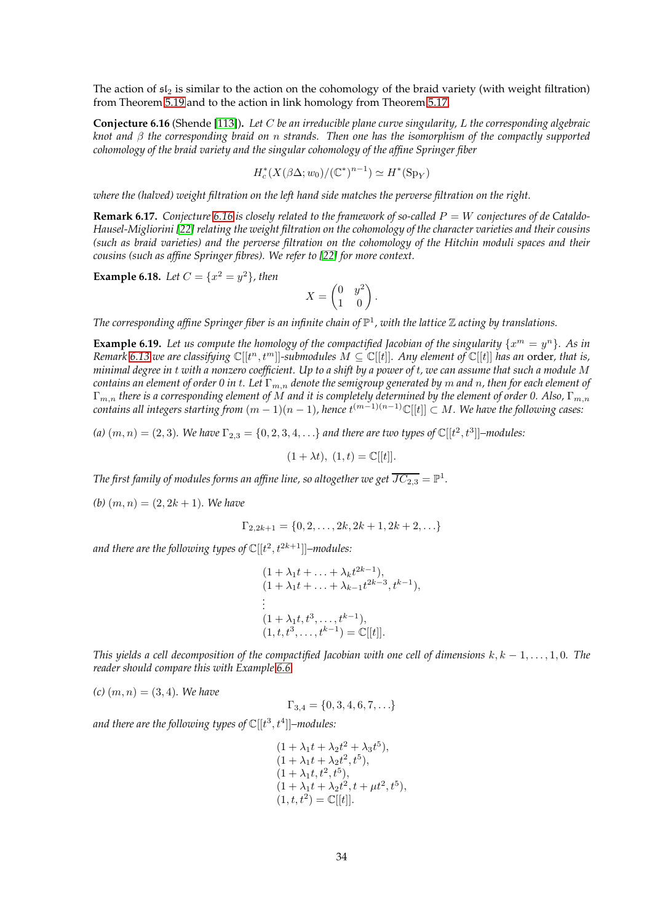The action of  $sI_2$  is similar to the action on the cohomology of the braid variety (with weight filtration) from Theorem [5.19](#page-26-5) and to the action in link homology from Theorem [5.17.](#page-25-1)

<span id="page-33-0"></span>**Conjecture 6.16** (Shende [\[113\]](#page-48-2))**.** *Let* C *be an irreducible plane curve singularity,* L *the corresponding algebraic knot and* β *the corresponding braid on* n *strands. Then one has the isomorphism of the compactly supported cohomology of the braid variety and the singular cohomology of the affine Springer fiber*

$$
H_c^*(X(\beta \Delta; w_0)/(\mathbb{C}^*)^{n-1}) \simeq H^*(\mathrm{Sp}_Y)
$$

*where the (halved) weight filtration on the left hand side matches the perverse filtration on the right.*

**Remark 6.17.** Conjecture [6.16](#page-33-0) is closely related to the framework of so-called  $P = W$  conjectures of de Cataldo-*Hausel-Migliorini [\[22\]](#page-44-4) relating the weight filtration on the cohomology of the character varieties and their cousins (such as braid varieties) and the perverse filtration on the cohomology of the Hitchin moduli spaces and their cousins (such as affine Springer fibres). We refer to [\[22\]](#page-44-4) for more context.*

**Example 6.18.** *Let*  $C = \{x^2 = y^2\}$ *, then* 

$$
X = \begin{pmatrix} 0 & y^2 \\ 1 & 0 \end{pmatrix}.
$$

*The corresponding affine Springer fiber is an infinite chain of* P 1 *, with the lattice* Z *acting by translations.*

**Example 6.19.** Let us compute the homology of the compactified Jacobian of the singularity  $\{x^m = y^n\}$ . As in *Remark* [6.13](#page-32-0) we are classifying  $\mathbb{C}[[t^n, t^m]]$ -submodules  $M \subseteq \mathbb{C}[[t]]$ . Any element of  $\mathbb{C}[[t]]$  has an order, that is, *minimal degree in* t *with a nonzero coefficient. Up to a shift by a power of* t*, we can assume that such a module* M *contains an element of order 0 in t. Let*  $\Gamma_{m,n}$  *denote the semigroup generated by* m *and* n, *then for each element of* Γm,n *there is a corresponding element of* M *and it is completely determined by the element of order 0. Also,* Γm,n  $\alpha$  contains all integers starting from  $(m-1)(n-1)$ , hence  $t^{(m-1)(n-1)}\mathbb{C}[[t]]\subset M.$  We have the following cases:

(a)  $(m, n) = (2, 3)$ . We have  $\Gamma_{2,3} = \{0, 2, 3, 4, \ldots\}$  and there are two types of  $\mathbb{C}[[t^2, t^3]]$ -modules:

 $(1 + \lambda t), (1, t) = \mathbb{C}[[t]].$ 

*The first family of modules forms an affine line, so altogether we get*  $\overline{JC_{2,3}} = \mathbb{P}^1.$ 

*(b)*  $(m, n) = (2, 2k + 1)$ *. We have* 

$$
\Gamma_{2,2k+1} = \{0, 2, \dots, 2k, 2k+1, 2k+2, \dots\}
$$

and there are the following types of  $\mathbb C[[t^2,t^{2k+1}]]$ –modules:

$$
(1 + \lambda_1 t + \ldots + \lambda_k t^{2k-1}),
$$
  
\n
$$
(1 + \lambda_1 t + \ldots + \lambda_{k-1} t^{2k-3}, t^{k-1}),
$$
  
\n
$$
\vdots
$$
  
\n
$$
(1 + \lambda_1 t, t^3, \ldots, t^{k-1}),
$$
  
\n
$$
(1, t, t^3, \ldots, t^{k-1}) = \mathbb{C}[[t]].
$$

*This yields a cell decomposition of the compactified Jacobian with one cell of dimensions* k, k − 1, . . . , 1, 0*. The reader should compare this with Example [6.6.](#page-28-1)*

 $(c)$   $(m, n) = (3, 4)$ *. We have* 

$$
\Gamma_{3,4} = \{0,3,4,6,7,\ldots\}
$$

and there are the following types of  $\mathbb C[[t^3,t^4]]$ –modules:

$$
(1 + \lambda_1 t + \lambda_2 t^2 + \lambda_3 t^5),
$$
  
\n
$$
(1 + \lambda_1 t + \lambda_2 t^2, t^5),
$$
  
\n
$$
(1 + \lambda_1 t, t^2, t^5),
$$
  
\n
$$
(1 + \lambda_1 t + \lambda_2 t^2, t + \mu t^2, t^5),
$$
  
\n
$$
(1, t, t^2) = \mathbb{C}[[t]].
$$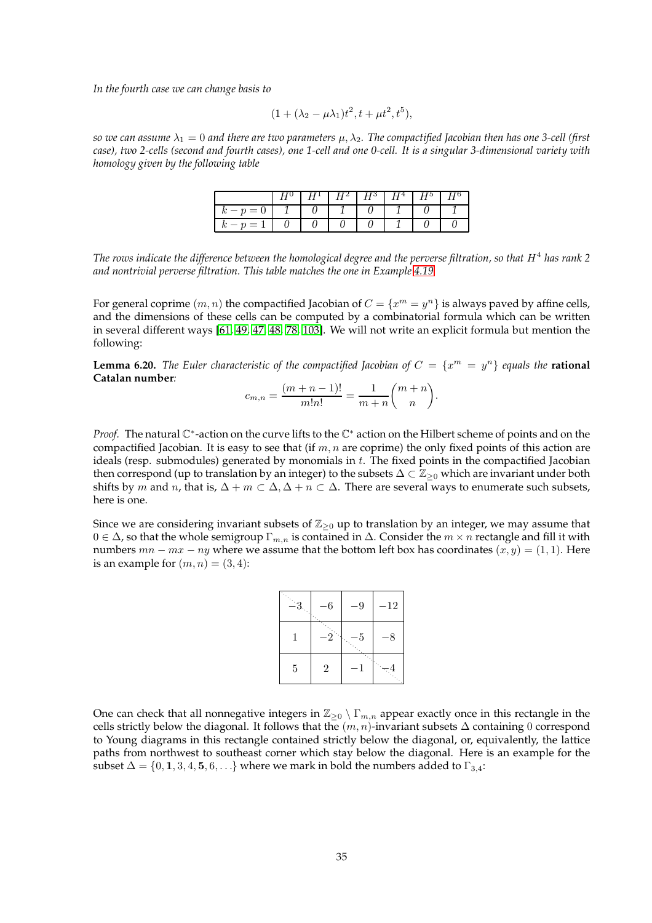*In the fourth case we can change basis to*

$$
(1 + (\lambda_2 - \mu \lambda_1)t^2, t + \mu t^2, t^5),
$$

*so we can assume*  $\lambda_1 = 0$  *and there are two parameters*  $\mu, \lambda_2$ . The compactified Jacobian then has one 3-cell (first *case), two 2-cells (second and fourth cases), one 1-cell and one 0-cell. It is a singular 3-dimensional variety with homology given by the following table*

|  | -2 | $H^3$ $H^4$ | $H^{\mathfrak{d}}$ |  |
|--|----|-------------|--------------------|--|
|  |    |             |                    |  |
|  |    |             |                    |  |

*The rows indicate the difference between the homological degree and the perverse filtration, so that* H<sup>4</sup> *has rank* 2 *and nontrivial perverse filtration. This table matches the one in Example [4.19.](#page-18-2)*

For general coprime  $(m, n)$  the compactified Jacobian of  $C = \{x^m = y^n\}$  is always paved by affine cells, and the dimensions of these cells can be computed by a combinatorial formula which can be written in several different ways [\[61,](#page-45-14) [49,](#page-45-15) [47,](#page-45-16) [48,](#page-45-17) [78,](#page-46-5) [103\]](#page-47-18). We will not write an explicit formula but mention the following:

**Lemma 6.20.** *The Euler characteristic of the compactified Jacobian of*  $C = \{x^m = y^n\}$  *equals the* **rational Catalan number***:*

$$
c_{m,n} = \frac{(m+n-1)!}{m!n!} = \frac{1}{m+n} \binom{m+n}{n}.
$$

*Proof.* The natural C<sup>\*</sup>-action on the curve lifts to the C<sup>\*</sup> action on the Hilbert scheme of points and on the compactified Jacobian. It is easy to see that (if  $m, n$  are coprime) the only fixed points of this action are ideals (resp. submodules) generated by monomials in  $t$ . The fixed points in the compactified Jacobian then correspond (up to translation by an integer) to the subsets  $\Delta \subset \mathbb{Z}_{\geq 0}$  which are invariant under both shifts by m and n, that is,  $\Delta + m \subset \Delta$ ,  $\Delta + n \subset \Delta$ . There are several ways to enumerate such subsets, here is one.

Since we are considering invariant subsets of  $\mathbb{Z}_{\geq 0}$  up to translation by an integer, we may assume that  $0 \in \Delta$ , so that the whole semigroup  $\Gamma_{m,n}$  is contained in  $\Delta$ . Consider the  $m \times n$  rectangle and fill it with numbers  $mn - mx - ny$  where we assume that the bottom left box has coordinates  $(x, y) = (1, 1)$ . Here is an example for  $(m, n) = (3, 4)$ :

| -3 | 6              | $-9$ | $-12$ |
|----|----------------|------|-------|
|    |                | 5    | 8     |
| 5  | $\overline{2}$ |      |       |

One can check that all nonnegative integers in  $\mathbb{Z}_{\geq 0} \setminus \Gamma_{m,n}$  appear exactly once in this rectangle in the cells strictly below the diagonal. It follows that the  $(m, n)$ -invariant subsets  $\Delta$  containing 0 correspond to Young diagrams in this rectangle contained strictly below the diagonal, or, equivalently, the lattice paths from northwest to southeast corner which stay below the diagonal. Here is an example for the subset  $\Delta = \{0, 1, 3, 4, 5, 6, \ldots\}$  where we mark in bold the numbers added to  $\Gamma_{3,4}$ :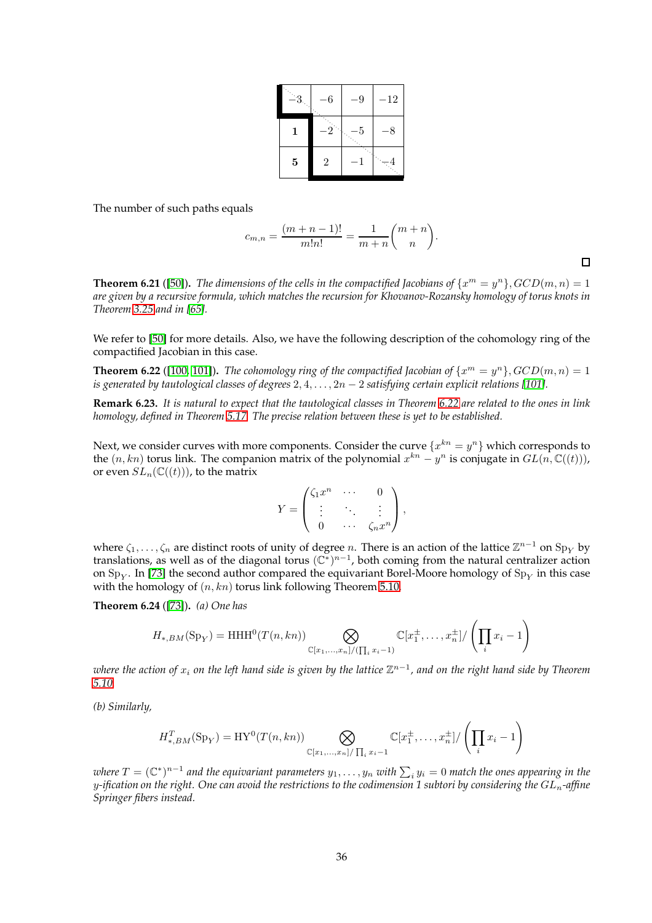| $-3$ | 6              | $\cdot 9$ | $-12$ |
|------|----------------|-----------|-------|
| 1    |                | 5         | 8     |
| 5    | $\overline{2}$ |           |       |

The number of such paths equals

$$
c_{m,n} = \frac{(m+n-1)!}{m!n!} = \frac{1}{m+n} \binom{m+n}{n}.
$$

**Theorem 6.21** ([\[50\]](#page-45-18)). The dimensions of the cells in the compactified Jacobians of  $\{x^m = y^n\}$ ,  $GCD(m, n) = 1$ *are given by a recursive formula, which matches the recursion for Khovanov-Rozansky homology of torus knots in Theorem [3.25](#page-11-2) and in [\[65\]](#page-45-11).*

We refer to [\[50\]](#page-45-18) for more details. Also, we have the following description of the cohomology ring of the compactified Jacobian in this case.

<span id="page-35-0"></span>**Theorem 6.22** ([\[100,](#page-47-19) [101\]](#page-47-20)). *The cohomology ring of the compactified Jacobian of*  $\{x^m = y^n\}$ ,  $GCD(m, n) = 1$ *is generated by tautological classes of degrees*  $2, 4, \ldots, 2n - 2$  *satisfying certain explicit relations* [\[101\]](#page-47-20)*.* 

**Remark 6.23.** *It is natural to expect that the tautological classes in Theorem [6.22](#page-35-0) are related to the ones in link homology, defined in Theorem [5.17.](#page-25-1) The precise relation between these is yet to be established.*

Next, we consider curves with more components. Consider the curve  $\{x^{kn}=y^n\}$  which corresponds to the  $(n, kn)$  torus link. The companion matrix of the polynomial  $x^{kn} - y^n$  is conjugate in  $GL(n, \mathbb{C}((t)))$ , or even  $SL_n(\mathbb{C}((t)))$ , to the matrix

$$
Y = \begin{pmatrix} \zeta_1 x^n & \cdots & 0 \\ \vdots & \ddots & \vdots \\ 0 & \cdots & \zeta_n x^n \end{pmatrix},
$$

where  $\zeta_1,\ldots,\zeta_n$  are distinct roots of unity of degree n. There is an action of the lattice  $\mathbb{Z}^{n-1}$  on  $\text{Sp}_Y$  by translations, as well as of the diagonal torus  $(\mathbb{C}^*)^{n-1}$ , both coming from the natural centralizer action on  $\mathrm{Sp}_Y.$  In [\[73\]](#page-46-20) the second author compared the equivariant Borel-Moore homology of  $\mathrm{Sp}_Y$  in this case with the homology of  $(n, kn)$  torus link following Theorem [5.10.](#page-22-0)

**Theorem 6.24** ([\[73\]](#page-46-20))**.** *(a) One has*

$$
H_{*,BM}(\mathrm{Sp}_Y) = \mathrm{HHH}^0(T(n,kn)) \bigotimes_{\mathbb{C}[x_1,\ldots,x_n]/(\prod_i x_i - 1)} \mathbb{C}[x_1^{\pm},\ldots,x_n^{\pm}]/\left(\prod_i x_i - 1\right)
$$

 $\nu$ here the action of  $x_i$  on the left hand side is given by the lattice  $\mathbb{Z}^{n-1}$ , and on the right hand side by Theorem *[5.10.](#page-22-0)*

*(b) Similarly,*

$$
H_{*,BM}^T(\mathrm{Sp}_Y) = \mathrm{HY}^0(T(n,kn)) \bigotimes_{\mathbb{C}[x_1,\ldots,x_n]/\prod_i x_i - 1} \mathbb{C}[x_1^{\pm},\ldots,x_n^{\pm}]/\left(\prod_i x_i - 1\right)
$$

 $w$ here  $T = (\mathbb{C}^*)^{n-1}$  and the equivariant parameters  $y_1,\ldots,y_n$  with  $\sum_i y_i = 0$  match the ones appearing in the y*-ification on the right. One can avoid the restrictions to the codimension 1 subtori by considering the* GLn*-affine Springer fibers instead.*

 $\Box$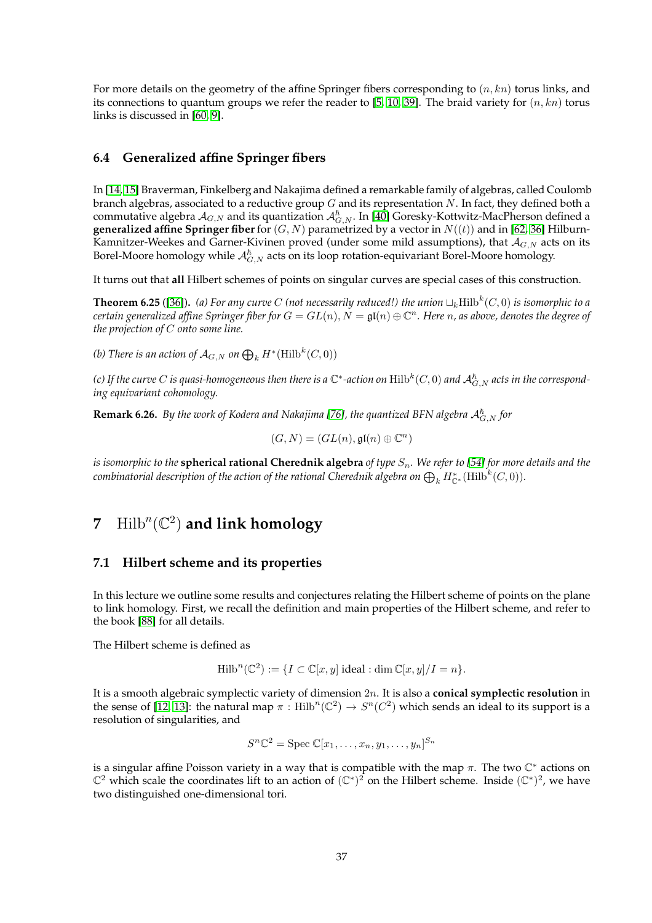For more details on the geometry of the affine Springer fibers corresponding to  $(n, kn)$  torus links, and its connections to quantum groups we refer the reader to [\[5,](#page-43-16) [10,](#page-43-17) [39\]](#page-44-21). The braid variety for  $(n, kn)$  torus links is discussed in [\[60,](#page-45-19) [9\]](#page-43-13).

### <span id="page-36-0"></span>**6.4 Generalized affine Springer fibers**

In [\[14,](#page-43-2) [15\]](#page-43-3) Braverman, Finkelberg and Nakajima defined a remarkable family of algebras, called Coulomb branch algebras, associated to a reductive group  $G$  and its representation  $N$ . In fact, they defined both a commutative algebra  $A_{G,N}$  and its quantization  $A_{G,N}^{\hbar}$ . In [\[40\]](#page-44-22) Goresky-Kottwitz-MacPherson defined a **generalized affine Springer fiber** for  $(G, N)$  parametrized by a vector in  $N((t))$  and in [\[62,](#page-45-0) [36\]](#page-44-3) Hilburn-Kamnitzer-Weekes and Garner-Kivinen proved (under some mild assumptions), that  $A_{G,N}$  acts on its Borel-Moore homology while  $\mathcal{A}_{G,N}^{\hbar}$  acts on its loop rotation-equivariant Borel-Moore homology.

It turns out that **all** Hilbert schemes of points on singular curves are special cases of this construction.

<span id="page-36-3"></span>**Theorem 6.25** ([\[36\]](#page-44-3)). (a) For any curve C (not necessarily reduced!) the union  $\sqcup_k\text{Hilb}^k(C,0)$  is isomorphic to a  $c$ ertain generalized affine Springer fiber for  $G=GL(n),$   $\bar{N}=\mathfrak{gl}(n)\oplus \mathbb{C}^n.$  Here  $n$ , as above, denotes the degree of *the projection of* C *onto some line.*

*(b)* There is an action of  $\mathcal{A}_{G,N}$  on  $\bigoplus_k H^*(\mathrm{Hilb}^k(C,0))$ 

(c) If the curve  $C$  is quasi-homogeneous then there is a  $\mathbb C^*$ -action on  $\rm Hilb^k(C,0)$  and  ${\cal A}_{G,N}^{\hbar}$  acts in the correspond*ing equivariant cohomology.*

<span id="page-36-4"></span> $\bf{Remark 6.26.}$  *By the work of Kodera and Nakajima* [\[76\]](#page-46-21), the quantized BFN algebra  ${\cal A}_{G,N}^{\hbar}$  for

$$
(G, N) = (GL(n), \mathfrak{gl}(n) \oplus \mathbb{C}^n)
$$

*is isomorphic to the* **spherical rational Cherednik algebra** *of type*  $S_n$ . We refer to [\[54\]](#page-45-5) for more details and the  $\epsilon$ ombinatorial description of the action of the rational Cherednik algebra on  $\bigoplus_k H^*_{{\mathbb C}^*}(\mathrm{Hilb}^k(C,0)).$ 

# <span id="page-36-2"></span><span id="page-36-1"></span>**7** Hilb<sup>n</sup>( $\mathbb{C}^2$ ) and link homology

#### **7.1 Hilbert scheme and its properties**

In this lecture we outline some results and conjectures relating the Hilbert scheme of points on the plane to link homology. First, we recall the definition and main properties of the Hilbert scheme, and refer to the book [\[88\]](#page-46-22) for all details.

The Hilbert scheme is defined as

$$
\operatorname{Hilb}^n(\mathbb{C}^2) := \{ I \subset \mathbb{C}[x, y] \text{ ideal} : \dim \mathbb{C}[x, y] / I = n \}.
$$

It is a smooth algebraic symplectic variety of dimension 2n. It is also a **conical symplectic resolution** in the sense of [\[12,](#page-43-18) [13\]](#page-43-19): the natural map  $\pi$  : Hilb<sup>n</sup>( $\mathbb{C}^2$ )  $\to$   $S^n(C^2)$  which sends an ideal to its support is a resolution of singularities, and

$$
S^n\mathbb{C}^2 = \mathrm{Spec} \ \mathbb{C}[x_1,\ldots,x_n,y_1,\ldots,y_n]^{S_n}
$$

is a singular affine Poisson variety in a way that is compatible with the map  $\pi$ . The two  $\mathbb{C}^*$  actions on  $\mathbb{C}^2$  which scale the coordinates lift to an action of  $(\mathbb{C}^*)^2$  on the Hilbert scheme. Inside  $(\mathbb{C}^*)^2$ , we have two distinguished one-dimensional tori.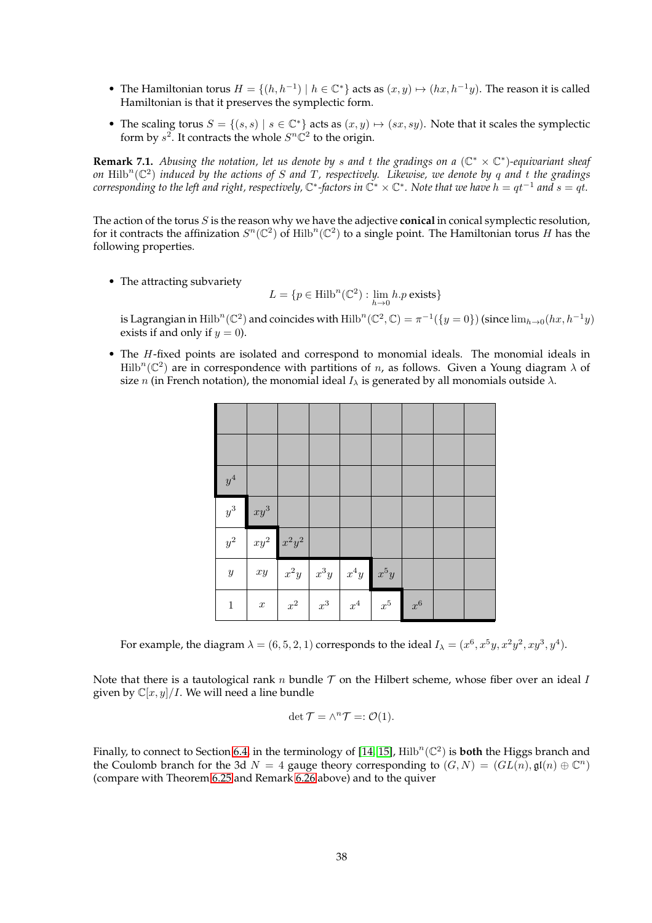- The Hamiltonian torus  $H = \{(h, h^{-1}) \mid h \in \mathbb{C}^*\}$  acts as  $(x, y) \mapsto (hx, h^{-1}y)$ . The reason it is called Hamiltonian is that it preserves the symplectic form.
- The scaling torus  $S = \{(s, s) | s \in \mathbb{C}^*\}$  acts as  $(x, y) \mapsto (sx, sy)$ . Note that it scales the symplectic form by  $s^2$ . It contracts the whole  $S^n\mathbb{C}^2$  to the origin.

**Remark 7.1.** Abusing the notation, let us denote by s and t the gradings on a  $(\mathbb{C}^* \times \mathbb{C}^*)$ -equivariant sheaf on  $\mathrm{Hilb}^n(\mathbb{C}^2)$  *induced by the actions of S and T, respectively. Likewise, we denote by q and t the gradings*  $\alpha$  *corresponding to the left and right, respectively,*  $\mathbb{C}^*$  -factors in  $\mathbb{C}^*\times\mathbb{C}^*$ . Note that we have  $h=qt^{-1}$  and  $s=qt.$ 

The action of the torus S is the reason why we have the adjective **conical** in conical symplectic resolution, for it contracts the affinization  $S^n(\mathbb{C}^2)$  of Hilb $^n(\mathbb{C}^2)$  to a single point. The Hamiltonian torus H has the following properties.

• The attracting subvariety

$$
L = \{ p \in \text{Hilb}^n(\mathbb{C}^2) : \lim_{h \to 0} h.p \text{ exists} \}
$$

is Lagrangian in Hilb $^n(\mathbb{C}^2)$  and coincides with  $\mathrm{Hilb}^n(\mathbb{C}^2,\mathbb{C})=\pi^{-1}(\{y=0\})$  (since  $\lim_{h\to 0}(hx,h^{-1}y)$ exists if and only if  $y = 0$ ).

• The H-fixed points are isolated and correspond to monomial ideals. The monomial ideals in  $\mathrm{Hilb}^n(\mathbb{C}^2)$  are in correspondence with partitions of n, as follows. Given a Young diagram  $\lambda$  of size n (in French notation), the monomial ideal  $I_\lambda$  is generated by all monomials outside  $\lambda$ .

| $\boldsymbol{y}^4$ |                  |                    |        |                    |         |       |  |
|--------------------|------------------|--------------------|--------|--------------------|---------|-------|--|
| $y^3\,$            | $xy^3$           |                    |        |                    |         |       |  |
| $y^2\,$            | $xy^2$           | $x^2y^2$           |        |                    |         |       |  |
| $\boldsymbol{y}$   | $xy$             | $x^2y$             | $x^3y$ | $x^4y$             | $x^5y$  |       |  |
| $\mathbf{1}$       | $\boldsymbol{x}$ | $\boldsymbol{x}^2$ | $x^3$  | $\boldsymbol{x}^4$ | $x^5\,$ | $x^6$ |  |

For example, the diagram  $\lambda = (6,5,2,1)$  corresponds to the ideal  $I_\lambda = (x^6,x^5y,x^2y^2,xy^3,y^4).$ 

Note that there is a tautological rank n bundle  $T$  on the Hilbert scheme, whose fiber over an ideal I given by  $\mathbb{C}[x, y]/I$ . We will need a line bundle

$$
\det \mathcal{T}=\wedge^n \mathcal{T}=:\mathcal{O}(1).
$$

Finally, to connect to Section [6.4,](#page-36-0) in the terminology of  $[14, 15]$  $[14, 15]$ ,  $\text{Hilb}^n(\mathbb{C}^2)$  is **both** the Higgs branch and the Coulomb branch for the 3d  $N = 4$  gauge theory corresponding to  $(G, N) = (GL(n), \mathfrak{gl}(n) \oplus \mathbb{C}^n)$ (compare with Theorem [6.25](#page-36-3) and Remark [6.26](#page-36-4) above) and to the quiver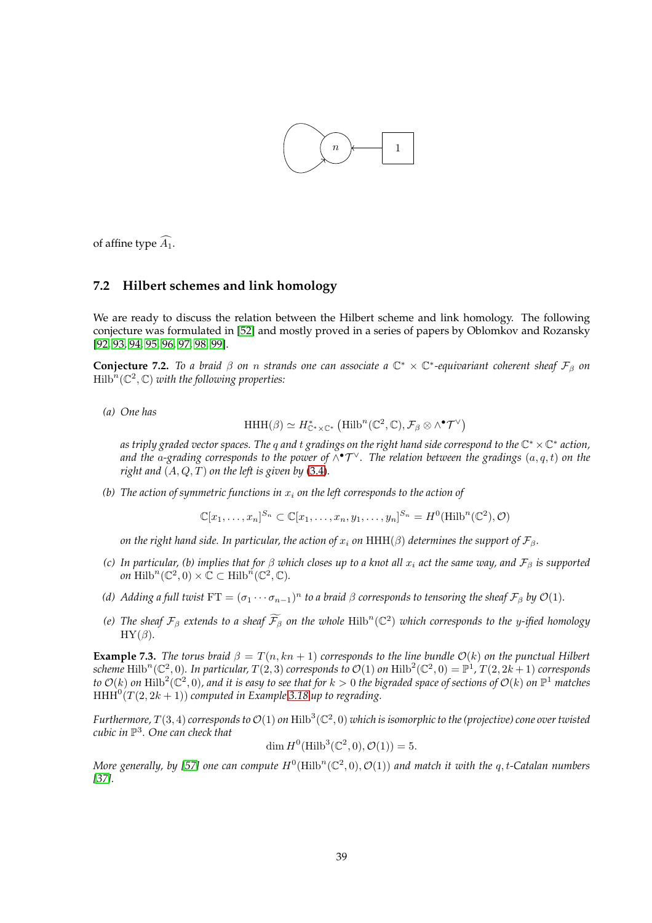

<span id="page-38-0"></span>of affine type  $\widehat{A_1}$ .

### **7.2 Hilbert schemes and link homology**

We are ready to discuss the relation between the Hilbert scheme and link homology. The following conjecture was formulated in [\[52\]](#page-45-1) and mostly proved in a series of papers by Oblomkov and Rozansky [\[92,](#page-47-1) [93,](#page-47-2) [94,](#page-47-3) [95,](#page-47-4) [96,](#page-47-5) [97,](#page-47-6) [98,](#page-47-7) [99\]](#page-47-8).

<span id="page-38-1"></span>**Conjecture 7.2.** To a braid  $\beta$  on n strands one can associate a  $\mathbb{C}^* \times \mathbb{C}^*$ -equivariant coherent sheaf  $\mathcal{F}_{\beta}$  on  $\mathrm{Hilb}^n(\mathbb{C}^2,\mathbb{C})$  with the following properties:

*(a) One has*

$$
\mathrm{HHH}(\beta)\simeq H^*_{\mathbb{C}^*\times\mathbb{C}^*}\left(\mathrm{Hilb}^n(\mathbb{C}^2,\mathbb{C}),\mathcal{F}_\beta\otimes\wedge^\bullet\mathcal{T}^\vee\right)
$$

*as triply graded vector spaces. The* q *and* t *gradings on the right hand side correspond to the* C <sup>∗</sup> ×C ∗ *action,* and the a-grading corresponds to the power of  $\wedge^{\bullet}T^{\vee}$ . The relation between the gradings  $(a,q,t)$  on the *right and*  $(A, Q, T)$  *on the left is given by*  $(3.4)$ *.* 

*(b)* The action of symmetric functions in  $x_i$  on the left corresponds to the action of

 $\mathbb{C}[x_1,\ldots,x_n]^{S_n} \subset \mathbb{C}[x_1,\ldots,x_n,y_1,\ldots,y_n]^{S_n} = H^0(\mathrm{Hilb}^n(\mathbb{C}^2),\mathcal{O})$ 

*on the right hand side. In particular, the action of*  $x_i$  *on* HHH( $\beta$ ) *determines the support of*  $\mathcal{F}_{\beta}$ *.* 

- *(c)* In particular, (b) implies that for  $\beta$  which closes up to a knot all  $x_i$  act the same way, and  $\mathcal{F}_\beta$  is supported *on*  $\text{Hilb}^n(\mathbb{C}^2,0) \times \mathbb{C} \subset \text{Hilb}^n(\mathbb{C}^2,\mathbb{C})$ .
- (d) Adding a full twist  $FT = (\sigma_1 \cdots \sigma_{n-1})^n$  to a braid  $\beta$  corresponds to tensoring the sheaf  $\mathcal{F}_{\beta}$  by  $\mathcal{O}(1)$ .
- *(e)* The sheaf  $\mathcal{F}_{\beta}$  extends to a sheaf  $\widetilde{\mathcal{F}}_{\beta}$  on the whole  $\text{Hilb}^n(\mathbb{C}^2)$  which corresponds to the y-ified homology  $HY(\beta)$ *.*

**Example 7.3.** *The torus braid*  $\beta = T(n, kn + 1)$  *corresponds to the line bundle*  $\mathcal{O}(k)$  *on the punctual Hilbert* scheme  $\text{Hilb}^n(\mathbb{C}^2,0)$ . In particular,  $T(2,3)$  corresponds to  $\mathcal{O}(1)$  on  $\text{Hilb}^2(\mathbb{C}^2,0)=\mathbb{P}^1$ ,  $T(2,2k+1)$  corresponds to  $\mathcal{O}(k)$  on  $\text{Hilb}^2(\mathbb{C}^2,0)$ , and it is easy to see that for  $k>0$  the bigraded space of sections of  $\mathcal{O}(k)$  on  $\mathbb{P}^1$  matches  $HHH<sup>0</sup>(T(2, 2k + 1))$  *computed in Example* [3.18](#page-8-1) *up to regrading*.

Furthermore,  $T(3,4)$  corresponds to  $\mathcal{O}(1)$  on  $\rm{Hilb}^3(\mathbb{C}^2,0)$  which is isomorphic to the (projective) cone over twisted *cubic in* P 3 *. One can check that*

$$
\dim H^0(\text{Hilb}^3(\mathbb{C}^2,0), \mathcal{O}(1)) = 5.
$$

More generally, by [\[57\]](#page-45-7) one can compute  $H^0(\mathrm{Hilb}^n(\mathbb{C}^2,0),\mathcal{O}(1))$  and match it with the  $q,t$ -Catalan numbers *[\[37\]](#page-44-8).*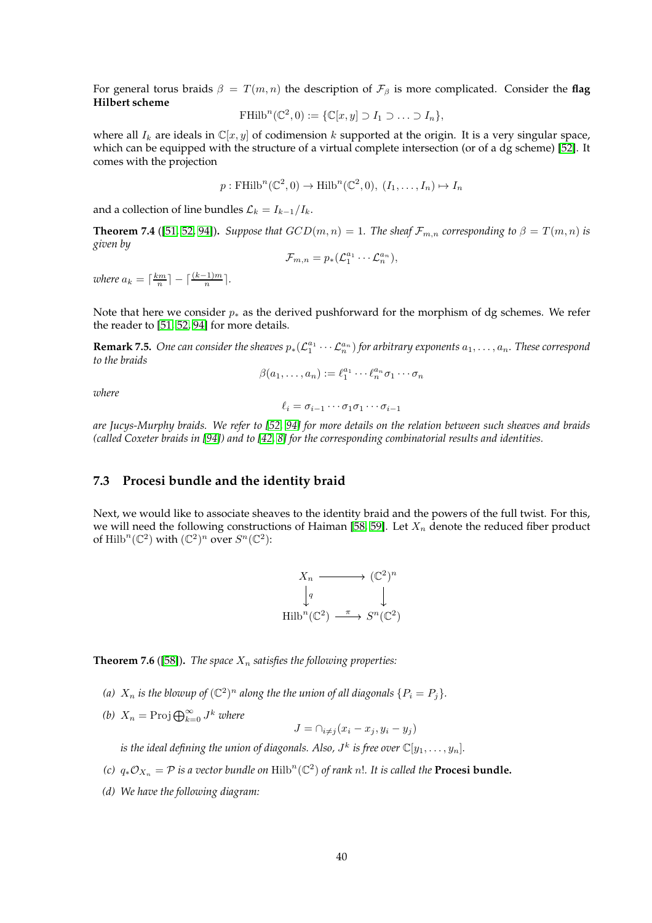For general torus braids  $\beta = T(m, n)$  the description of  $\mathcal{F}_{\beta}$  is more complicated. Consider the flag **Hilbert scheme**

$$
\operatorname{FHilb}^n(\mathbb{C}^2,0) := \{ \mathbb{C}[x,y] \supset I_1 \supset \ldots \supset I_n \},
$$

where all  $I_k$  are ideals in  $\mathbb{C}[x, y]$  of codimension k supported at the origin. It is a very singular space, which can be equipped with the structure of a virtual complete intersection (or of a dg scheme) [\[52\]](#page-45-1). It comes with the projection

$$
p: \text{FHilb}^n(\mathbb{C}^2, 0) \to \text{Hilb}^n(\mathbb{C}^2, 0), (I_1, \ldots, I_n) \mapsto I_n
$$

and a collection of line bundles  $\mathcal{L}_k = I_{k-1}/I_k$ .

<span id="page-39-1"></span>**Theorem 7.4** ([\[51,](#page-45-2) [52,](#page-45-1) [94\]](#page-47-3)). *Suppose that*  $GCD(m, n) = 1$ . The sheaf  $\mathcal{F}_{m,n}$  corresponding to  $\beta = T(m, n)$  is *given by*

$$
\mathcal{F}_{m,n}=p_*(\mathcal{L}_1^{a_1}\cdots \mathcal{L}_n^{a_n}),
$$

*where*  $a_k = \lceil \frac{km}{n} \rceil - \lceil \frac{(k-1)m}{n} \rceil$ .

Note that here we consider  $p_{*}$  as the derived pushforward for the morphism of dg schemes. We refer the reader to [\[51,](#page-45-2) [52,](#page-45-1) [94\]](#page-47-3) for more details.

**Remark 7.5.** One can consider the sheaves  $p_*(\mathcal{L}_1^{a_1}\cdots\mathcal{L}_n^{a_n})$  for arbitrary exponents  $a_1,\ldots,a_n$ . These correspond *to the braids*

 $\beta(a_1,\ldots,a_n):=\ell_1^{a_1}\cdots\ell_n^{a_n}\sigma_1\cdots\sigma_n$ 

*where*

 $\ell_i = \sigma_{i-1} \cdots \sigma_1 \sigma_1 \cdots \sigma_{i-1}$ 

*are Jucys-Murphy braids. We refer to [\[52,](#page-45-1) [94\]](#page-47-3) for more details on the relation between such sheaves and braids (called Coxeter braids in [\[94\]](#page-47-3)) and to [\[42,](#page-44-9) [8\]](#page-43-6) for the corresponding combinatorial results and identities.*

### <span id="page-39-0"></span>**7.3 Procesi bundle and the identity braid**

Next, we would like to associate sheaves to the identity braid and the powers of the full twist. For this, we will need the following constructions of Haiman [\[58,](#page-45-8) [59\]](#page-45-9). Let  $X_n$  denote the reduced fiber product of Hilb<sup>n</sup>( $\mathbb{C}^2$ ) with  $(\mathbb{C}^2)^n$  over  $S^n(\mathbb{C}^2)$ :

$$
X_n \longrightarrow (\mathbb{C}^2)^n
$$
  
\n
$$
\downarrow q \qquad \qquad \downarrow
$$
  
\nHilb<sup>n</sup>( $\mathbb{C}^2$ )  $\xrightarrow{\pi} S^n(\mathbb{C}^2)$ 

<span id="page-39-2"></span>**Theorem 7.6** ([\[58\]](#page-45-8)). *The space*  $X_n$  *satisfies the following properties:* 

- (a)  $X_n$  *is the blowup of*  $(\mathbb{C}^2)^n$  along the the union of all diagonals  $\{P_i = P_j\}$ .
- *(b)*  $X_n = \text{Proj } \bigoplus_{k=0}^{\infty} J^k$  *where*

$$
J = \bigcap_{i \neq j} (x_i - x_j, y_i - y_j)
$$

is the ideal defining the union of diagonals. Also,  $J^k$  is free over  $\mathbb{C}[y_1,\ldots,y_n].$ 

- *(c)*  $q_*\mathcal{O}_{X_n} = \mathcal{P}$  *is a vector bundle on*  $\text{Hilb}^n(\mathbb{C}^2)$  *of rank n!. It is called the* **Procesi bundle.**
- *(d) We have the following diagram:*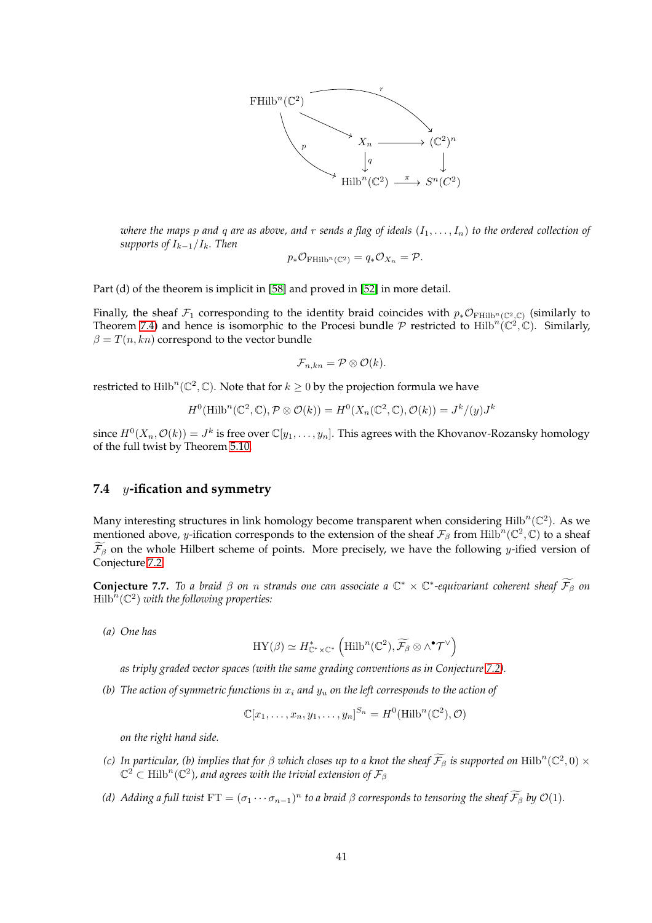

*where the maps* p and q are as above, and r sends a flag of ideals  $(I_1, \ldots, I_n)$  to the ordered collection of *supports of* Ik−1/Ik*. Then*

$$
p_*\mathcal{O}_{\mathrm{FHilb}^n(\mathbb{C}^2)} = q_*\mathcal{O}_{X_n} = \mathcal{P}.
$$

Part (d) of the theorem is implicit in [\[58\]](#page-45-8) and proved in [\[52\]](#page-45-1) in more detail.

Finally, the sheaf  $\mathcal{F}_1$  corresponding to the identity braid coincides with  $p_*\mathcal{O}_{\mathrm{FHilb}^n(\mathbb{C}^2,\mathbb{C})}$  (similarly to Theorem [7.4\)](#page-39-1) and hence is isomorphic to the Procesi bundle  $P$  restricted to Hilb<sup>n</sup>( $\mathbb{C}^2$ , $\mathbb{C}$ ). Similarly,  $\beta = T(n, kn)$  correspond to the vector bundle

$$
\mathcal{F}_{n,kn}=\mathcal{P}\otimes\mathcal{O}(k).
$$

restricted to  $\mathrm{Hilb}^n(\mathbb{C}^2,\mathbb{C})$ . Note that for  $k\geq 0$  by the projection formula we have

$$
H^{0}(\mathrm{Hilb}^{n}(\mathbb{C}^{2}, \mathbb{C}), \mathcal{P} \otimes \mathcal{O}(k)) = H^{0}(X_{n}(\mathbb{C}^{2}, \mathbb{C}), \mathcal{O}(k)) = J^{k}/(y)J^{k}
$$

since  $H^0(X_n, \mathcal{O}(k)) = J^k$  is free over  $\mathbb{C}[y_1, \ldots, y_n]$ . This agrees with the Khovanov-Rozansky homology of the full twist by Theorem [5.10.](#page-22-0)

## <span id="page-40-0"></span>**7.4** y**-ification and symmetry**

Many interesting structures in link homology become transparent when considering  $\text{Hilb}^n(\mathbb{C}^2)$ . As we mentioned above, y-ification corresponds to the extension of the sheaf  $\mathcal{F}_{\beta}$  from Hilb<sup>n</sup>( $\mathbb{C}^2$ , $\mathbb{C}$ ) to a sheaf  $\widetilde{\mathcal{F}}_{\beta}$  on the whole Hilbert scheme of points. More precisely, we have the following y-ified version of Conjecture [7.2:](#page-38-1)

**Conjecture 7.7.** To a braid  $\beta$  on n strands one can associate a  $\mathbb{C}^* \times \mathbb{C}^*$ -equivariant coherent sheaf  $\widetilde{\mathcal{F}}_\beta$  on  $\mathrm{Hilb}^n(\mathbb{C}^2)$  with the following properties:

*(a) One has*

$$
\mathrm{HY}(\beta)\simeq H^*_{{\mathbb C}^*\times{\mathbb C}^*}\left(\mathrm{Hilb}^n({\mathbb C}^2),\widetilde{\mathcal{F}_{\beta}}\otimes\wedge^\bullet\mathcal{T}^\vee\right)
$$

*as triply graded vector spaces (with the same grading conventions as in Conjecture [7.2\)](#page-38-1).*

*(b)* The action of symmetric functions in  $x_i$  and  $y_u$  on the left corresponds to the action of

$$
\mathbb{C}[x_1,\ldots,x_n,y_1,\ldots,y_n]^{S_n}=H^0(\mathrm{Hilb}^n(\mathbb{C}^2),\mathcal{O})
$$

*on the right hand side.*

- *(c)* In particular, *(b)* implies that for  $\beta$  which closes up to a knot the sheaf  $\widetilde{\mathcal{F}}_\beta$  is supported on  $\text{Hilb}^n(\mathbb{C}^2,0) \times$  $\mathbb{C}^2 \subset \operatorname{Hilb}^n(\mathbb{C}^2)$ , and agrees with the trivial extension of  $\mathcal{F}_{\beta}$
- (d) Adding a full twist  $FT = (\sigma_1 \cdots \sigma_{n-1})^n$  to a braid  $\beta$  corresponds to tensoring the sheaf  $\mathcal{F}_{\beta}$  by  $\mathcal{O}(1)$ .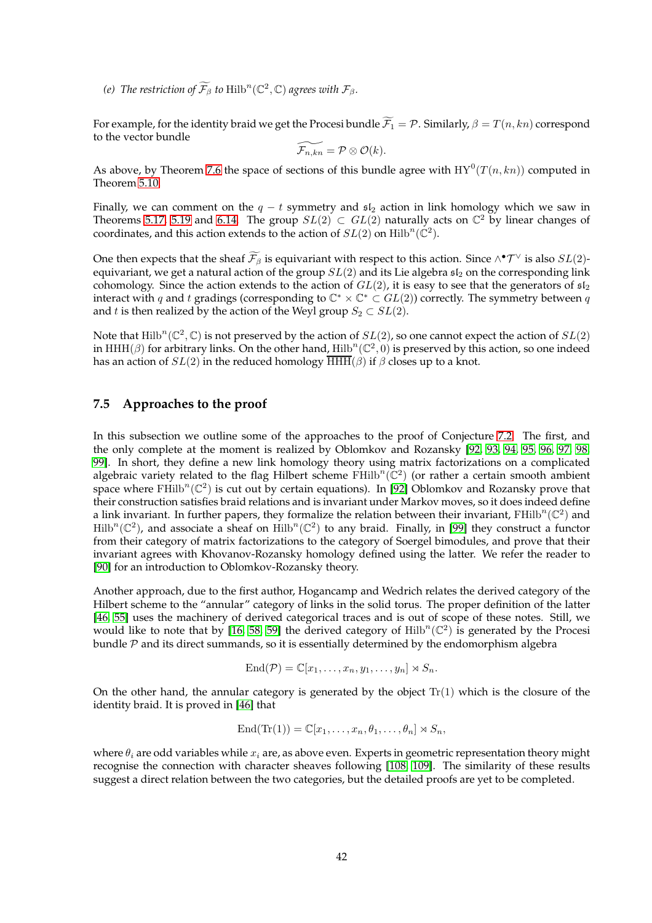*(e)* The restriction of  $\widetilde{\mathcal{F}}_\beta$  to  $\mathrm{Hilb}^n(\mathbb{C}^2,\mathbb{C})$  agrees with  $\mathcal{F}_\beta$ .

For example, for the identity braid we get the Procesi bundle  $\widetilde{\mathcal{F}_1} = \mathcal{P}$ . Similarly,  $\beta = T(n, kn)$  correspond to the vector bundle

$$
\widetilde{\mathcal{F}_{n,kn}}=\mathcal{P}\otimes \mathcal{O}(k).
$$

As above, by Theorem [7.6](#page-39-2) the space of sections of this bundle agree with  $\mathrm{HY}^0(T(n,kn))$  computed in Theorem [5.10.](#page-22-0)

Finally, we can comment on the  $q - t$  symmetry and  $\mathfrak{sl}_2$  action in link homology which we saw in Theorems [5.17,](#page-25-1) [5.19](#page-26-5) and [6.14.](#page-32-1) The group  $SL(2) \subset GL(2)$  naturally acts on  $\mathbb{C}^2$  by linear changes of coordinates, and this action extends to the action of  $SL(2)$  on  $\mathrm{Hilb}^n(\mathbb{C}^2)$ .

One then expects that the sheaf  $\mathcal{F}_{\beta}$  is equivariant with respect to this action. Since  $\wedge^{\bullet} \mathcal{T}^{\vee}$  is also  $SL(2)$ equivariant, we get a natural action of the group  $SL(2)$  and its Lie algebra  $\mathfrak{sl}_2$  on the corresponding link cohomology. Since the action extends to the action of  $GL(2)$ , it is easy to see that the generators of  $\mathfrak{sl}_2$ interact with q and t gradings (corresponding to  $\mathbb{C}^* \times \mathbb{C}^* \subset GL(2)$ ) correctly. The symmetry between q and t is then realized by the action of the Weyl group  $S_2 \subset SL(2)$ .

Note that  $\text{Hilb}^n(\mathbb{C}^2,\mathbb{C})$  is not preserved by the action of  $SL(2)$ , so one cannot expect the action of  $SL(2)$ in HHH( $\beta$ ) for arbitrary links. On the other hand, Hilb<sup>n</sup>( $\mathbb{C}^2$ , 0) is preserved by this action, so one indeed has an action of  $SL(2)$  in the reduced homology  $\overline{\text{HHH}}(\beta)$  if  $\beta$  closes up to a knot.

## <span id="page-41-0"></span>**7.5 Approaches to the proof**

In this subsection we outline some of the approaches to the proof of Conjecture [7.2.](#page-38-1) The first, and the only complete at the moment is realized by Oblomkov and Rozansky [\[92,](#page-47-1) [93,](#page-47-2) [94,](#page-47-3) [95,](#page-47-4) [96,](#page-47-5) [97,](#page-47-6) [98,](#page-47-7) [99\]](#page-47-8). In short, they define a new link homology theory using matrix factorizations on a complicated algebraic variety related to the flag Hilbert scheme  $\mathrm{FHilb}^n(\mathbb{C}^2)$  (or rather a certain smooth ambient space where  $\text{FHilb}^n(\mathbb{C}^2)$  is cut out by certain equations). In [\[92\]](#page-47-1) Oblomkov and Rozansky prove that their construction satisfies braid relations and is invariant under Markov moves, so it does indeed define a link invariant. In further papers, they formalize the relation between their invariant,  $FHilb^{n}(\mathbb{C}^{2})$  and  $Hilb^{n}(\mathbb{C}^{2})$ , and associate a sheaf on  $Hilb^{n}(\mathbb{C}^{2})$  to any braid. Finally, in [\[99\]](#page-47-8) they construct a functor from their category of matrix factorizations to the category of Soergel bimodules, and prove that their invariant agrees with Khovanov-Rozansky homology defined using the latter. We refer the reader to [\[90\]](#page-47-14) for an introduction to Oblomkov-Rozansky theory.

Another approach, due to the first author, Hogancamp and Wedrich relates the derived category of the Hilbert scheme to the "annular" category of links in the solid torus. The proper definition of the latter [\[46,](#page-45-20) [55\]](#page-45-21) uses the machinery of derived categorical traces and is out of scope of these notes. Still, we would like to note that by [\[16,](#page-43-20) [58,](#page-45-8) [59\]](#page-45-9) the derived category of  $\mathrm{Hilb}^n(\mathbb{C}^2)$  is generated by the Procesi bundle  $P$  and its direct summands, so it is essentially determined by the endomorphism algebra

$$
End(\mathcal{P}) = \mathbb{C}[x_1,\ldots,x_n,y_1,\ldots,y_n] \rtimes S_n.
$$

On the other hand, the annular category is generated by the object  $Tr(1)$  which is the closure of the identity braid. It is proved in [\[46\]](#page-45-20) that

$$
End(\mathrm{Tr}(1))=\mathbb{C}[x_1,\ldots,x_n,\theta_1,\ldots,\theta_n]\rtimes S_n,
$$

where  $\theta_i$  are odd variables while  $x_i$  are, as above even. Experts in geometric representation theory might recognise the connection with character sheaves following [\[108,](#page-47-21) [109\]](#page-47-22). The similarity of these results suggest a direct relation between the two categories, but the detailed proofs are yet to be completed.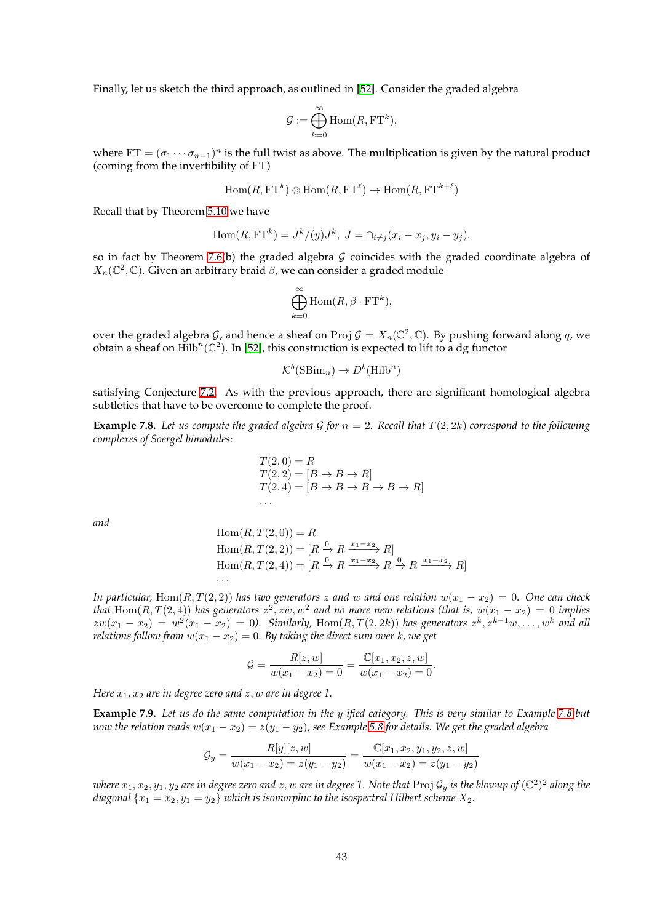Finally, let us sketch the third approach, as outlined in [\[52\]](#page-45-1). Consider the graded algebra

$$
\mathcal{G}:=\bigoplus_{k=0}^\infty \mathrm{Hom}(R,\mathrm{FT}^k),
$$

where  $FT = (\sigma_1 \cdots \sigma_{n-1})^n$  is the full twist as above. The multiplication is given by the natural product (coming from the invertibility of FT)

$$
\operatorname{Hom}(R, \operatorname{FT}^k) \otimes \operatorname{Hom}(R, \operatorname{FT}^{\ell}) \to \operatorname{Hom}(R, \operatorname{FT}^{k+\ell})
$$

Recall that by Theorem [5.10](#page-22-0) we have

$$
\operatorname{Hom}(R, \operatorname{FT}^k) = J^k/(y)J^k, J = \cap_{i \neq j} (x_i - x_j, y_i - y_j).
$$

so in fact by Theorem [7.6\(](#page-39-2)b) the graded algebra  $G$  coincides with the graded coordinate algebra of  $X_n(\mathbb{C}^2,\mathbb{C})$ . Given an arbitrary braid  $\beta$ , we can consider a graded module

$$
\bigoplus_{k=0}^{\infty} \text{Hom}(R, \beta \cdot \text{FT}^k),
$$

over the graded algebra G, and hence a sheaf on Proj  $G = X_n(\mathbb{C}^2, \mathbb{C})$ . By pushing forward along q, we obtain a sheaf on  $\mathrm{Hilb}^n(\mathbb{C}^2)$ . In [\[52\]](#page-45-1), this construction is expected to lift to a dg functor

$$
\mathcal{K}^b(\text{SBim}_n) \to D^b(\text{Hilb}^n)
$$

satisfying Conjecture [7.2.](#page-38-1) As with the previous approach, there are significant homological algebra subtleties that have to be overcome to complete the proof.

<span id="page-42-0"></span>**Example 7.8.** Let us compute the graded algebra G for  $n = 2$ . Recall that  $T(2, 2k)$  correspond to the following *complexes of Soergel bimodules:*

$$
T(2,0) = R
$$
  
\n
$$
T(2,2) = [B \to B \to R]
$$
  
\n
$$
T(2,4) = [B \to B \to B \to B \to R]
$$

*and*

Hom
$$
(R, T(2, 0)) = R
$$
  
\nHom $(R, T(2, 2)) = [R \xrightarrow{0} R \xrightarrow{x_1-x_2} R]$   
\nHom $(R, T(2, 4)) = [R \xrightarrow{0} R \xrightarrow{x_1-x_2} R \xrightarrow{0} R \xrightarrow{x_1-x_2} R]$   
\n...

*In particular,* Hom $(R, T(2, 2))$  *has two generators* z and w and one relation  $w(x_1 - x_2) = 0$ . One can check *that*  $\text{Hom}(R, T(2,4))$  has generators  $z^2, zw, w^2$  and no more new relations (that is,  $w(x_1 - x_2) = 0$  implies  $zw(x_1-x_2) = w^2(x_1-x_2) = 0$ . Similarly, Hom $(R, T(2, 2k))$  has generators  $z^k, z^{k-1}w, \ldots, w^k$  and all *relations follow from*  $w(x_1 - x_2) = 0$ . By taking the direct sum over k, we get

$$
G = \frac{R[z, w]}{w(x_1 - x_2) = 0} = \frac{\mathbb{C}[x_1, x_2, z, w]}{w(x_1 - x_2) = 0}.
$$

*Here*  $x_1, x_2$  *are in degree zero and*  $z, w$  *are in degree* 1.

**Example 7.9.** *Let us do the same computation in the* y*-ified category. This is very similar to Example [7.8](#page-42-0) but now the relation reads*  $w(x_1 - x_2) = z(y_1 - y_2)$ *, see Example* [5.8](#page-21-1) *for details. We get the graded algebra* 

$$
\mathcal{G}_y = \frac{R[y][z, w]}{w(x_1 - x_2) = z(y_1 - y_2)} = \frac{\mathbb{C}[x_1, x_2, y_1, y_2, z, w]}{w(x_1 - x_2) = z(y_1 - y_2)}
$$

where  $x_1,x_2,y_1,y_2$  are in degree zero and  $z,w$  are in degree 1. Note that  $\rm Proj\,\mathcal G_y$  is the blowup of  $(\mathbb C^2)^2$  along the *diagonal*  $\{x_1 = x_2, y_1 = y_2\}$  *which is isomorphic to the isospectral Hilbert scheme*  $X_2$ *.*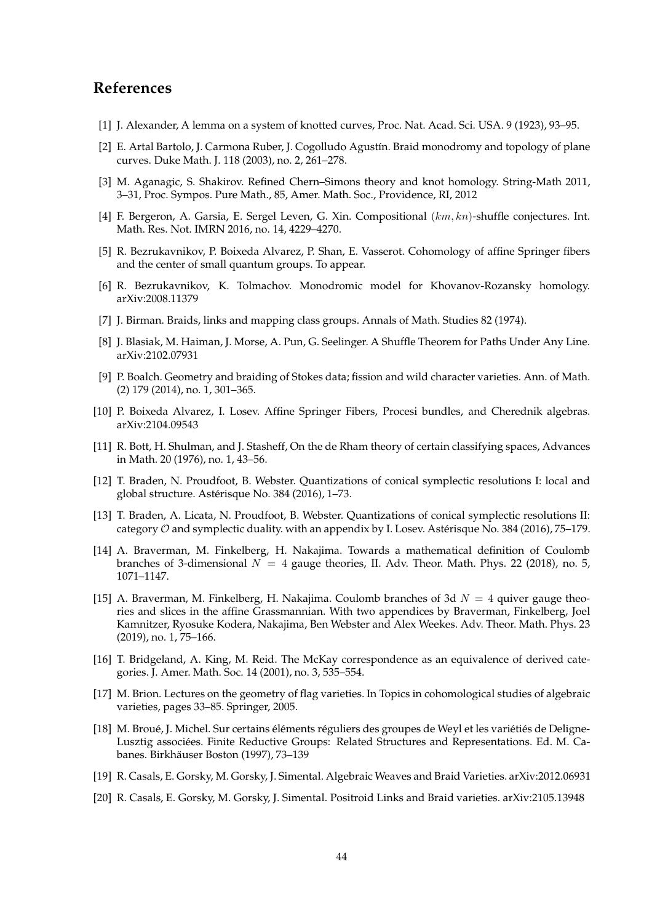# <span id="page-43-7"></span><span id="page-43-0"></span>**References**

- <span id="page-43-15"></span>[1] J. Alexander, A lemma on a system of knotted curves, Proc. Nat. Acad. Sci. USA. 9 (1923), 93–95.
- [2] E. Artal Bartolo, J. Carmona Ruber, J. Cogolludo Agustín. Braid monodromy and topology of plane curves. Duke Math. J. 118 (2003), no. 2, 261–278.
- <span id="page-43-4"></span>[3] M. Aganagic, S. Shakirov. Refined Chern–Simons theory and knot homology. String-Math 2011, 3–31, Proc. Sympos. Pure Math., 85, Amer. Math. Soc., Providence, RI, 2012
- <span id="page-43-16"></span><span id="page-43-5"></span>[4] F. Bergeron, A. Garsia, E. Sergel Leven, G. Xin. Compositional (km, kn)-shuffle conjectures. Int. Math. Res. Not. IMRN 2016, no. 14, 4229–4270.
- [5] R. Bezrukavnikov, P. Boixeda Alvarez, P. Shan, E. Vasserot. Cohomology of affine Springer fibers and the center of small quantum groups. To appear.
- <span id="page-43-9"></span><span id="page-43-8"></span>[6] R. Bezrukavnikov, K. Tolmachov. Monodromic model for Khovanov-Rozansky homology. arXiv:2008.11379
- <span id="page-43-6"></span>[7] J. Birman. Braids, links and mapping class groups. Annals of Math. Studies 82 (1974).
- <span id="page-43-13"></span>[8] J. Blasiak, M. Haiman, J. Morse, A. Pun, G. Seelinger. A Shuffle Theorem for Paths Under Any Line. arXiv:2102.07931
- [9] P. Boalch. Geometry and braiding of Stokes data; fission and wild character varieties. Ann. of Math. (2) 179 (2014), no. 1, 301–365.
- <span id="page-43-17"></span><span id="page-43-14"></span>[10] P. Boixeda Alvarez, I. Losev. Affine Springer Fibers, Procesi bundles, and Cherednik algebras. arXiv:2104.09543
- [11] R. Bott, H. Shulman, and J. Stasheff, On the de Rham theory of certain classifying spaces, Advances in Math. 20 (1976), no. 1, 43–56.
- <span id="page-43-18"></span>[12] T. Braden, N. Proudfoot, B. Webster. Quantizations of conical symplectic resolutions I: local and global structure. Astérisque No. 384 (2016), 1–73.
- <span id="page-43-19"></span>[13] T. Braden, A. Licata, N. Proudfoot, B. Webster. Quantizations of conical symplectic resolutions II: category  $O$  and symplectic duality. with an appendix by I. Losev. Astérisque No. 384 (2016), 75-179.
- <span id="page-43-2"></span>[14] A. Braverman, M. Finkelberg, H. Nakajima. Towards a mathematical definition of Coulomb branches of 3-dimensional  $N = 4$  gauge theories, II. Adv. Theor. Math. Phys. 22 (2018), no. 5, 1071–1147.
- <span id="page-43-3"></span>[15] A. Braverman, M. Finkelberg, H. Nakajima. Coulomb branches of 3d  $N = 4$  quiver gauge theories and slices in the affine Grassmannian. With two appendices by Braverman, Finkelberg, Joel Kamnitzer, Ryosuke Kodera, Nakajima, Ben Webster and Alex Weekes. Adv. Theor. Math. Phys. 23 (2019), no. 1, 75–166.
- <span id="page-43-20"></span>[16] T. Bridgeland, A. King, M. Reid. The McKay correspondence as an equivalence of derived categories. J. Amer. Math. Soc. 14 (2001), no. 3, 535–554.
- <span id="page-43-11"></span>[17] M. Brion. Lectures on the geometry of flag varieties. In Topics in cohomological studies of algebraic varieties, pages 33–85. Springer, 2005.
- <span id="page-43-12"></span>[18] M. Broué, J. Michel. Sur certains éléments réguliers des groupes de Weyl et les variétiés de Deligne-Lusztig associées. Finite Reductive Groups: Related Structures and Representations. Ed. M. Cabanes. Birkhäuser Boston (1997), 73–139
- <span id="page-43-10"></span><span id="page-43-1"></span>[19] R. Casals, E. Gorsky, M. Gorsky, J. Simental. Algebraic Weaves and Braid Varieties. arXiv:2012.06931
- [20] R. Casals, E. Gorsky, M. Gorsky, J. Simental. Positroid Links and Braid varieties. arXiv:2105.13948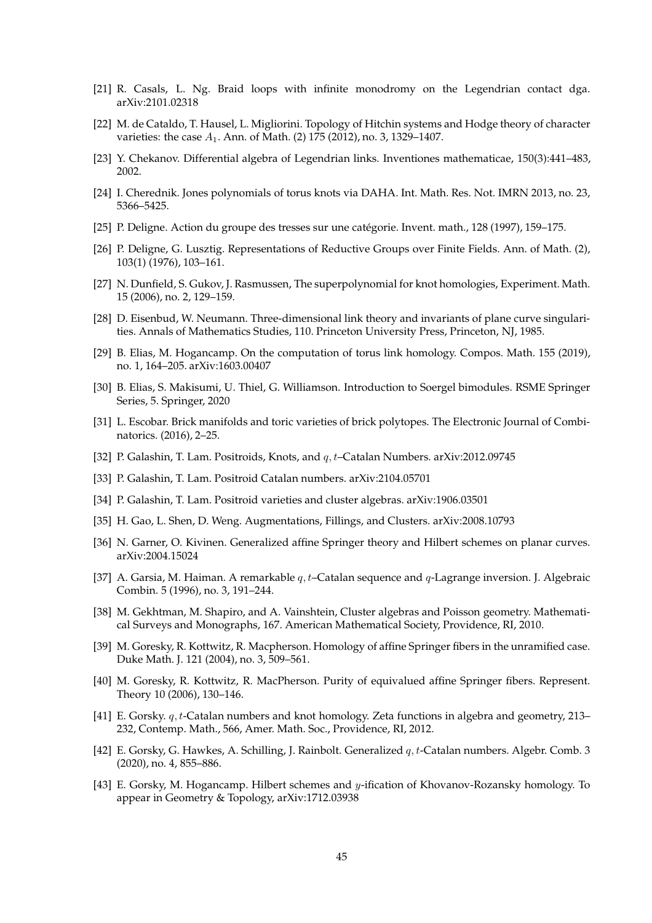- <span id="page-44-14"></span><span id="page-44-4"></span>[21] R. Casals, L. Ng. Braid loops with infinite monodromy on the Legendrian contact dga. arXiv:2101.02318
- <span id="page-44-15"></span>[22] M. de Cataldo, T. Hausel, L. Migliorini. Topology of Hitchin systems and Hodge theory of character varieties: the case  $A_1$ . Ann. of Math. (2) 175 (2012), no. 3, 1329-1407.
- <span id="page-44-6"></span>[23] Y. Chekanov. Differential algebra of Legendrian links. Inventiones mathematicae, 150(3):441–483, 2002.
- <span id="page-44-16"></span>[24] I. Cherednik. Jones polynomials of torus knots via DAHA. Int. Math. Res. Not. IMRN 2013, no. 23, 5366–5425.
- <span id="page-44-17"></span>[25] P. Deligne. Action du groupe des tresses sur une catégorie. Invent. math., 128 (1997), 159–175.
- <span id="page-44-12"></span>[26] P. Deligne, G. Lusztig. Representations of Reductive Groups over Finite Fields. Ann. of Math. (2), 103(1) (1976), 103–161.
- [27] N. Dunfield, S. Gukov, J. Rasmussen, The superpolynomial for knot homologies, Experiment. Math. 15 (2006), no. 2, 129–159.
- <span id="page-44-20"></span>[28] D. Eisenbud, W. Neumann. Three-dimensional link theory and invariants of plane curve singularities. Annals of Mathematics Studies, 110. Princeton University Press, Princeton, NJ, 1985.
- <span id="page-44-10"></span>[29] B. Elias, M. Hogancamp. On the computation of torus link homology. Compos. Math. 155 (2019), no. 1, 164–205. arXiv:1603.00407
- <span id="page-44-7"></span>[30] B. Elias, S. Makisumi, U. Thiel, G. Williamson. Introduction to Soergel bimodules. RSME Springer Series, 5. Springer, 2020
- <span id="page-44-13"></span>[31] L. Escobar. Brick manifolds and toric varieties of brick polytopes. The Electronic Journal of Combinatorics. (2016), 2–25.
- <span id="page-44-1"></span><span id="page-44-0"></span>[32] P. Galashin, T. Lam. Positroids, Knots, and q, t–Catalan Numbers. arXiv:2012.09745
- <span id="page-44-2"></span>[33] P. Galashin, T. Lam. Positroid Catalan numbers. arXiv:2104.05701
- <span id="page-44-18"></span>[34] P. Galashin, T. Lam. Positroid varieties and cluster algebras. arXiv:1906.03501
- <span id="page-44-3"></span>[35] H. Gao, L. Shen, D. Weng. Augmentations, Fillings, and Clusters. arXiv:2008.10793
- <span id="page-44-8"></span>[36] N. Garner, O. Kivinen. Generalized affine Springer theory and Hilbert schemes on planar curves. arXiv:2004.15024
- [37] A. Garsia, M. Haiman. A remarkable  $q, t$ –Catalan sequence and  $q$ -Lagrange inversion. J. Algebraic Combin. 5 (1996), no. 3, 191–244.
- <span id="page-44-19"></span>[38] M. Gekhtman, M. Shapiro, and A. Vainshtein, Cluster algebras and Poisson geometry. Mathematical Surveys and Monographs, 167. American Mathematical Society, Providence, RI, 2010.
- <span id="page-44-21"></span>[39] M. Goresky, R. Kottwitz, R. Macpherson. Homology of affine Springer fibers in the unramified case. Duke Math. J. 121 (2004), no. 3, 509–561.
- <span id="page-44-22"></span>[40] M. Goresky, R. Kottwitz, R. MacPherson. Purity of equivalued affine Springer fibers. Represent. Theory 10 (2006), 130–146.
- <span id="page-44-11"></span>[41] E. Gorsky. q, t-Catalan numbers and knot homology. Zeta functions in algebra and geometry, 213– 232, Contemp. Math., 566, Amer. Math. Soc., Providence, RI, 2012.
- <span id="page-44-9"></span>[42] E. Gorsky, G. Hawkes, A. Schilling, J. Rainbolt. Generalized  $q, t$ -Catalan numbers. Algebr. Comb. 3 (2020), no. 4, 855–886.
- <span id="page-44-5"></span>[43] E. Gorsky, M. Hogancamp. Hilbert schemes and y-ification of Khovanov-Rozansky homology. To appear in Geometry & Topology, arXiv:1712.03938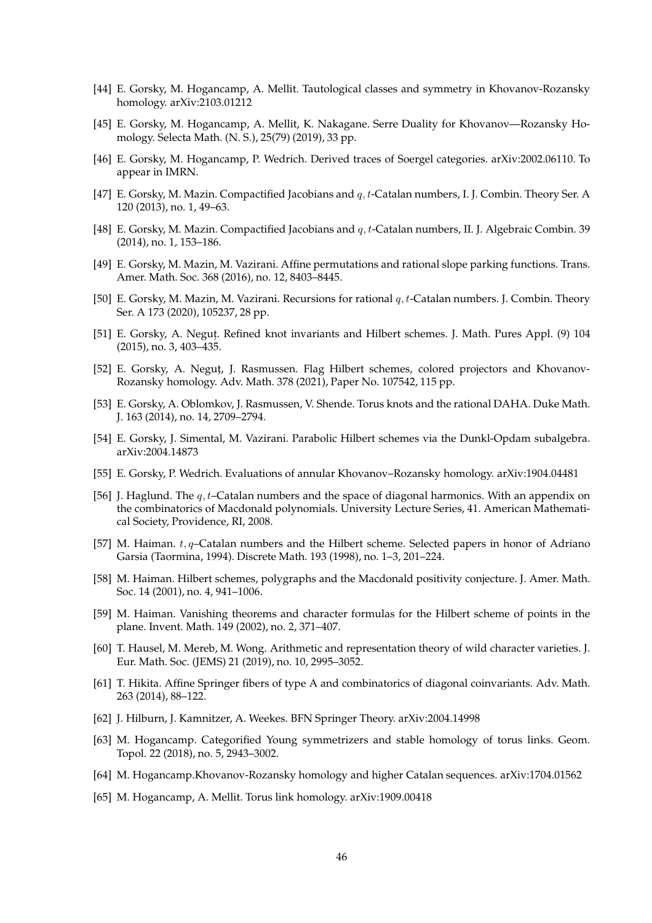- <span id="page-45-3"></span>[44] E. Gorsky, M. Hogancamp, A. Mellit. Tautological classes and symmetry in Khovanov-Rozansky homology. arXiv:2103.01212
- <span id="page-45-13"></span>[45] E. Gorsky, M. Hogancamp, A. Mellit, K. Nakagane. Serre Duality for Khovanov—Rozansky Homology. Selecta Math. (N. S.), 25(79) (2019), 33 pp.
- <span id="page-45-20"></span>[46] E. Gorsky, M. Hogancamp, P. Wedrich. Derived traces of Soergel categories. arXiv:2002.06110. To appear in IMRN.
- <span id="page-45-17"></span><span id="page-45-16"></span>[47] E. Gorsky, M. Mazin. Compactified Jacobians and q, t-Catalan numbers, I. J. Combin. Theory Ser. A 120 (2013), no. 1, 49–63.
- <span id="page-45-15"></span>[48] E. Gorsky, M. Mazin. Compactified Jacobians and q, t-Catalan numbers, II. J. Algebraic Combin. 39 (2014), no. 1, 153–186.
- [49] E. Gorsky, M. Mazin, M. Vazirani. Affine permutations and rational slope parking functions. Trans. Amer. Math. Soc. 368 (2016), no. 12, 8403–8445.
- <span id="page-45-18"></span>[50] E. Gorsky, M. Mazin, M. Vazirani. Recursions for rational q, t-Catalan numbers. J. Combin. Theory Ser. A 173 (2020), 105237, 28 pp.
- <span id="page-45-2"></span><span id="page-45-1"></span>[51] E. Gorsky, A. Negut, . Refined knot invariants and Hilbert schemes. J. Math. Pures Appl. (9) 104 (2015), no. 3, 403–435.
- [52] E. Gorsky, A. Neguț, J. Rasmussen. Flag Hilbert schemes, colored projectors and Khovanov-Rozansky homology. Adv. Math. 378 (2021), Paper No. 107542, 115 pp.
- <span id="page-45-4"></span>[53] E. Gorsky, A. Oblomkov, J. Rasmussen, V. Shende. Torus knots and the rational DAHA. Duke Math. J. 163 (2014), no. 14, 2709–2794.
- <span id="page-45-21"></span><span id="page-45-5"></span>[54] E. Gorsky, J. Simental, M. Vazirani. Parabolic Hilbert schemes via the Dunkl-Opdam subalgebra. arXiv:2004.14873
- <span id="page-45-6"></span>[55] E. Gorsky, P. Wedrich. Evaluations of annular Khovanov–Rozansky homology. arXiv:1904.04481
- [56] J. Haglund. The  $q, t$ –Catalan numbers and the space of diagonal harmonics. With an appendix on the combinatorics of Macdonald polynomials. University Lecture Series, 41. American Mathematical Society, Providence, RI, 2008.
- <span id="page-45-7"></span>[57] M. Haiman.  $t, q$ -Catalan numbers and the Hilbert scheme. Selected papers in honor of Adriano Garsia (Taormina, 1994). Discrete Math. 193 (1998), no. 1–3, 201–224.
- <span id="page-45-8"></span>[58] M. Haiman. Hilbert schemes, polygraphs and the Macdonald positivity conjecture. J. Amer. Math. Soc. 14 (2001), no. 4, 941–1006.
- <span id="page-45-9"></span>[59] M. Haiman. Vanishing theorems and character formulas for the Hilbert scheme of points in the plane. Invent. Math. 149 (2002), no. 2, 371–407.
- <span id="page-45-19"></span>[60] T. Hausel, M. Mereb, M. Wong. Arithmetic and representation theory of wild character varieties. J. Eur. Math. Soc. (JEMS) 21 (2019), no. 10, 2995–3052.
- <span id="page-45-14"></span>[61] T. Hikita. Affine Springer fibers of type A and combinatorics of diagonal coinvariants. Adv. Math. 263 (2014), 88–122.
- <span id="page-45-12"></span><span id="page-45-0"></span>[62] J. Hilburn, J. Kamnitzer, A. Weekes. BFN Springer Theory. arXiv:2004.14998
- [63] M. Hogancamp. Categorified Young symmetrizers and stable homology of torus links. Geom. Topol. 22 (2018), no. 5, 2943–3002.
- <span id="page-45-11"></span><span id="page-45-10"></span>[64] M. Hogancamp.Khovanov-Rozansky homology and higher Catalan sequences. arXiv:1704.01562
- [65] M. Hogancamp, A. Mellit. Torus link homology. arXiv:1909.00418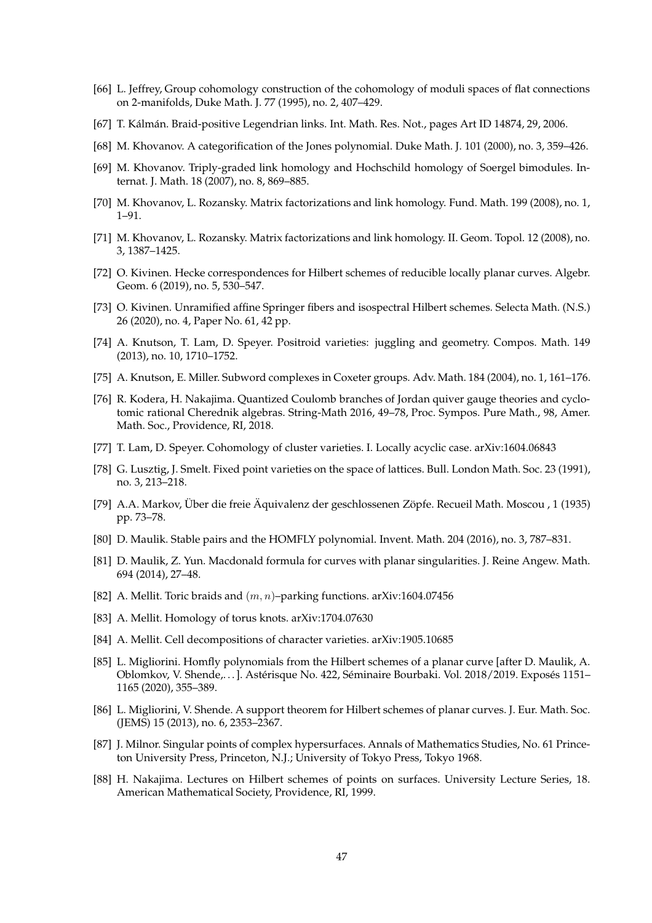- <span id="page-46-17"></span><span id="page-46-14"></span>[66] L. Jeffrey, Group cohomology construction of the cohomology of moduli spaces of flat connections on 2-manifolds, Duke Math. J. 77 (1995), no. 2, 407–429.
- <span id="page-46-7"></span>[67] T. Kálmán. Braid-positive Legendrian links. Int. Math. Res. Not., pages Art ID 14874, 29, 2006.
- <span id="page-46-12"></span>[68] M. Khovanov. A categorification of the Jones polynomial. Duke Math. J. 101 (2000), no. 3, 359–426.
- <span id="page-46-8"></span>[69] M. Khovanov. Triply-graded link homology and Hochschild homology of Soergel bimodules. Internat. J. Math. 18 (2007), no. 8, 869–885.
- <span id="page-46-11"></span>[70] M. Khovanov, L. Rozansky. Matrix factorizations and link homology. Fund. Math. 199 (2008), no. 1, 1–91.
- <span id="page-46-19"></span>[71] M. Khovanov, L. Rozansky. Matrix factorizations and link homology. II. Geom. Topol. 12 (2008), no. 3, 1387–1425.
- [72] O. Kivinen. Hecke correspondences for Hilbert schemes of reducible locally planar curves. Algebr. Geom. 6 (2019), no. 5, 530–547.
- <span id="page-46-20"></span>[73] O. Kivinen. Unramified affine Springer fibers and isospectral Hilbert schemes. Selecta Math. (N.S.) 26 (2020), no. 4, Paper No. 61, 42 pp.
- <span id="page-46-16"></span>[74] A. Knutson, T. Lam, D. Speyer. Positroid varieties: juggling and geometry. Compos. Math. 149 (2013), no. 10, 1710–1752.
- <span id="page-46-21"></span><span id="page-46-13"></span>[75] A. Knutson, E. Miller. Subword complexes in Coxeter groups. Adv. Math. 184 (2004), no. 1, 161–176.
- [76] R. Kodera, H. Nakajima. Quantized Coulomb branches of Jordan quiver gauge theories and cyclotomic rational Cherednik algebras. String-Math 2016, 49–78, Proc. Sympos. Pure Math., 98, Amer. Math. Soc., Providence, RI, 2018.
- <span id="page-46-15"></span><span id="page-46-5"></span>[77] T. Lam, D. Speyer. Cohomology of cluster varieties. I. Locally acyclic case. arXiv:1604.06843
- <span id="page-46-10"></span>[78] G. Lusztig, J. Smelt. Fixed point varieties on the space of lattices. Bull. London Math. Soc. 23 (1991), no. 3, 213–218.
- [79] A.A. Markov, Über die freie Äquivalenz der geschlossenen Zöpfe. Recueil Math. Moscou , 1 (1935) pp. 73–78.
- <span id="page-46-3"></span><span id="page-46-2"></span>[80] D. Maulik. Stable pairs and the HOMFLY polynomial. Invent. Math. 204 (2016), no. 3, 787–831.
- [81] D. Maulik, Z. Yun. Macdonald formula for curves with planar singularities. J. Reine Angew. Math. 694 (2014), 27–48.
- <span id="page-46-6"></span><span id="page-46-4"></span>[82] A. Mellit. Toric braids and  $(m, n)$ –parking functions. arXiv:1604.07456
- <span id="page-46-0"></span>[83] A. Mellit. Homology of torus knots. arXiv:1704.07630
- <span id="page-46-9"></span>[84] A. Mellit. Cell decompositions of character varieties. arXiv:1905.10685
- [85] L. Migliorini. Homfly polynomials from the Hilbert schemes of a planar curve [after D. Maulik, A. Oblomkov, V. Shende,...]. Astérisque No. 422, Séminaire Bourbaki. Vol. 2018/2019. Exposés 1151– 1165 (2020), 355–389.
- <span id="page-46-1"></span>[86] L. Migliorini, V. Shende. A support theorem for Hilbert schemes of planar curves. J. Eur. Math. Soc. (JEMS) 15 (2013), no. 6, 2353–2367.
- <span id="page-46-18"></span>[87] J. Milnor. Singular points of complex hypersurfaces. Annals of Mathematics Studies, No. 61 Princeton University Press, Princeton, N.J.; University of Tokyo Press, Tokyo 1968.
- <span id="page-46-22"></span>[88] H. Nakajima. Lectures on Hilbert schemes of points on surfaces. University Lecture Series, 18. American Mathematical Society, Providence, RI, 1999.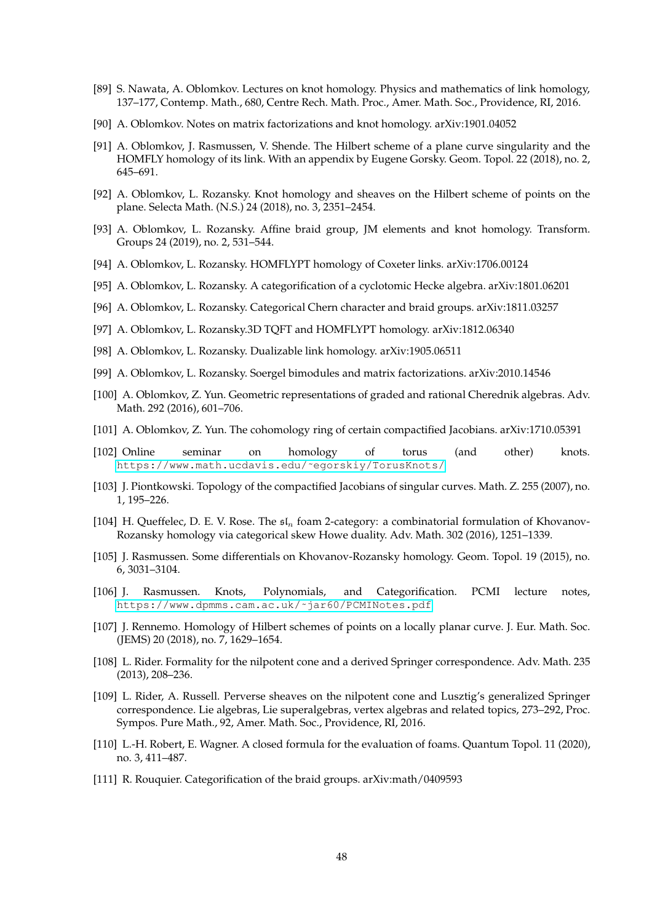- <span id="page-47-13"></span>[89] S. Nawata, A. Oblomkov. Lectures on knot homology. Physics and mathematics of link homology, 137–177, Contemp. Math., 680, Centre Rech. Math. Proc., Amer. Math. Soc., Providence, RI, 2016.
- <span id="page-47-14"></span><span id="page-47-0"></span>[90] A. Oblomkov. Notes on matrix factorizations and knot homology. arXiv:1901.04052
- [91] A. Oblomkov, J. Rasmussen, V. Shende. The Hilbert scheme of a plane curve singularity and the HOMFLY homology of its link. With an appendix by Eugene Gorsky. Geom. Topol. 22 (2018), no. 2, 645–691.
- <span id="page-47-1"></span>[92] A. Oblomkov, L. Rozansky. Knot homology and sheaves on the Hilbert scheme of points on the plane. Selecta Math. (N.S.) 24 (2018), no. 3, 2351–2454.
- <span id="page-47-2"></span>[93] A. Oblomkov, L. Rozansky. Affine braid group, JM elements and knot homology. Transform. Groups 24 (2019), no. 2, 531–544.
- <span id="page-47-4"></span><span id="page-47-3"></span>[94] A. Oblomkov, L. Rozansky. HOMFLYPT homology of Coxeter links. arXiv:1706.00124
- <span id="page-47-5"></span>[95] A. Oblomkov, L. Rozansky. A categorification of a cyclotomic Hecke algebra. arXiv:1801.06201
- <span id="page-47-6"></span>[96] A. Oblomkov, L. Rozansky. Categorical Chern character and braid groups. arXiv:1811.03257
- <span id="page-47-7"></span>[97] A. Oblomkov, L. Rozansky.3D TQFT and HOMFLYPT homology. arXiv:1812.06340
- <span id="page-47-8"></span>[98] A. Oblomkov, L. Rozansky. Dualizable link homology. arXiv:1905.06511
- <span id="page-47-19"></span>[99] A. Oblomkov, L. Rozansky. Soergel bimodules and matrix factorizations. arXiv:2010.14546
- [100] A. Oblomkov, Z. Yun. Geometric representations of graded and rational Cherednik algebras. Adv. Math. 292 (2016), 601–706.
- <span id="page-47-20"></span><span id="page-47-15"></span>[101] A. Oblomkov, Z. Yun. The cohomology ring of certain compactified Jacobians. arXiv:1710.05391
- [102] Online seminar on homology of torus (and other) knots. [https://www.math.ucdavis.edu/˜egorskiy/TorusKnots/](https://www.math.ucdavis.edu/~egorskiy/TorusKnots/)
- <span id="page-47-18"></span><span id="page-47-9"></span>[103] J. Piontkowski. Topology of the compactified Jacobians of singular curves. Math. Z. 255 (2007), no. 1, 195–226.
- [104] H. Queffelec, D. E. V. Rose. The  $\mathfrak{sl}_n$  foam 2-category: a combinatorial formulation of Khovanov-Rozansky homology via categorical skew Howe duality. Adv. Math. 302 (2016), 1251–1339.
- <span id="page-47-11"></span>[105] J. Rasmussen. Some differentials on Khovanov-Rozansky homology. Geom. Topol. 19 (2015), no. 6, 3031–3104.
- <span id="page-47-12"></span>[106] J. Rasmussen. Knots, Polynomials, and Categorification. PCMI lecture notes, [https://www.dpmms.cam.ac.uk/˜jar60/PCMINotes.pdf](https://www.dpmms.cam.ac.uk/~jar60/PCMINotes.pdf)
- <span id="page-47-17"></span>[107] J. Rennemo. Homology of Hilbert schemes of points on a locally planar curve. J. Eur. Math. Soc. (JEMS) 20 (2018), no. 7, 1629–1654.
- <span id="page-47-21"></span>[108] L. Rider. Formality for the nilpotent cone and a derived Springer correspondence. Adv. Math. 235 (2013), 208–236.
- <span id="page-47-22"></span>[109] L. Rider, A. Russell. Perverse sheaves on the nilpotent cone and Lusztig's generalized Springer correspondence. Lie algebras, Lie superalgebras, vertex algebras and related topics, 273–292, Proc. Sympos. Pure Math., 92, Amer. Math. Soc., Providence, RI, 2016.
- <span id="page-47-10"></span>[110] L.-H. Robert, E. Wagner. A closed formula for the evaluation of foams. Quantum Topol. 11 (2020), no. 3, 411–487.
- <span id="page-47-16"></span>[111] R. Rouquier. Categorification of the braid groups. arXiv:math/0409593